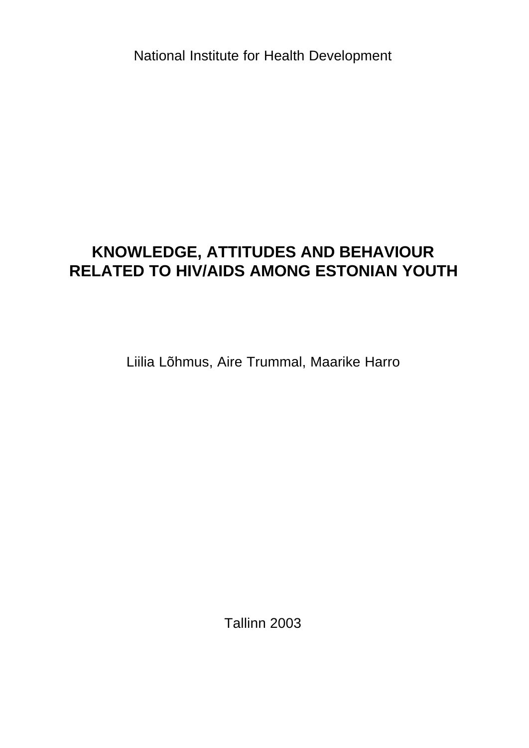National Institute for Health Development

# **KNOWLEDGE, ATTITUDES AND BEHAVIOUR RELATED TO HIV/AIDS AMONG ESTONIAN YOUTH**

Liilia Lõhmus, Aire Trummal, Maarike Harro

Tallinn 2003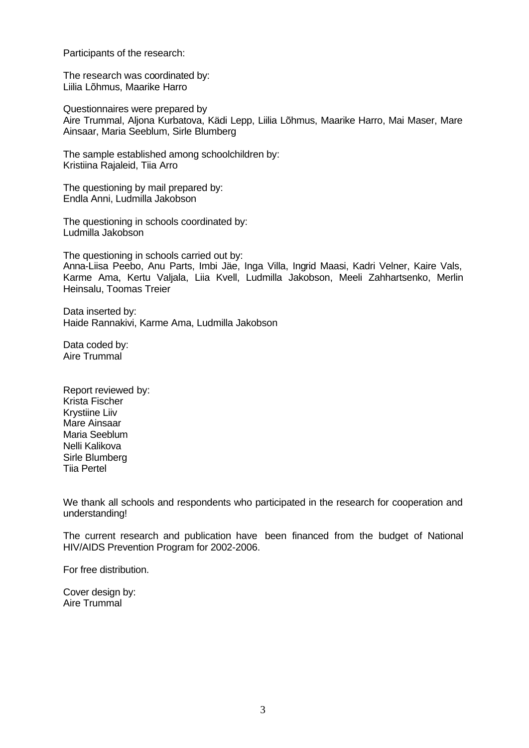Participants of the research:

The research was coordinated by: Liilia Lõhmus, Maarike Harro

Questionnaires were prepared by Aire Trummal, Aljona Kurbatova, Kädi Lepp, Liilia Lõhmus, Maarike Harro, Mai Maser, Mare Ainsaar, Maria Seeblum, Sirle Blumberg

The sample established among schoolchildren by: Kristiina Rajaleid, Tiia Arro

The questioning by mail prepared by: Endla Anni, Ludmilla Jakobson

The questioning in schools coordinated by: Ludmilla Jakobson

The questioning in schools carried out by: Anna-Liisa Peebo, Anu Parts, Imbi Jäe, Inga Villa, Ingrid Maasi, Kadri Velner, Kaire Vals, Karme Ama, Kertu Valjala, Liia Kvell, Ludmilla Jakobson, Meeli Zahhartsenko, Merlin Heinsalu, Toomas Treier

Data inserted by: Haide Rannakivi, Karme Ama, Ludmilla Jakobson

Data coded by: Aire Trummal

Report reviewed by: Krista Fischer Krystiine Liiv Mare Ainsaar Maria Seeblum Nelli Kalikova Sirle Blumberg Tiia Pertel

We thank all schools and respondents who participated in the research for cooperation and understanding!

The current research and publication have been financed from the budget of National HIV/AIDS Prevention Program for 2002-2006.

For free distribution.

Cover design by: Aire Trummal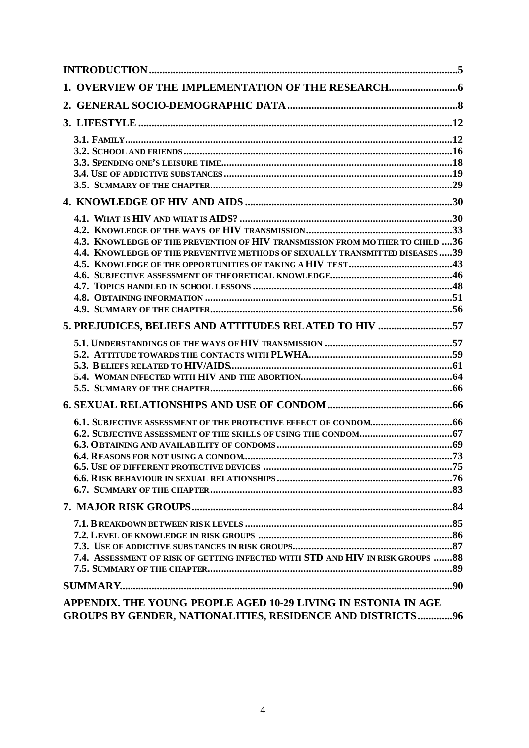| 1. OVERVIEW OF THE IMPLEMENTATION OF THE RESEARCH                                                                                                           |  |
|-------------------------------------------------------------------------------------------------------------------------------------------------------------|--|
|                                                                                                                                                             |  |
|                                                                                                                                                             |  |
|                                                                                                                                                             |  |
|                                                                                                                                                             |  |
| 4.3. KNOWLEDGE OF THE PREVENTION OF HIV TRANSMISSION FROM MOTHER TO CHILD 36<br>4.4. KNOWLEDGE OF THE PREVENTIVE METHODS OF SEXUALLY TRANSMITTED DISEASES39 |  |
| 5. PREJUDICES, BELIEFS AND ATTITUDES RELATED TO HIV 57                                                                                                      |  |
|                                                                                                                                                             |  |
|                                                                                                                                                             |  |
|                                                                                                                                                             |  |
|                                                                                                                                                             |  |
| 7.4. ASSESSMENT OF RISK OF GETTING INFECTED WITH STD AND HIV IN RISK GROUPS  88                                                                             |  |
|                                                                                                                                                             |  |
| APPENDIX. THE YOUNG PEOPLE AGED 10-29 LIVING IN ESTONIA IN AGE<br><b>GROUPS BY GENDER, NATIONALITIES, RESIDENCE AND DISTRICTS96</b>                         |  |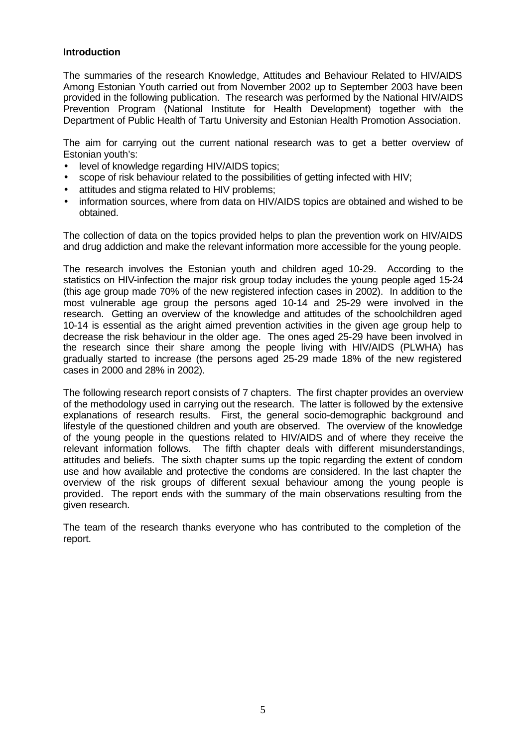## **Introduction**

The summaries of the research Knowledge, Attitudes and Behaviour Related to HIV/AIDS Among Estonian Youth carried out from November 2002 up to September 2003 have been provided in the following publication. The research was performed by the National HIV/AIDS Prevention Program (National Institute for Health Development) together with the Department of Public Health of Tartu University and Estonian Health Promotion Association.

The aim for carrying out the current national research was to get a better overview of Estonian youth's:

- level of knowledge regarding HIV/AIDS topics;
- scope of risk behaviour related to the possibilities of getting infected with HIV;
- attitudes and stigma related to HIV problems;
- information sources, where from data on HIV/AIDS topics are obtained and wished to be obtained.

The collection of data on the topics provided helps to plan the prevention work on HIV/AIDS and drug addiction and make the relevant information more accessible for the young people.

The research involves the Estonian youth and children aged 10-29. According to the statistics on HIV-infection the major risk group today includes the young people aged 15-24 (this age group made 70% of the new registered infection cases in 2002). In addition to the most vulnerable age group the persons aged 10-14 and 25-29 were involved in the research. Getting an overview of the knowledge and attitudes of the schoolchildren aged 10-14 is essential as the aright aimed prevention activities in the given age group help to decrease the risk behaviour in the older age. The ones aged 25-29 have been involved in the research since their share among the people living with HIV/AIDS (PLWHA) has gradually started to increase (the persons aged 25-29 made 18% of the new registered cases in 2000 and 28% in 2002).

The following research report consists of 7 chapters. The first chapter provides an overview of the methodology used in carrying out the research. The latter is followed by the extensive explanations of research results. First, the general socio-demographic background and lifestyle of the questioned children and youth are observed. The overview of the knowledge of the young people in the questions related to HIV/AIDS and of where they receive the relevant information follows. The fifth chapter deals with different misunderstandings, attitudes and beliefs. The sixth chapter sums up the topic regarding the extent of condom use and how available and protective the condoms are considered. In the last chapter the overview of the risk groups of different sexual behaviour among the young people is provided. The report ends with the summary of the main observations resulting from the given research.

The team of the research thanks everyone who has contributed to the completion of the report.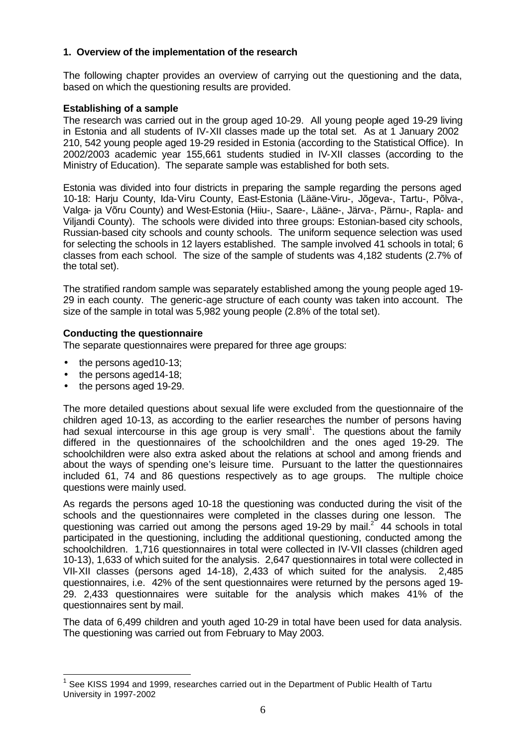## **1. Overview of the implementation of the research**

The following chapter provides an overview of carrying out the questioning and the data, based on which the questioning results are provided.

#### **Establishing of a sample**

The research was carried out in the group aged 10-29. All young people aged 19-29 living in Estonia and all students of IV-XII classes made up the total set. As at 1 January 2002 210, 542 young people aged 19-29 resided in Estonia (according to the Statistical Office). In 2002/2003 academic year 155,661 students studied in IV-XII classes (according to the Ministry of Education). The separate sample was established for both sets.

Estonia was divided into four districts in preparing the sample regarding the persons aged 10-18: Harju County, Ida-Viru County, East-Estonia (Lääne-Viru-, Jõgeva-, Tartu-, Põlva-, Valga- ja Võru County) and West-Estonia (Hiiu-, Saare-, Lääne-, Järva-, Pärnu-, Rapla- and Viljandi County). The schools were divided into three groups: Estonian-based city schools, Russian-based city schools and county schools. The uniform sequence selection was used for selecting the schools in 12 layers established. The sample involved 41 schools in total; 6 classes from each school. The size of the sample of students was 4,182 students (2.7% of the total set).

The stratified random sample was separately established among the young people aged 19- 29 in each county. The generic-age structure of each county was taken into account. The size of the sample in total was 5,982 young people (2.8% of the total set).

## **Conducting the questionnaire**

The separate questionnaires were prepared for three age groups:

- the persons aged 10-13;
- the persons aged 14-18;
- the persons aged 19-29.

 $\overline{a}$ 

The more detailed questions about sexual life were excluded from the questionnaire of the children aged 10-13, as according to the earlier researches the number of persons having had sexual intercourse in this age group is very small<sup>1</sup>. The questions about the family differed in the questionnaires of the schoolchildren and the ones aged 19-29. The schoolchildren were also extra asked about the relations at school and among friends and about the ways of spending one's leisure time. Pursuant to the latter the questionnaires included 61, 74 and 86 questions respectively as to age groups. The multiple choice questions were mainly used.

As regards the persons aged 10-18 the questioning was conducted during the visit of the schools and the questionnaires were completed in the classes during one lesson. The questioning was carried out among the persons aged 19-29 by mail.<sup>2</sup> 44 schools in total participated in the questioning, including the additional questioning, conducted among the schoolchildren. 1,716 questionnaires in total were collected in IV-VII classes (children aged 10-13), 1,633 of which suited for the analysis. 2,647 questionnaires in total were collected in VII-XII classes (persons aged 14-18), 2,433 of which suited for the analysis. 2,485 questionnaires, i.e. 42% of the sent questionnaires were returned by the persons aged 19- 29. 2,433 questionnaires were suitable for the analysis which makes 41% of the questionnaires sent by mail.

The data of 6,499 children and youth aged 10-29 in total have been used for data analysis. The questioning was carried out from February to May 2003.

<sup>1</sup> See KISS 1994 and 1999, researches carried out in the Department of Public Health of Tartu University in 1997-2002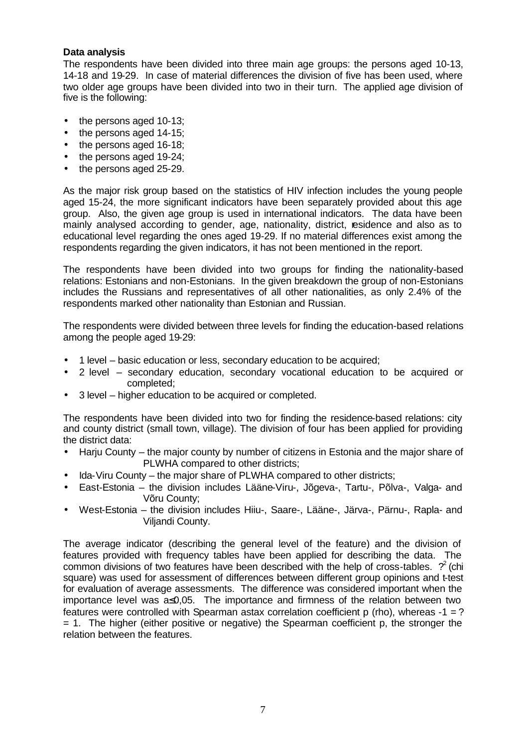## **Data analysis**

The respondents have been divided into three main age groups: the persons aged 10-13, 14-18 and 19-29. In case of material differences the division of five has been used, where two older age groups have been divided into two in their turn. The applied age division of five is the following:

- the persons aged 10-13;
- the persons aged 14-15;
- the persons aged 16-18;
- the persons aged 19-24;
- the persons aged 25-29.

As the major risk group based on the statistics of HIV infection includes the young people aged 15-24, the more significant indicators have been separately provided about this age group. Also, the given age group is used in international indicators. The data have been mainly analysed according to gender, age, nationality, district, residence and also as to educational level regarding the ones aged 19-29. If no material differences exist among the respondents regarding the given indicators, it has not been mentioned in the report.

The respondents have been divided into two groups for finding the nationality-based relations: Estonians and non-Estonians. In the given breakdown the group of non-Estonians includes the Russians and representatives of all other nationalities, as only 2.4% of the respondents marked other nationality than Estonian and Russian.

The respondents were divided between three levels for finding the education-based relations among the people aged 19-29:

- 1 level basic education or less, secondary education to be acquired;
- 2 level secondary education, secondary vocational education to be acquired or completed;
- 3 level higher education to be acquired or completed.

The respondents have been divided into two for finding the residence-based relations: city and county district (small town, village). The division of four has been applied for providing the district data:

- Harju County the major county by number of citizens in Estonia and the major share of PLWHA compared to other districts;
- Ida-Viru County the major share of PLWHA compared to other districts;
- East-Estonia the division includes Lääne-Viru-, Jõgeva-, Tartu-, Põlva-, Valga- and Võru County;
- West-Estonia the division includes Hiiu-, Saare-, Lääne-, Järva-, Pärnu-, Rapla- and Viljandi County.

The average indicator (describing the general level of the feature) and the division of features provided with frequency tables have been applied for describing the data. The common divisions of two features have been described with the help of cross-tables.  $\gamma^2$  (chi square) was used for assessment of differences between different group opinions and t-test for evaluation of average assessments. The difference was considered important when the importance level was a≤0,05. The importance and firmness of the relation between two features were controlled with Spearman astax correlation coefficient  $p$  (rho), whereas  $-1 = ?$ = 1. The higher (either positive or negative) the Spearman coefficient p, the stronger the relation between the features.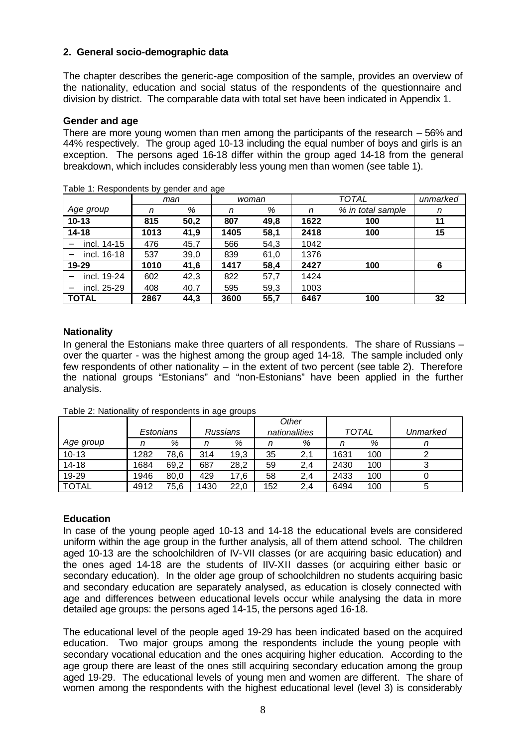# **2. General socio-demographic data**

The chapter describes the generic-age composition of the sample, provides an overview of the nationality, education and social status of the respondents of the questionnaire and division by district. The comparable data with total set have been indicated in Appendix 1.

#### **Gender and age**

There are more young women than men among the participants of the research – 56% and 44% respectively. The group aged 10-13 including the equal number of boys and girls is an exception. The persons aged 16-18 differ within the group aged 14-18 from the general breakdown, which includes considerably less young men than women (see table 1).

|              | rapic T. Roopondonto by gondor and ago |      |      |       |      |                   |          |
|--------------|----------------------------------------|------|------|-------|------|-------------------|----------|
|              | man                                    |      |      | woman |      | <b>TOTAL</b>      | unmarked |
| Age group    | n                                      | %    | n    | %     | n    | % in total sample | n        |
| $10 - 13$    | 815                                    | 50,2 | 807  | 49,8  | 1622 | 100               | 11       |
| $14 - 18$    | 1013                                   | 41,9 | 1405 | 58,1  | 2418 | 100               | 15       |
| incl. 14-15  | 476                                    | 45,7 | 566  | 54,3  | 1042 |                   |          |
| incl. 16-18  | 537                                    | 39,0 | 839  | 61,0  | 1376 |                   |          |
| 19-29        | 1010                                   | 41,6 | 1417 | 58,4  | 2427 | 100               | 6        |
| incl. 19-24  | 602                                    | 42,3 | 822  | 57,7  | 1424 |                   |          |
| incl. 25-29  | 408                                    | 40,7 | 595  | 59,3  | 1003 |                   |          |
| <b>TOTAL</b> | 2867                                   | 44,3 | 3600 | 55,7  | 6467 | 100               | 32       |

Table 1: Respondents by gender and age

## **Nationality**

In general the Estonians make three quarters of all respondents. The share of Russians – over the quarter - was the highest among the group aged 14-18. The sample included only few respondents of other nationality – in the extent of two percent (see table 2). Therefore the national groups "Estonians" and "non-Estonians" have been applied in the further analysis.

|              |           |      |          |      | Other         |     |              |     |          |
|--------------|-----------|------|----------|------|---------------|-----|--------------|-----|----------|
|              | Estonians |      | Russians |      | nationalities |     | <b>TOTAL</b> |     | Unmarked |
| Age group    |           | %    | n        | %    |               | %   |              | %   | n        |
| $10 - 13$    | 1282      | 78,6 | 314      | 19,3 | 35            | 2,1 | 1631         | 100 |          |
| 14-18        | 1684      | 69,2 | 687      | 28,2 | 59            | 2,4 | 2430         | 100 |          |
| 19-29        | 1946      | 80,0 | 429      | 17,6 | 58            | 2,4 | 2433         | 100 |          |
| <b>TOTAL</b> | 4912      | 75.6 | 1430     | 22.0 | 152           | 2,4 | 6494         | 100 | э        |

Table 2: Nationality of respondents in age groups

#### **Education**

In case of the young people aged 10-13 and 14-18 the educational levels are considered uniform within the age group in the further analysis, all of them attend school. The children aged 10-13 are the schoolchildren of IV-VII classes (or are acquiring basic education) and the ones aged 14-18 are the students of IIV-XII dasses (or acquiring either basic or secondary education). In the older age group of schoolchildren no students acquiring basic and secondary education are separately analysed, as education is closely connected with age and differences between educational levels occur while analysing the data in more detailed age groups: the persons aged 14-15, the persons aged 16-18.

The educational level of the people aged 19-29 has been indicated based on the acquired education. Two major groups among the respondents include the young people with secondary vocational education and the ones acquiring higher education. According to the age group there are least of the ones still acquiring secondary education among the group aged 19-29. The educational levels of young men and women are different. The share of women among the respondents with the highest educational level (level 3) is considerably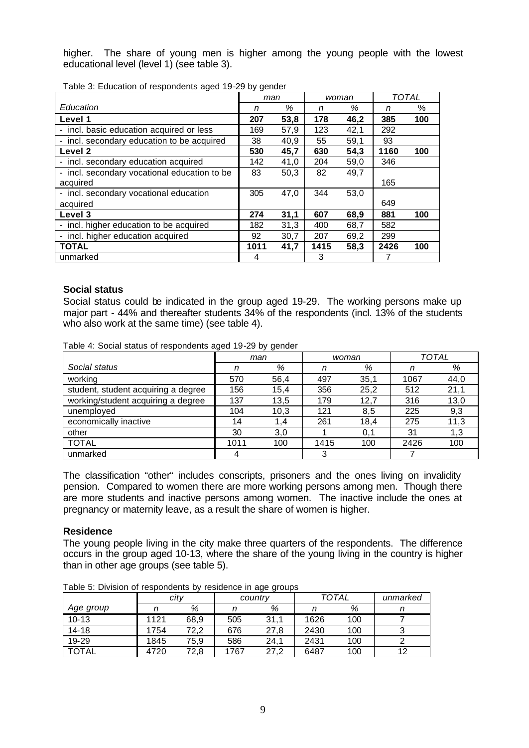higher. The share of young men is higher among the young people with the lowest educational level (level 1) (see table 3).

|                                              | man  |      |      | woman | <b>TOTAL</b> |     |
|----------------------------------------------|------|------|------|-------|--------------|-----|
| Education                                    | n    | %    | n    | %     | n            | %   |
| Level 1                                      | 207  | 53,8 | 178  | 46,2  | 385          | 100 |
| - incl. basic education acquired or less     | 169  | 57,9 | 123  | 42,1  | 292          |     |
| incl. secondary education to be acquired     | 38   | 40,9 | 55   | 59,1  | 93           |     |
| Level <sub>2</sub>                           | 530  | 45,7 | 630  | 54,3  | 1160         | 100 |
| - incl. secondary education acquired         | 142  | 41,0 | 204  | 59,0  | 346          |     |
| - incl. secondary vocational education to be | 83   | 50,3 | 82   | 49,7  |              |     |
| acquired                                     |      |      |      |       | 165          |     |
| - incl. secondary vocational education       | 305  | 47,0 | 344  | 53,0  |              |     |
| acquired                                     |      |      |      |       | 649          |     |
| Level 3                                      | 274  | 31,1 | 607  | 68,9  | 881          | 100 |
| - incl. higher education to be acquired      | 182  | 31,3 | 400  | 68.7  | 582          |     |
| incl. higher education acquired              | 92   | 30,7 | 207  | 69,2  | 299          |     |
| <b>TOTAL</b>                                 | 1011 | 41,7 | 1415 | 58,3  | 2426         | 100 |
| unmarked                                     | 4    |      | 3    |       |              |     |

Table 3: Education of respondents aged 19-29 by gender

## **Social status**

Social status could be indicated in the group aged 19-29. The working persons make up major part - 44% and thereafter students 34% of the respondents (incl. 13% of the students who also work at the same time) (see table 4).

Table 4: Social status of respondents aged 19-29 by gender

|                                     | man  |      | woman |      | <b>TOTAL</b> |      |
|-------------------------------------|------|------|-------|------|--------------|------|
| Social status                       | n    | %    | n     | %    |              | %    |
| working                             | 570  | 56,4 | 497   | 35,1 | 1067         | 44,0 |
| student, student acquiring a degree | 156  | 15,4 | 356   | 25,2 | 512          | 21,1 |
| working/student acquiring a degree  | 137  | 13,5 | 179   | 12,7 | 316          | 13,0 |
| unemployed                          | 104  | 10,3 | 121   | 8,5  | 225          | 9,3  |
| economically inactive               | 14   | 1.4  | 261   | 18,4 | 275          | 11,3 |
| other                               | 30   | 3,0  |       | 0,1  | 31           | 1.3  |
| <b>TOTAL</b>                        | 1011 | 100  | 1415  | 100  | 2426         | 100  |
| unmarked                            |      |      |       |      |              |      |

The classification "other" includes conscripts, prisoners and the ones living on invalidity pension. Compared to women there are more working persons among men. Though there are more students and inactive persons among women. The inactive include the ones at pregnancy or maternity leave, as a result the share of women is higher.

#### **Residence**

The young people living in the city make three quarters of the respondents. The difference occurs in the group aged 10-13, where the share of the young living in the country is higher than in other age groups (see table 5).

|              |      | . as to be the lot to the copolities to<br>roordonoo ni ago groupo |         |      |              |          |    |  |  |
|--------------|------|--------------------------------------------------------------------|---------|------|--------------|----------|----|--|--|
|              | city |                                                                    | country |      | <b>TOTAL</b> | unmarked |    |  |  |
| Age group    |      | %                                                                  |         | %    |              | %        |    |  |  |
| $10 - 13$    | 1121 | 68,9                                                               | 505     | 31,1 | 1626         | 100      |    |  |  |
| $14 - 18$    | 1754 | 72.2                                                               | 676     | 27,8 | 2430         | 100      |    |  |  |
| 19-29        | 1845 | 75.9                                                               | 586     | 24.1 | 2431         | 100      |    |  |  |
| <b>TOTAL</b> | 4720 | 72.8                                                               | 1767    | 27.2 | 6487         | 100      | 12 |  |  |

Table 5: Division of respondents by residence in age groups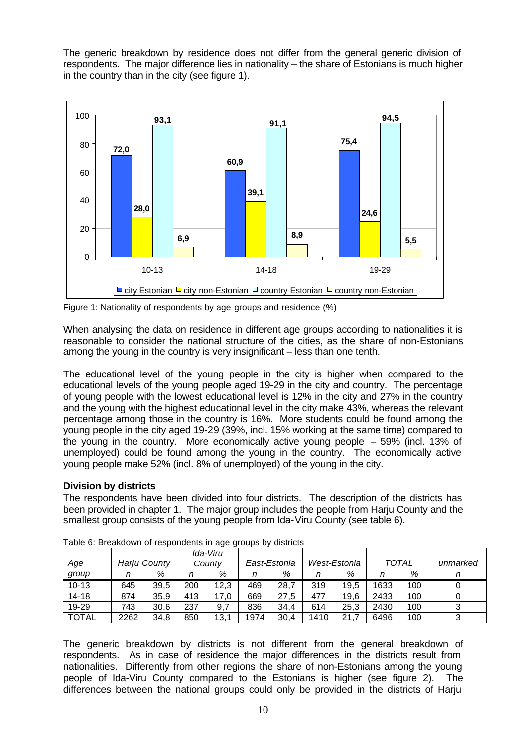The generic breakdown by residence does not differ from the general generic division of respondents. The major difference lies in nationality – the share of Estonians is much higher in the country than in the city (see figure 1).



Figure 1: Nationality of respondents by age groups and residence (%)

When analysing the data on residence in different age groups according to nationalities it is reasonable to consider the national structure of the cities, as the share of non-Estonians among the young in the country is very insignificant – less than one tenth.

The educational level of the young people in the city is higher when compared to the educational levels of the young people aged 19-29 in the city and country. The percentage of young people with the lowest educational level is 12% in the city and 27% in the country and the young with the highest educational level in the city make 43%, whereas the relevant percentage among those in the country is 16%. More students could be found among the young people in the city aged 19-29 (39%, incl. 15% working at the same time) compared to the young in the country. More economically active young people – 59% (incl. 13% of unemployed) could be found among the young in the country. The economically active young people make 52% (incl. 8% of unemployed) of the young in the city.

# **Division by districts**

The respondents have been divided into four districts. The description of the districts has been provided in chapter 1. The major group includes the people from Harju County and the smallest group consists of the young people from Ida-Viru County (see table 6).

|              |      |              |     | Ida-Viru |      |              |      |              |              |     |          |
|--------------|------|--------------|-----|----------|------|--------------|------|--------------|--------------|-----|----------|
| Age          |      | Harju County |     | Countv   |      | East-Estonia |      | West-Estonia | <b>TOTAL</b> |     | unmarked |
| group        |      | %            |     | %        |      | %            |      | %            |              | %   |          |
| $10 - 13$    | 645  | 39.5         | 200 | 12.3     | 469  | 28.7         | 319  | 19.5         | 1633         | 100 |          |
| $14 - 18$    | 874  | 35.9         | 413 | 17.0     | 669  | 27,5         | 477  | 19.6         | 2433         | 100 |          |
| 19-29        | 743  | 30.6         | 237 | 9,7      | 836  | 34.4         | 614  | 25.3         | 2430         | 100 |          |
| <b>TOTAL</b> | 2262 | 34,8         | 850 | 13,1     | 1974 | 30.4         | 1410 | 21.          | 6496         | 100 |          |

Table 6: Breakdown of respondents in age groups by districts

The generic breakdown by districts is not different from the general breakdown of respondents. As in case of residence the major differences in the districts result from nationalities. Differently from other regions the share of non-Estonians among the young people of Ida-Viru County compared to the Estonians is higher (see figure 2). The differences between the national groups could only be provided in the districts of Harju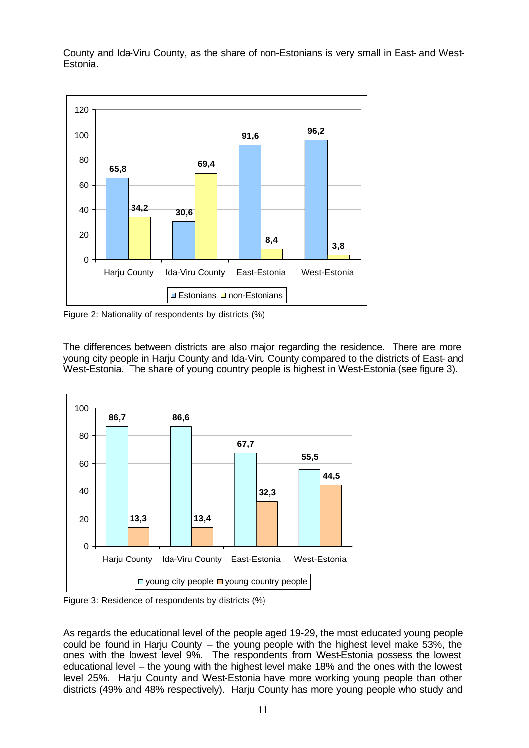County and Ida-Viru County, as the share of non-Estonians is very small in East- and West-Estonia.



Figure 2: Nationality of respondents by districts (%)

The differences between districts are also major regarding the residence. There are more young city people in Harju County and Ida-Viru County compared to the districts of East- and West-Estonia. The share of young country people is highest in West-Estonia (see figure 3).



Figure 3: Residence of respondents by districts (%)

As regards the educational level of the people aged 19-29, the most educated young people could be found in Harju County – the young people with the highest level make 53%, the ones with the lowest level 9%. The respondents from West-Estonia possess the lowest educational level – the young with the highest level make 18% and the ones with the lowest level 25%. Harju County and West-Estonia have more working young people than other districts (49% and 48% respectively). Harju County has more young people who study and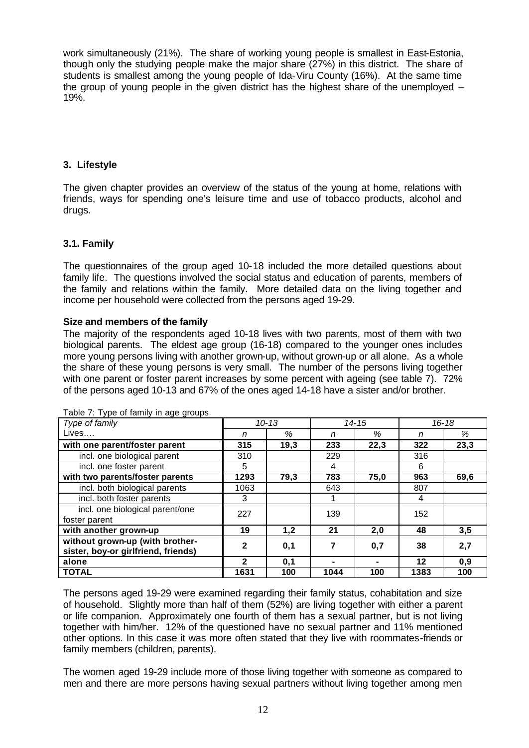work simultaneously (21%). The share of working young people is smallest in East-Estonia, though only the studying people make the major share (27%) in this district. The share of students is smallest among the young people of Ida-Viru County (16%). At the same time the group of young people in the given district has the highest share of the unemployed  $-$ 19%.

## **3. Lifestyle**

The given chapter provides an overview of the status of the young at home, relations with friends, ways for spending one's leisure time and use of tobacco products, alcohol and drugs.

## **3.1. Family**

The questionnaires of the group aged 10-18 included the more detailed questions about family life. The questions involved the social status and education of parents, members of the family and relations within the family. More detailed data on the living together and income per household were collected from the persons aged 19-29.

## **Size and members of the family**

The majority of the respondents aged 10-18 lives with two parents, most of them with two biological parents. The eldest age group (16-18) compared to the younger ones includes more young persons living with another grown-up, without grown-up or all alone. As a whole the share of these young persons is very small. The number of the persons living together with one parent or foster parent increases by some percent with ageing (see table 7). 72% of the persons aged 10-13 and 67% of the ones aged 14-18 have a sister and/or brother.

| Type of family                      |              | $10 - 13$ |      | $14 - 15$ | $16 - 18$ |      |
|-------------------------------------|--------------|-----------|------|-----------|-----------|------|
| Lives                               | n            | $\%$      | n    | %         | n         | %    |
| with one parent/foster parent       | 315          | 19,3      | 233  | 22,3      | 322       | 23,3 |
| incl. one biological parent         | 310          |           | 229  |           | 316       |      |
| incl. one foster parent             | 5            |           | 4    |           | 6         |      |
| with two parents/foster parents     | 1293         | 79,3      | 783  | 75,0      | 963       | 69,6 |
| incl. both biological parents       | 1063         |           | 643  |           | 807       |      |
| incl. both foster parents           | 3            |           |      |           | 4         |      |
| incl. one biological parent/one     | 227          |           | 139  |           | 152       |      |
| foster parent                       |              |           |      |           |           |      |
| with another grown-up               | 19           | 1,2       | 21   | 2,0       | 48        | 3,5  |
| without grown-up (with brother-     | $\mathbf{2}$ | 0,1       | 7    | 0,7       | 38        | 2,7  |
| sister, boy-or girlfriend, friends) |              |           |      |           |           |      |
| alone                               | 2            | 0,1       |      |           | $12 \,$   | 0,9  |
| <b>TOTAL</b>                        | 1631         | 100       | 1044 | 100       | 1383      | 100  |

Table 7: Type of family in age groups

The persons aged 19-29 were examined regarding their family status, cohabitation and size of household. Slightly more than half of them (52%) are living together with either a parent or life companion. Approximately one fourth of them has a sexual partner, but is not living together with him/her. 12% of the questioned have no sexual partner and 11% mentioned other options. In this case it was more often stated that they live with roommates-friends or family members (children, parents).

The women aged 19-29 include more of those living together with someone as compared to men and there are more persons having sexual partners without living together among men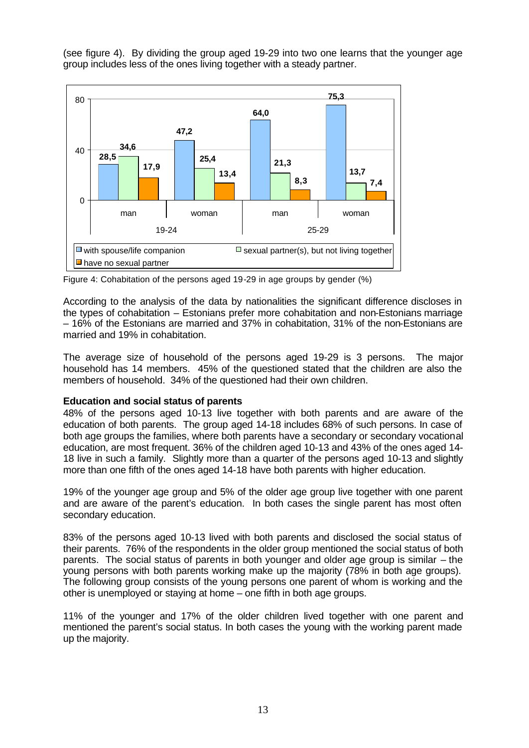(see figure 4). By dividing the group aged 19-29 into two one learns that the younger age group includes less of the ones living together with a steady partner.



Figure 4: Cohabitation of the persons aged 19-29 in age groups by gender (%)

According to the analysis of the data by nationalities the significant difference discloses in the types of cohabitation – Estonians prefer more cohabitation and non-Estonians marriage – 16% of the Estonians are married and 37% in cohabitation, 31% of the non-Estonians are married and 19% in cohabitation.

The average size of household of the persons aged 19-29 is 3 persons. The major household has 14 members. 45% of the questioned stated that the children are also the members of household. 34% of the questioned had their own children.

## **Education and social status of parents**

48% of the persons aged 10-13 live together with both parents and are aware of the education of both parents. The group aged 14-18 includes 68% of such persons. In case of both age groups the families, where both parents have a secondary or secondary vocational education, are most frequent. 36% of the children aged 10-13 and 43% of the ones aged 14- 18 live in such a family. Slightly more than a quarter of the persons aged 10-13 and slightly more than one fifth of the ones aged 14-18 have both parents with higher education.

19% of the younger age group and 5% of the older age group live together with one parent and are aware of the parent's education. In both cases the single parent has most often secondary education.

83% of the persons aged 10-13 lived with both parents and disclosed the social status of their parents. 76% of the respondents in the older group mentioned the social status of both parents. The social status of parents in both younger and older age group is similar – the young persons with both parents working make up the majority (78% in both age groups). The following group consists of the young persons one parent of whom is working and the other is unemployed or staying at home – one fifth in both age groups.

11% of the younger and 17% of the older children lived together with one parent and mentioned the parent's social status. In both cases the young with the working parent made up the majority.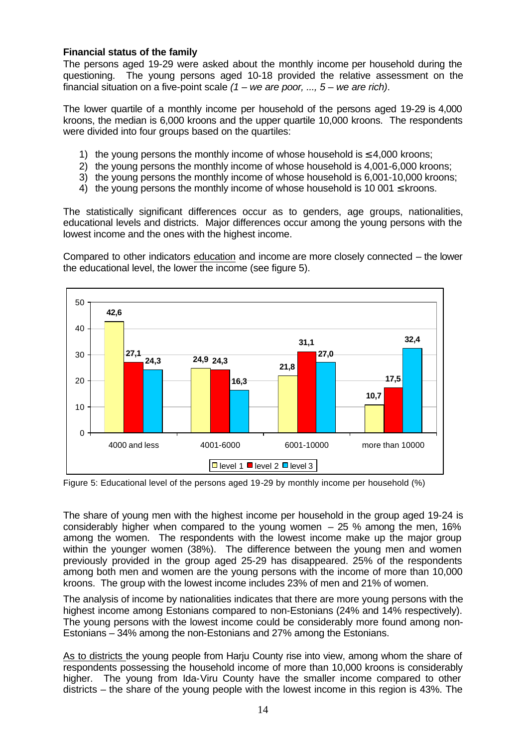# **Financial status of the family**

The persons aged 19-29 were asked about the monthly income per household during the questioning. The young persons aged 10-18 provided the relative assessment on the financial situation on a five-point scale *(1 – we are poor, ..., 5 – we are rich)*.

The lower quartile of a monthly income per household of the persons aged 19-29 is 4,000 kroons, the median is 6,000 kroons and the upper quartile 10,000 kroons. The respondents were divided into four groups based on the quartiles:

- 1) the young persons the monthly income of whose household is  $\leq 4,000$  kroons;
- 2) the young persons the monthly income of whose household is 4,001-6,000 kroons;
- 3) the young persons the monthly income of whose household is 6,001-10,000 kroons;
- 4) the young persons the monthly income of whose household is 10 001  $\leq$  kroons.

The statistically significant differences occur as to genders, age groups, nationalities, educational levels and districts. Major differences occur among the young persons with the lowest income and the ones with the highest income.

Compared to other indicators education and income are more closely connected – the lower the educational level, the lower the income (see figure 5).



Figure 5: Educational level of the persons aged 19-29 by monthly income per household (%)

The share of young men with the highest income per household in the group aged 19-24 is considerably higher when compared to the young women  $-25$  % among the men, 16% among the women. The respondents with the lowest income make up the major group within the younger women (38%). The difference between the young men and women previously provided in the group aged 25-29 has disappeared. 25% of the respondents among both men and women are the young persons with the income of more than 10,000 kroons. The group with the lowest income includes 23% of men and 21% of women.

The analysis of income by nationalities indicates that there are more young persons with the highest income among Estonians compared to non-Estonians (24% and 14% respectively). The young persons with the lowest income could be considerably more found among non-Estonians – 34% among the non-Estonians and 27% among the Estonians.

As to districts the young people from Harju County rise into view, among whom the share of respondents possessing the household income of more than 10,000 kroons is considerably higher. The young from Ida-Viru County have the smaller income compared to other districts – the share of the young people with the lowest income in this region is 43%. The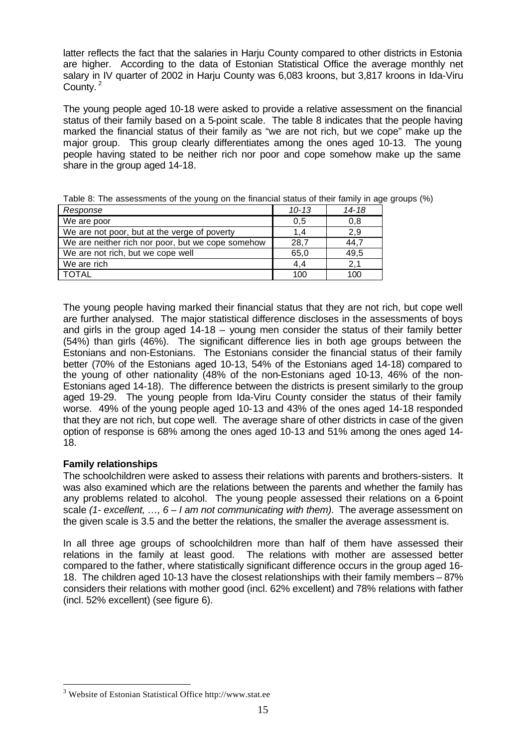latter reflects the fact that the salaries in Harju County compared to other districts in Estonia are higher. According to the data of Estonian Statistical Office the average monthly net salary in IV quarter of 2002 in Harju County was 6,083 kroons, but 3,817 kroons in Ida-Viru County.<sup>2</sup>

The young people aged 10-18 were asked to provide a relative assessment on the financial status of their family based on a 5-point scale. The table 8 indicates that the people having marked the financial status of their family as "we are not rich, but we cope" make up the major group. This group clearly differentiates among the ones aged 10-13. The young people having stated to be neither rich nor poor and cope somehow make up the same share in the group aged 14-18.

| Response                                          | $10 - 13$ | $14 - 18$ |
|---------------------------------------------------|-----------|-----------|
| We are poor                                       | 0,5       | 0,8       |
| We are not poor, but at the verge of poverty      | 1.4       | 2.9       |
| We are neither rich nor poor, but we cope somehow | 28,7      | 44.       |
| We are not rich, but we cope well                 | 65,0      | 49.5      |
| We are rich                                       | 4,4       | 2,1       |
| TOTAL                                             | 100       | 100       |

Table 8: The assessments of the young on the financial status of their family in age groups (%)

The young people having marked their financial status that they are not rich, but cope well are further analysed. The major statistical difference discloses in the assessments of boys and girls in the group aged 14-18 – young men consider the status of their family better (54%) than girls (46%). The significant difference lies in both age groups between the Estonians and non-Estonians. The Estonians consider the financial status of their family better (70% of the Estonians aged 10-13, 54% of the Estonians aged 14-18) compared to the young of other nationality (48% of the non-Estonians aged 10-13, 46% of the non-Estonians aged 14-18). The difference between the districts is present similarly to the group aged 19-29. The young people from Ida-Viru County consider the status of their family worse. 49% of the young people aged 10-13 and 43% of the ones aged 14-18 responded that they are not rich, but cope well. The average share of other districts in case of the given option of response is 68% among the ones aged 10-13 and 51% among the ones aged 14- 18.

# **Family relationships**

l

The schoolchildren were asked to assess their relations with parents and brothers-sisters. It was also examined which are the relations between the parents and whether the family has any problems related to alcohol. The young people assessed their relations on a 6-point scale *(1- excellent, …, 6 – I am not communicating with them).* The average assessment on the given scale is 3.5 and the better the relations, the smaller the average assessment is.

In all three age groups of schoolchildren more than half of them have assessed their relations in the family at least good. The relations with mother are assessed better compared to the father, where statistically significant difference occurs in the group aged 16- 18. The children aged 10-13 have the closest relationships with their family members – 87% considers their relations with mother good (incl. 62% excellent) and 78% relations with father (incl. 52% excellent) (see figure 6).

<sup>&</sup>lt;sup>3</sup> Website of Estonian Statistical Office http://www.stat.ee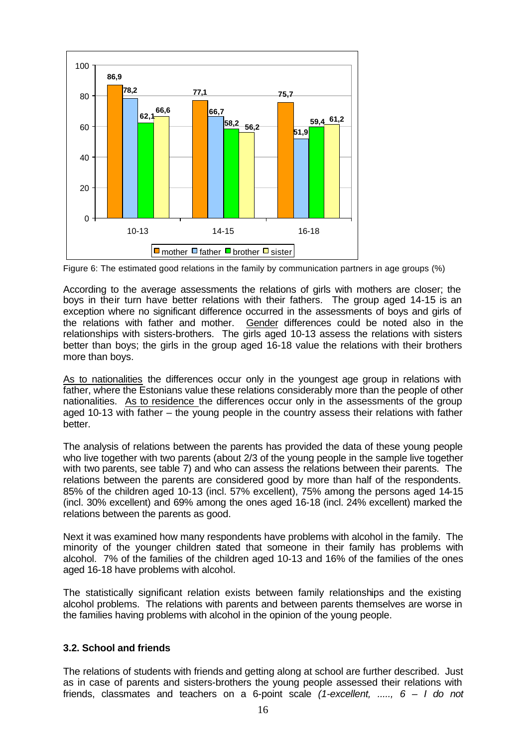

Figure 6: The estimated good relations in the family by communication partners in age groups (%)

According to the average assessments the relations of girls with mothers are closer; the boys in their turn have better relations with their fathers. The group aged 14-15 is an exception where no significant difference occurred in the assessments of boys and girls of the relations with father and mother. Gender differences could be noted also in the relationships with sisters-brothers. The girls aged 10-13 assess the relations with sisters better than boys; the girls in the group aged 16-18 value the relations with their brothers more than boys.

As to nationalities the differences occur only in the youngest age group in relations with father, where the Estonians value these relations considerably more than the people of other nationalities. As to residence the differences occur only in the assessments of the group aged 10-13 with father – the young people in the country assess their relations with father better.

The analysis of relations between the parents has provided the data of these young people who live together with two parents (about 2/3 of the young people in the sample live together with two parents, see table 7) and who can assess the relations between their parents. The relations between the parents are considered good by more than half of the respondents. 85% of the children aged 10-13 (incl. 57% excellent), 75% among the persons aged 14-15 (incl. 30% excellent) and 69% among the ones aged 16-18 (incl. 24% excellent) marked the relations between the parents as good.

Next it was examined how many respondents have problems with alcohol in the family. The minority of the younger children stated that someone in their family has problems with alcohol. 7% of the families of the children aged 10-13 and 16% of the families of the ones aged 16-18 have problems with alcohol.

The statistically significant relation exists between family relationships and the existing alcohol problems. The relations with parents and between parents themselves are worse in the families having problems with alcohol in the opinion of the young people.

## **3.2. School and friends**

The relations of students with friends and getting along at school are further described. Just as in case of parents and sisters-brothers the young people assessed their relations with friends, classmates and teachers on a 6-point scale *(1-excellent, ....., 6 – I do not*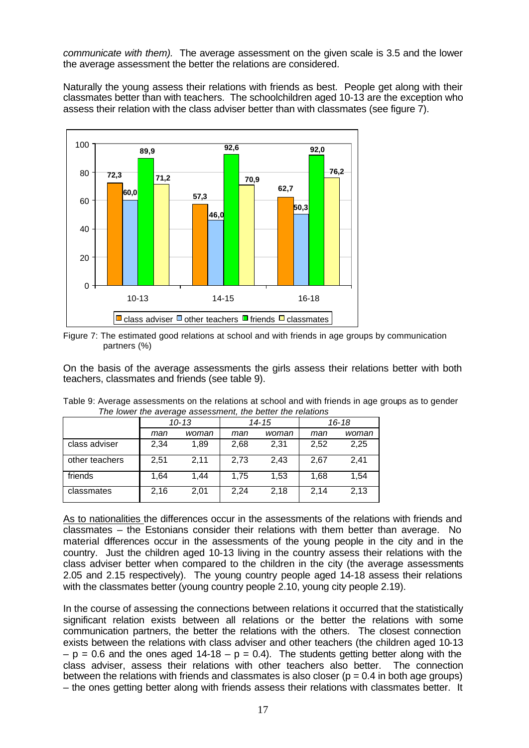*communicate with them).* The average assessment on the given scale is 3.5 and the lower the average assessment the better the relations are considered.

Naturally the young assess their relations with friends as best. People get along with their classmates better than with teachers. The schoolchildren aged 10-13 are the exception who assess their relation with the class adviser better than with classmates (see figure 7).





On the basis of the average assessments the girls assess their relations better with both teachers, classmates and friends (see table 9).

| The lower are average assessment, are better are relations |      |           |      |       |           |       |  |  |
|------------------------------------------------------------|------|-----------|------|-------|-----------|-------|--|--|
|                                                            |      | $10 - 13$ |      | 14-15 | $16 - 18$ |       |  |  |
|                                                            | man  | woman     | man  | woman | man       | woman |  |  |
| class adviser                                              | 2,34 | 1,89      | 2,68 | 2,31  | 2,52      | 2,25  |  |  |
| other teachers                                             | 2.51 | 2.11      | 2.73 | 2.43  | 2,67      | 2.41  |  |  |
| friends                                                    | 1,64 | 1.44      | 1.75 | 1.53  | 1.68      | 1,54  |  |  |
| classmates                                                 | 2,16 | 2.01      | 2,24 | 2,18  | 2,14      | 2,13  |  |  |

Table 9: Average assessments on the relations at school and with friends in age groups as to gender *The lower the average assessment, the better the relations* 

As to nationalities the differences occur in the assessments of the relations with friends and classmates – the Estonians consider their relations with them better than average. No material differences occur in the assessments of the young people in the city and in the country. Just the children aged 10-13 living in the country assess their relations with the class adviser better when compared to the children in the city (the average assessments 2.05 and 2.15 respectively). The young country people aged 14-18 assess their relations with the classmates better (young country people 2.10, young city people 2.19).

In the course of assessing the connections between relations it occurred that the statistically significant relation exists between all relations or the better the relations with some communication partners, the better the relations with the others. The closest connection exists between the relations with class adviser and other teachers (the children aged 10-13  $-p = 0.6$  and the ones aged 14-18 – p = 0.4). The students getting better along with the class adviser, assess their relations with other teachers also better. The connection between the relations with friends and classmates is also closer ( $p = 0.4$  in both age groups) – the ones getting better along with friends assess their relations with classmates better. It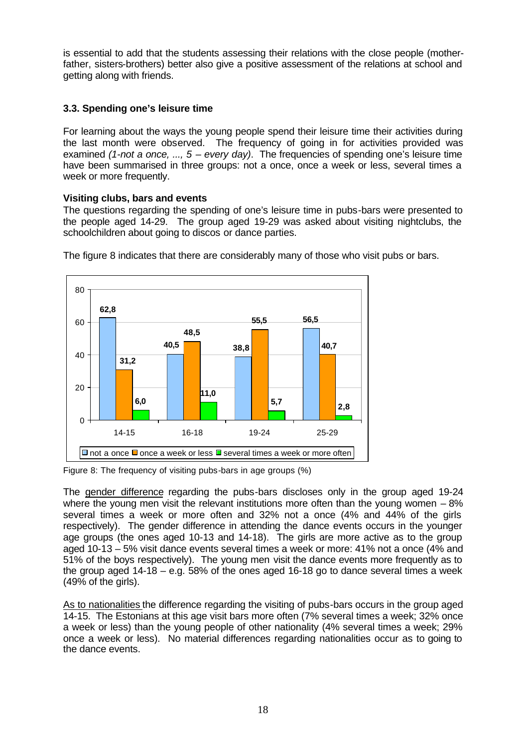is essential to add that the students assessing their relations with the close people (motherfather, sisters-brothers) better also give a positive assessment of the relations at school and getting along with friends.

# **3.3. Spending one's leisure time**

For learning about the ways the young people spend their leisure time their activities during the last month were observed. The frequency of going in for activities provided was examined *(1-not a once, ..., 5 – every day)*. The frequencies of spending one's leisure time have been summarised in three groups: not a once, once a week or less, several times a week or more frequently.

## **Visiting clubs, bars and events**

The questions regarding the spending of one's leisure time in pubs-bars were presented to the people aged 14-29. The group aged 19-29 was asked about visiting nightclubs, the schoolchildren about going to discos or dance parties.



The figure 8 indicates that there are considerably many of those who visit pubs or bars.

Figure 8: The frequency of visiting pubs-bars in age groups (%)

The gender difference regarding the pubs-bars discloses only in the group aged 19-24 where the young men visit the relevant institutions more often than the young women  $-8\%$ several times a week or more often and 32% not a once (4% and 44% of the girls respectively). The gender difference in attending the dance events occurs in the younger age groups (the ones aged 10-13 and 14-18). The girls are more active as to the group aged 10-13 – 5% visit dance events several times a week or more: 41% not a once (4% and 51% of the boys respectively). The young men visit the dance events more frequently as to the group aged 14-18 – e.g. 58% of the ones aged 16-18 go to dance several times a week (49% of the girls).

As to nationalities the difference regarding the visiting of pubs-bars occurs in the group aged 14-15. The Estonians at this age visit bars more often (7% several times a week; 32% once a week or less) than the young people of other nationality (4% several times a week; 29% once a week or less). No material differences regarding nationalities occur as to going to the dance events.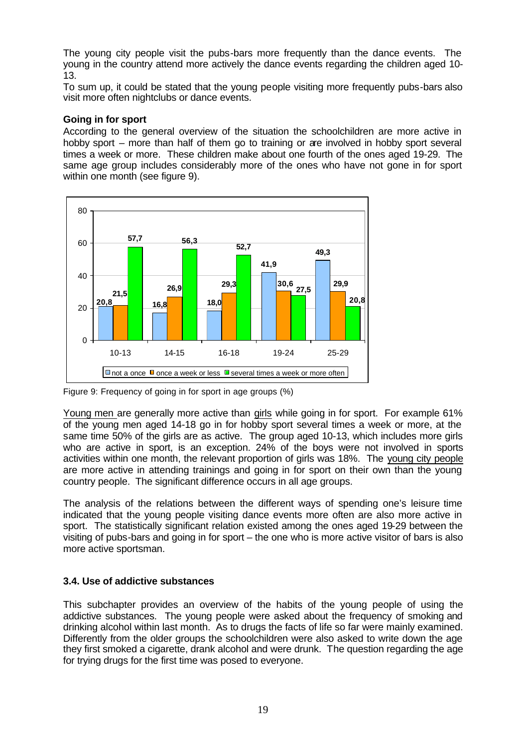The young city people visit the pubs-bars more frequently than the dance events. The young in the country attend more actively the dance events regarding the children aged 10- 13.

To sum up, it could be stated that the young people visiting more frequently pubs-bars also visit more often nightclubs or dance events.

## **Going in for sport**

According to the general overview of the situation the schoolchildren are more active in hobby sport – more than half of them go to training or are involved in hobby sport several times a week or more. These children make about one fourth of the ones aged 19-29. The same age group includes considerably more of the ones who have not gone in for sport within one month (see figure 9).



Figure 9: Frequency of going in for sport in age groups (%)

Young men are generally more active than girls while going in for sport. For example 61% of the young men aged 14-18 go in for hobby sport several times a week or more, at the same time 50% of the girls are as active. The group aged 10-13, which includes more girls who are active in sport, is an exception. 24% of the boys were not involved in sports activities within one month, the relevant proportion of girls was 18%. The young city people are more active in attending trainings and going in for sport on their own than the young country people. The significant difference occurs in all age groups.

The analysis of the relations between the different ways of spending one's leisure time indicated that the young people visiting dance events more often are also more active in sport. The statistically significant relation existed among the ones aged 19-29 between the visiting of pubs-bars and going in for sport – the one who is more active visitor of bars is also more active sportsman.

# **3.4. Use of addictive substances**

This subchapter provides an overview of the habits of the young people of using the addictive substances. The young people were asked about the frequency of smoking and drinking alcohol within last month. As to drugs the facts of life so far were mainly examined. Differently from the older groups the schoolchildren were also asked to write down the age they first smoked a cigarette, drank alcohol and were drunk. The question regarding the age for trying drugs for the first time was posed to everyone.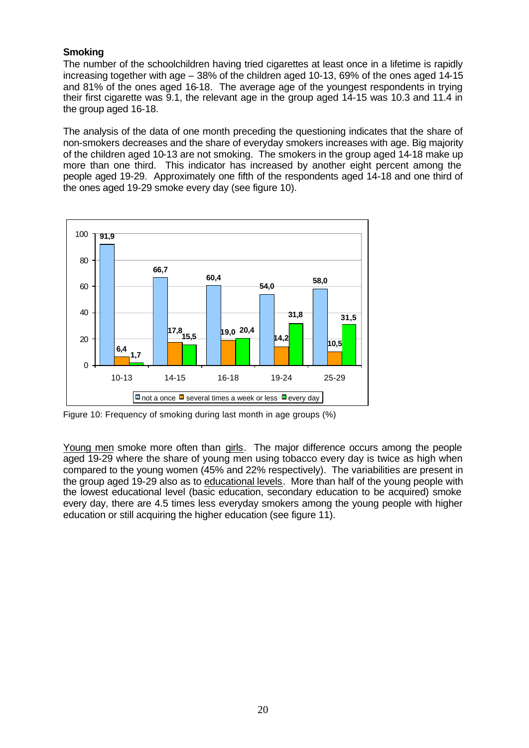# **Smoking**

The number of the schoolchildren having tried cigarettes at least once in a lifetime is rapidly increasing together with age – 38% of the children aged 10-13, 69% of the ones aged 14-15 and 81% of the ones aged 16-18. The average age of the youngest respondents in trying their first cigarette was 9.1, the relevant age in the group aged 14-15 was 10.3 and 11.4 in the group aged 16-18.

The analysis of the data of one month preceding the questioning indicates that the share of non-smokers decreases and the share of everyday smokers increases with age. Big majority of the children aged 10-13 are not smoking. The smokers in the group aged 14-18 make up more than one third. This indicator has increased by another eight percent among the people aged 19-29. Approximately one fifth of the respondents aged 14-18 and one third of the ones aged 19-29 smoke every day (see figure 10).



Figure 10: Frequency of smoking during last month in age groups (%)

Young men smoke more often than girls. The major difference occurs among the people aged 19-29 where the share of young men using tobacco every day is twice as high when compared to the young women (45% and 22% respectively). The variabilities are present in the group aged 19-29 also as to educational levels. More than half of the young people with the lowest educational level (basic education, secondary education to be acquired) smoke every day, there are 4.5 times less everyday smokers among the young people with higher education or still acquiring the higher education (see figure 11).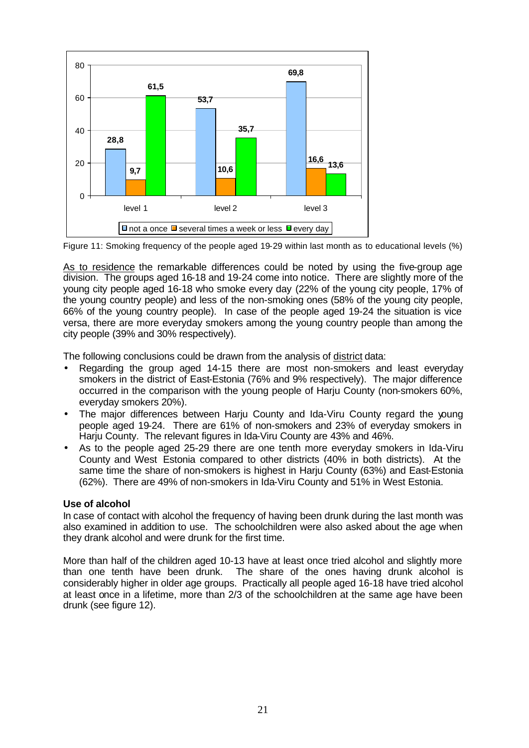

Figure 11: Smoking frequency of the people aged 19-29 within last month as to educational levels (%)

As to residence the remarkable differences could be noted by using the five-group age division. The groups aged 16-18 and 19-24 come into notice. There are slightly more of the young city people aged 16-18 who smoke every day (22% of the young city people, 17% of the young country people) and less of the non-smoking ones (58% of the young city people, 66% of the young country people). In case of the people aged 19-24 the situation is vice versa, there are more everyday smokers among the young country people than among the city people (39% and 30% respectively).

The following conclusions could be drawn from the analysis of district data:

- Regarding the group aged 14-15 there are most non-smokers and least everyday smokers in the district of East-Estonia (76% and 9% respectively). The major difference occurred in the comparison with the young people of Harju County (non-smokers 60%, everyday smokers 20%).
- The major differences between Harju County and Ida-Viru County regard the young people aged 19-24. There are 61% of non-smokers and 23% of everyday smokers in Harju County. The relevant figures in Ida-Viru County are 43% and 46%.
- As to the people aged 25-29 there are one tenth more everyday smokers in Ida-Viru County and West Estonia compared to other districts (40% in both districts). At the same time the share of non-smokers is highest in Harju County (63%) and East-Estonia (62%). There are 49% of non-smokers in Ida-Viru County and 51% in West Estonia.

## **Use of alcohol**

In case of contact with alcohol the frequency of having been drunk during the last month was also examined in addition to use. The schoolchildren were also asked about the age when they drank alcohol and were drunk for the first time.

More than half of the children aged 10-13 have at least once tried alcohol and slightly more than one tenth have been drunk. The share of the ones having drunk alcohol is considerably higher in older age groups. Practically all people aged 16-18 have tried alcohol at least once in a lifetime, more than 2/3 of the schoolchildren at the same age have been drunk (see figure 12).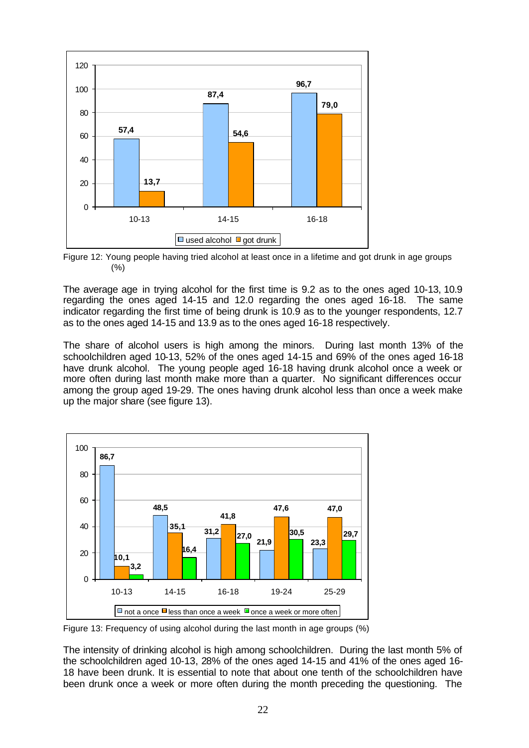

Figure 12: Young people having tried alcohol at least once in a lifetime and got drunk in age groups  $(% )$ 

The average age in trying alcohol for the first time is 9.2 as to the ones aged 10-13, 10.9 regarding the ones aged 14-15 and 12.0 regarding the ones aged 16-18. The same indicator regarding the first time of being drunk is 10.9 as to the younger respondents, 12.7 as to the ones aged 14-15 and 13.9 as to the ones aged 16-18 respectively.

The share of alcohol users is high among the minors. During last month 13% of the schoolchildren aged 10-13, 52% of the ones aged 14-15 and 69% of the ones aged 16-18 have drunk alcohol. The young people aged 16-18 having drunk alcohol once a week or more often during last month make more than a quarter. No significant differences occur among the group aged 19-29. The ones having drunk alcohol less than once a week make up the major share (see figure 13).



Figure 13: Frequency of using alcohol during the last month in age groups (%)

The intensity of drinking alcohol is high among schoolchildren. During the last month 5% of the schoolchildren aged 10-13, 28% of the ones aged 14-15 and 41% of the ones aged 16- 18 have been drunk. It is essential to note that about one tenth of the schoolchildren have been drunk once a week or more often during the month preceding the questioning. The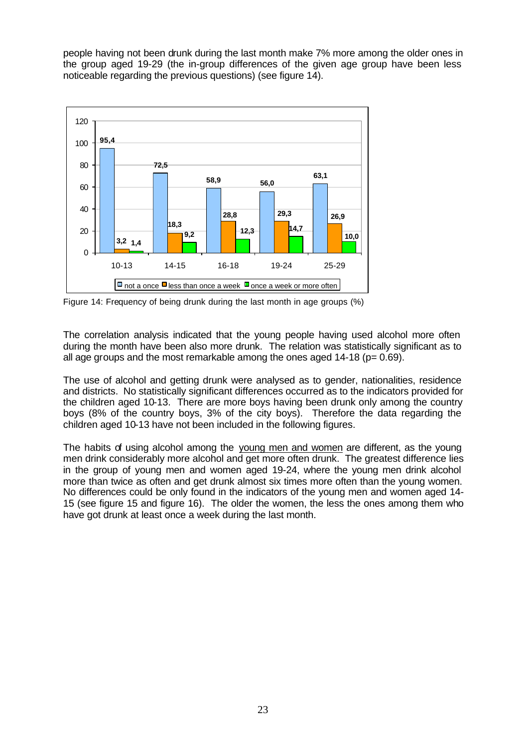people having not been drunk during the last month make 7% more among the older ones in the group aged 19-29 (the in-group differences of the given age group have been less noticeable regarding the previous questions) (see figure 14).



Figure 14: Frequency of being drunk during the last month in age groups (%)

The correlation analysis indicated that the young people having used alcohol more often during the month have been also more drunk. The relation was statistically significant as to all age groups and the most remarkable among the ones aged  $14-18$  ( $p= 0.69$ ).

The use of alcohol and getting drunk were analysed as to gender, nationalities, residence and districts. No statistically significant differences occurred as to the indicators provided for the children aged 10-13. There are more boys having been drunk only among the country boys (8% of the country boys, 3% of the city boys). Therefore the data regarding the children aged 10-13 have not been included in the following figures.

The habits of using alcohol among the young men and women are different, as the young men drink considerably more alcohol and get more often drunk. The greatest difference lies in the group of young men and women aged 19-24, where the young men drink alcohol more than twice as often and get drunk almost six times more often than the young women. No differences could be only found in the indicators of the young men and women aged 14- 15 (see figure 15 and figure 16). The older the women, the less the ones among them who have got drunk at least once a week during the last month.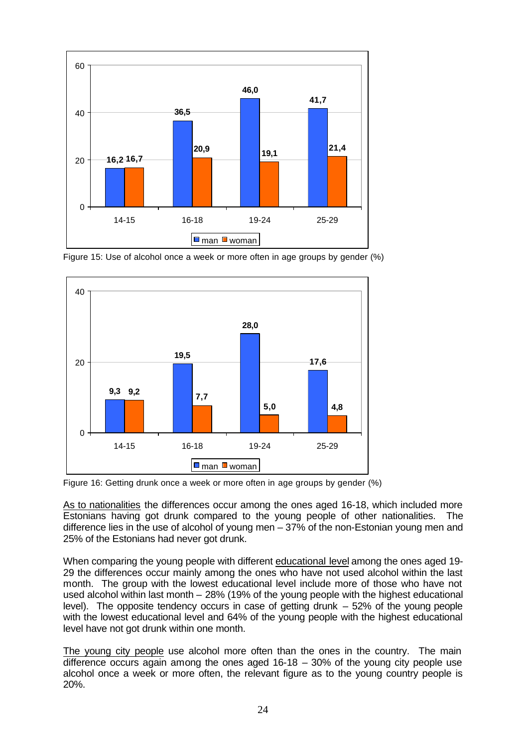

Figure 15: Use of alcohol once a week or more often in age groups by gender (%)



Figure 16: Getting drunk once a week or more often in age groups by gender (%)

As to nationalities the differences occur among the ones aged 16-18, which included more Estonians having got drunk compared to the young people of other nationalities. The difference lies in the use of alcohol of young men – 37% of the non-Estonian young men and 25% of the Estonians had never got drunk.

When comparing the young people with different educational level among the ones aged 19- 29 the differences occur mainly among the ones who have not used alcohol within the last month. The group with the lowest educational level include more of those who have not used alcohol within last month – 28% (19% of the young people with the highest educational level). The opposite tendency occurs in case of getting drunk – 52% of the young people with the lowest educational level and 64% of the young people with the highest educational level have not got drunk within one month.

The young city people use alcohol more often than the ones in the country. The main difference occurs again among the ones aged  $16-18 - 30\%$  of the young city people use alcohol once a week or more often, the relevant figure as to the young country people is 20%.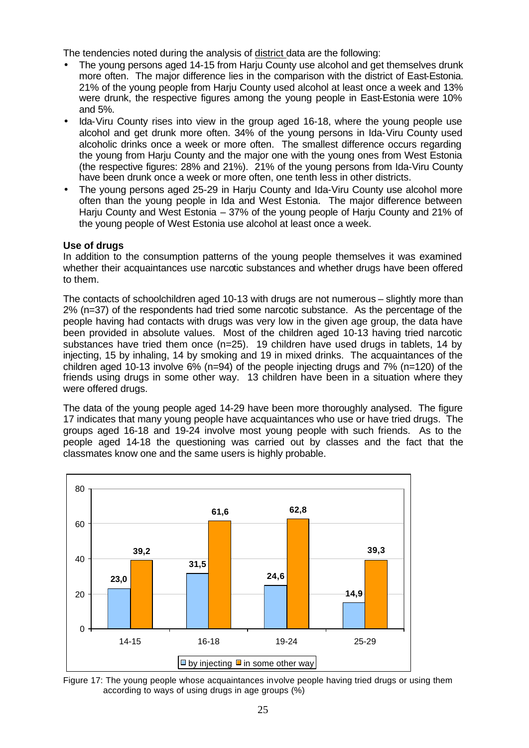The tendencies noted during the analysis of district data are the following:

- The young persons aged 14-15 from Harju County use alcohol and get themselves drunk more often. The major difference lies in the comparison with the district of East-Estonia. 21% of the young people from Harju County used alcohol at least once a week and 13% were drunk, the respective figures among the young people in East-Estonia were 10% and 5%.
- Ida-Viru County rises into view in the group aged 16-18, where the young people use alcohol and get drunk more often. 34% of the young persons in Ida-Viru County used alcoholic drinks once a week or more often. The smallest difference occurs regarding the young from Harju County and the major one with the young ones from West Estonia (the respective figures: 28% and 21%). 21% of the young persons from Ida-Viru County have been drunk once a week or more often, one tenth less in other districts.
- The young persons aged 25-29 in Harju County and Ida-Viru County use alcohol more often than the young people in Ida and West Estonia. The major difference between Harju County and West Estonia – 37% of the young people of Harju County and 21% of the young people of West Estonia use alcohol at least once a week.

## **Use of drugs**

In addition to the consumption patterns of the young people themselves it was examined whether their acquaintances use narcotic substances and whether drugs have been offered to them.

The contacts of schoolchildren aged 10-13 with drugs are not numerous – slightly more than 2% (n=37) of the respondents had tried some narcotic substance. As the percentage of the people having had contacts with drugs was very low in the given age group, the data have been provided in absolute values. Most of the children aged 10-13 having tried narcotic substances have tried them once (n=25). 19 children have used drugs in tablets, 14 by injecting, 15 by inhaling, 14 by smoking and 19 in mixed drinks. The acquaintances of the children aged 10-13 involve  $6\%$  (n=94) of the people injecting drugs and  $7\%$  (n=120) of the friends using drugs in some other way. 13 children have been in a situation where they were offered drugs.

The data of the young people aged 14-29 have been more thoroughly analysed. The figure 17 indicates that many young people have acquaintances who use or have tried drugs. The groups aged 16-18 and 19-24 involve most young people with such friends. As to the people aged 14-18 the questioning was carried out by classes and the fact that the classmates know one and the same users is highly probable.



Figure 17: The young people whose acquaintances involve people having tried drugs or using them according to ways of using drugs in age groups (%)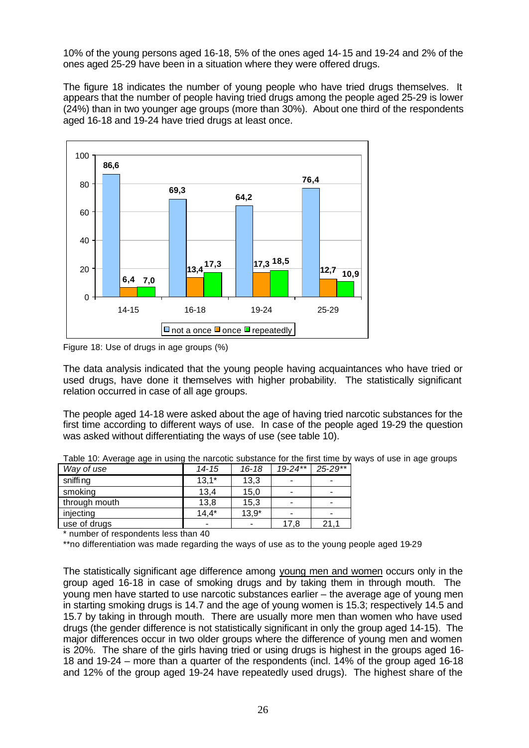10% of the young persons aged 16-18, 5% of the ones aged 14-15 and 19-24 and 2% of the ones aged 25-29 have been in a situation where they were offered drugs.

The figure 18 indicates the number of young people who have tried drugs themselves. It appears that the number of people having tried drugs among the people aged 25-29 is lower (24%) than in two younger age groups (more than 30%). About one third of the respondents aged 16-18 and 19-24 have tried drugs at least once.



Figure 18: Use of drugs in age groups (%)

The data analysis indicated that the young people having acquaintances who have tried or used drugs, have done it themselves with higher probability. The statistically significant relation occurred in case of all age groups.

The people aged 14-18 were asked about the age of having tried narcotic substances for the first time according to different ways of use. In case of the people aged 19-29 the question was asked without differentiating the ways of use (see table 10).

| radio Tor Aronago ago in aoing tho narootio oadotantoo for the miot time b |           |           |             |             |
|----------------------------------------------------------------------------|-----------|-----------|-------------|-------------|
| Way of use                                                                 | $14 - 15$ | $16 - 18$ | $19 - 24**$ | $25 - 29**$ |
| sniffi ng                                                                  | $13,1*$   | 13,3      |             |             |
| smoking                                                                    | 13,4      | 15,0      |             |             |
| through mouth                                                              | 13,8      | 15,3      |             |             |
| injecting                                                                  | $14.4*$   | $13,9*$   |             |             |
| use of drugs                                                               | -         |           | 17.8        | 21.         |

Table 10: Average age in using the narcotic substance for the first time by ways of use in age groups

\* number of respondents less than 40

\*\*no differentiation was made regarding the ways of use as to the young people aged 19-29

The statistically significant age difference among young men and women occurs only in the group aged 16-18 in case of smoking drugs and by taking them in through mouth. The young men have started to use narcotic substances earlier – the average age of young men in starting smoking drugs is 14.7 and the age of young women is 15.3; respectively 14.5 and 15.7 by taking in through mouth. There are usually more men than women who have used drugs (the gender difference is not statistically significant in only the group aged 14-15). The major differences occur in two older groups where the difference of young men and women is 20%. The share of the girls having tried or using drugs is highest in the groups aged 16- 18 and 19-24 – more than a quarter of the respondents (incl. 14% of the group aged 16-18 and 12% of the group aged 19-24 have repeatedly used drugs). The highest share of the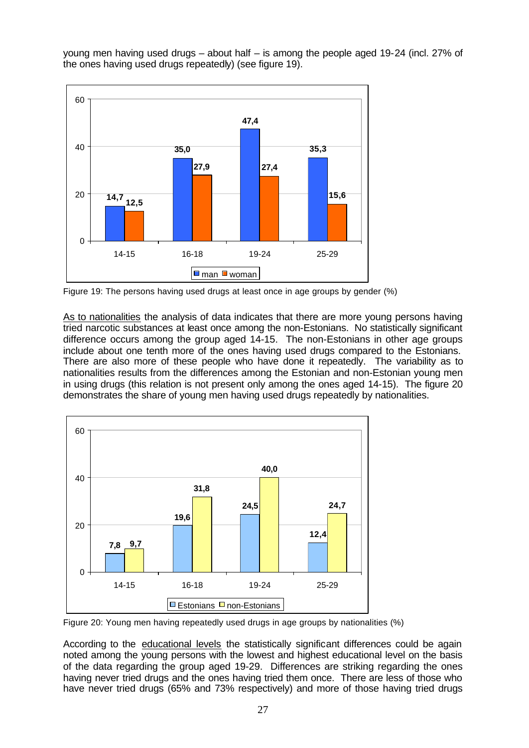young men having used drugs – about half – is among the people aged 19-24 (incl. 27% of the ones having used drugs repeatedly) (see figure 19).



Figure 19: The persons having used drugs at least once in age groups by gender (%)

As to nationalities the analysis of data indicates that there are more young persons having tried narcotic substances at least once among the non-Estonians. No statistically significant difference occurs among the group aged 14-15. The non-Estonians in other age groups include about one tenth more of the ones having used drugs compared to the Estonians. There are also more of these people who have done it repeatedly. The variability as to nationalities results from the differences among the Estonian and non-Estonian young men in using drugs (this relation is not present only among the ones aged 14-15). The figure 20 demonstrates the share of young men having used drugs repeatedly by nationalities.



Figure 20: Young men having repeatedly used drugs in age groups by nationalities (%)

According to the educational levels the statistically significant differences could be again noted among the young persons with the lowest and highest educational level on the basis of the data regarding the group aged 19-29. Differences are striking regarding the ones having never tried drugs and the ones having tried them once. There are less of those who have never tried drugs (65% and 73% respectively) and more of those having tried drugs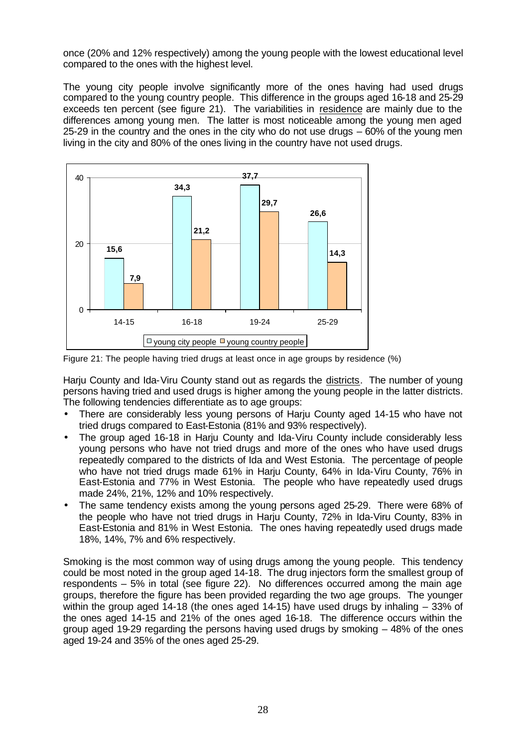once (20% and 12% respectively) among the young people with the lowest educational level compared to the ones with the highest level.

The young city people involve significantly more of the ones having had used drugs compared to the young country people. This difference in the groups aged 16-18 and 25-29 exceeds ten percent (see figure 21). The variabilities in residence are mainly due to the differences among young men. The latter is most noticeable among the young men aged 25-29 in the country and the ones in the city who do not use drugs – 60% of the young men living in the city and 80% of the ones living in the country have not used drugs.



Figure 21: The people having tried drugs at least once in age groups by residence (%)

Harju County and Ida-Viru County stand out as regards the districts. The number of young persons having tried and used drugs is higher among the young people in the latter districts. The following tendencies differentiate as to age groups:

- There are considerably less young persons of Harju County aged 14-15 who have not tried drugs compared to East-Estonia (81% and 93% respectively).
- The group aged 16-18 in Harju County and Ida-Viru County include considerably less young persons who have not tried drugs and more of the ones who have used drugs repeatedly compared to the districts of Ida and West Estonia. The percentage of people who have not tried drugs made 61% in Harju County, 64% in Ida-Viru County, 76% in East-Estonia and 77% in West Estonia. The people who have repeatedly used drugs made 24%, 21%, 12% and 10% respectively.
- The same tendency exists among the young persons aged 25-29. There were 68% of the people who have not tried drugs in Harju County, 72% in Ida-Viru County, 83% in East-Estonia and 81% in West Estonia. The ones having repeatedly used drugs made 18%, 14%, 7% and 6% respectively.

Smoking is the most common way of using drugs among the young people. This tendency could be most noted in the group aged 14-18. The drug injectors form the smallest group of respondents – 5% in total (see figure 22). No differences occurred among the main age groups, therefore the figure has been provided regarding the two age groups. The younger within the group aged 14-18 (the ones aged 14-15) have used drugs by inhaling – 33% of the ones aged 14-15 and 21% of the ones aged 16-18. The difference occurs within the group aged 19-29 regarding the persons having used drugs by smoking – 48% of the ones aged 19-24 and 35% of the ones aged 25-29.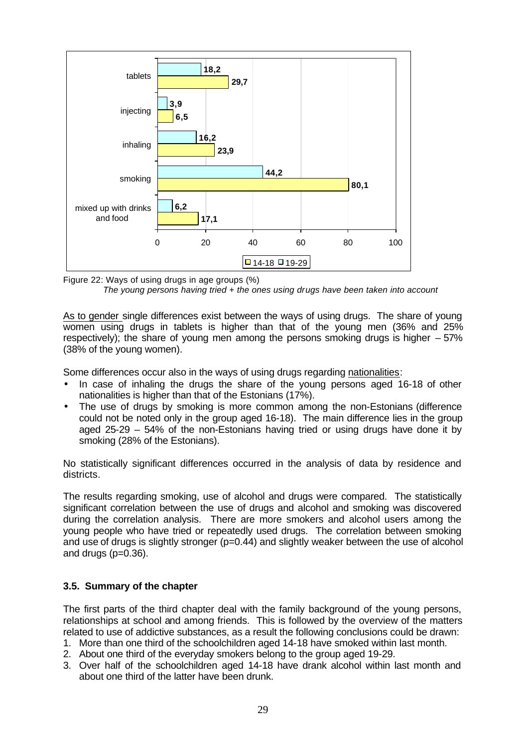

Figure 22: Ways of using drugs in age groups (%) *The young persons having tried + the ones using drugs have been taken into account* 

As to gender single differences exist between the ways of using drugs. The share of young women using drugs in tablets is higher than that of the young men (36% and 25% respectively); the share of young men among the persons smoking drugs is higher – 57% (38% of the young women).

Some differences occur also in the ways of using drugs regarding nationalities:

- In case of inhaling the drugs the share of the young persons aged 16-18 of other nationalities is higher than that of the Estonians (17%).
- The use of drugs by smoking is more common among the non-Estonians (difference could not be noted only in the group aged 16-18). The main difference lies in the group aged 25-29 – 54% of the non-Estonians having tried or using drugs have done it by smoking (28% of the Estonians).

No statistically significant differences occurred in the analysis of data by residence and districts.

The results regarding smoking, use of alcohol and drugs were compared. The statistically significant correlation between the use of drugs and alcohol and smoking was discovered during the correlation analysis. There are more smokers and alcohol users among the young people who have tried or repeatedly used drugs. The correlation between smoking and use of drugs is slightly stronger (p=0.44) and slightly weaker between the use of alcohol and drugs (p=0.36).

## **3.5. Summary of the chapter**

The first parts of the third chapter deal with the family background of the young persons, relationships at school and among friends. This is followed by the overview of the matters related to use of addictive substances, as a result the following conclusions could be drawn:

- 1. More than one third of the schoolchildren aged 14-18 have smoked within last month.
- 2. About one third of the everyday smokers belong to the group aged 19-29.
- 3. Over half of the schoolchildren aged 14-18 have drank alcohol within last month and about one third of the latter have been drunk.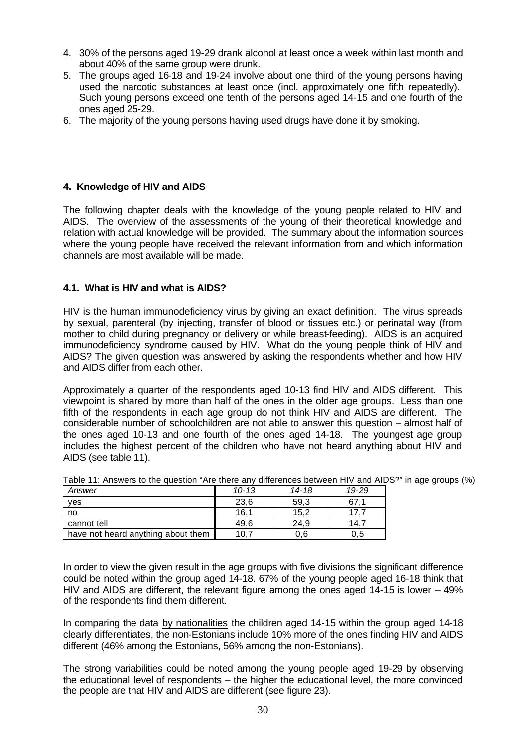- 4. 30% of the persons aged 19-29 drank alcohol at least once a week within last month and about 40% of the same group were drunk.
- 5. The groups aged 16-18 and 19-24 involve about one third of the young persons having used the narcotic substances at least once (incl. approximately one fifth repeatedly). Such young persons exceed one tenth of the persons aged 14-15 and one fourth of the ones aged 25-29.
- 6. The majority of the young persons having used drugs have done it by smoking.

## **4. Knowledge of HIV and AIDS**

The following chapter deals with the knowledge of the young people related to HIV and AIDS. The overview of the assessments of the young of their theoretical knowledge and relation with actual knowledge will be provided. The summary about the information sources where the young people have received the relevant information from and which information channels are most available will be made.

## **4.1. What is HIV and what is AIDS?**

HIV is the human immunodeficiency virus by giving an exact definition. The virus spreads by sexual, parenteral (by injecting, transfer of blood or tissues etc.) or perinatal way (from mother to child during pregnancy or delivery or while breast-feeding). AIDS is an acquired immunodeficiency syndrome caused by HIV. What do the young people think of HIV and AIDS? The given question was answered by asking the respondents whether and how HIV and AIDS differ from each other.

Approximately a quarter of the respondents aged 10-13 find HIV and AIDS different. This viewpoint is shared by more than half of the ones in the older age groups. Less than one fifth of the respondents in each age group do not think HIV and AIDS are different. The considerable number of schoolchildren are not able to answer this question – almost half of the ones aged 10-13 and one fourth of the ones aged 14-18. The youngest age group includes the highest percent of the children who have not heard anything about HIV and AIDS (see table 11).

| Answer                             | $10 - 13$ | 14-18 | 19-29 |
|------------------------------------|-----------|-------|-------|
| ves                                | 23,6      | 59,3  | 67.1  |
| no                                 | 16.1      | 15.2  |       |
| cannot tell                        | 49.6      | 24.9  | 14.7  |
| have not heard anything about them | 10.       | 0.6   | 0.5   |

|  | Table 11: Answers to the question "Are there any differences between HIV and AIDS?" in age groups (%) |
|--|-------------------------------------------------------------------------------------------------------|
|--|-------------------------------------------------------------------------------------------------------|

In order to view the given result in the age groups with five divisions the significant difference could be noted within the group aged 14-18. 67% of the young people aged 16-18 think that HIV and AIDS are different, the relevant figure among the ones aged 14-15 is lower – 49% of the respondents find them different.

In comparing the data by nationalities the children aged 14-15 within the group aged 14-18 clearly differentiates, the non-Estonians include 10% more of the ones finding HIV and AIDS different (46% among the Estonians, 56% among the non-Estonians).

The strong variabilities could be noted among the young people aged 19-29 by observing the educational level of respondents – the higher the educational level, the more convinced the people are that HIV and AIDS are different (see figure 23).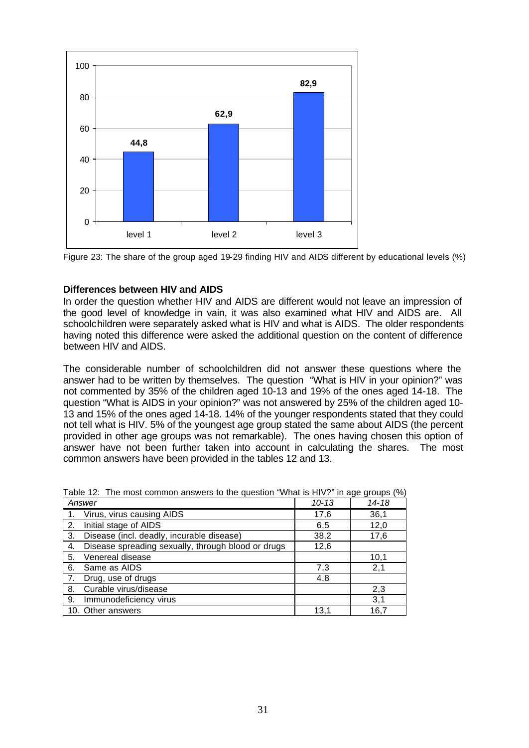

Figure 23: The share of the group aged 19-29 finding HIV and AIDS different by educational levels (%)

## **Differences between HIV and AIDS**

In order the question whether HIV and AIDS are different would not leave an impression of the good level of knowledge in vain, it was also examined what HIV and AIDS are. All schoolchildren were separately asked what is HIV and what is AIDS. The older respondents having noted this difference were asked the additional question on the content of difference between HIV and AIDS.

The considerable number of schoolchildren did not answer these questions where the answer had to be written by themselves. The question "What is HIV in your opinion?" was not commented by 35% of the children aged 10-13 and 19% of the ones aged 14-18. The question "What is AIDS in your opinion?" was not answered by 25% of the children aged 10- 13 and 15% of the ones aged 14-18. 14% of the younger respondents stated that they could not tell what is HIV. 5% of the youngest age group stated the same about AIDS (the percent provided in other age groups was not remarkable). The ones having chosen this option of answer have not been further taken into account in calculating the shares. The most common answers have been provided in the tables 12 and 13.

|    | Answer                                             | $10 - 13$ | 14-18 |
|----|----------------------------------------------------|-----------|-------|
|    | Virus, virus causing AIDS                          | 17,6      | 36,1  |
| 2. | Initial stage of AIDS                              | 6,5       | 12,0  |
| 3. | Disease (incl. deadly, incurable disease)          | 38,2      | 17,6  |
| 4. | Disease spreading sexually, through blood or drugs | 12,6      |       |
| 5. | Venereal disease                                   |           | 10,1  |
| 6. | Same as AIDS                                       | 7,3       | 2,1   |
|    | Drug, use of drugs                                 | 4,8       |       |
| 8. | Curable virus/disease                              |           | 2,3   |
| 9. | Immunodeficiency virus                             |           | 3,1   |
|    | 10. Other answers                                  | 13,1      | 16,7  |

Table 12: The most common answers to the question "What is HIV?" in age groups (%)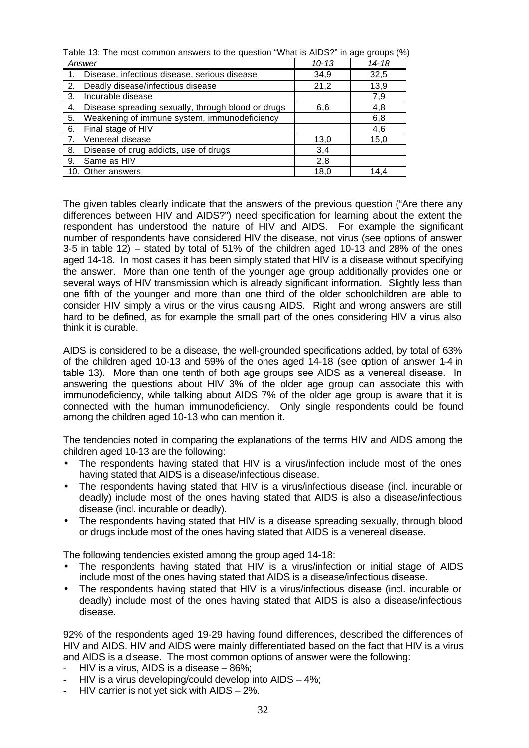| Table 13: The most common answers to the question "What is AIDS?" in age groups (%) |           |       |  |
|-------------------------------------------------------------------------------------|-----------|-------|--|
| Answer                                                                              | $10 - 13$ | 14-18 |  |
| Disease, infectious disease, serious disease<br>1.                                  | 34,9      | 32,5  |  |
| Deadly disease/infectious disease<br>2.                                             | 21,2      | 13,9  |  |
| Incurable disease<br>3.                                                             |           | 7,9   |  |
| Disease spreading sexually, through blood or drugs<br>4.                            | 6,6       | 4,8   |  |
| Weakening of immune system, immunodeficiency<br>5.                                  |           | 6,8   |  |
| Final stage of HIV<br>6.                                                            |           | 4,6   |  |
| Venereal disease<br>7.                                                              | 13,0      | 15,0  |  |
| Disease of drug addicts, use of drugs<br>8.                                         | 3,4       |       |  |
| Same as HIV<br>9.                                                                   | 2,8       |       |  |
| 10. Other answers                                                                   | 18,0      | 14,4  |  |

The given tables clearly indicate that the answers of the previous question ("Are there any differences between HIV and AIDS?") need specification for learning about the extent the respondent has understood the nature of HIV and AIDS. For example the significant number of respondents have considered HIV the disease, not virus (see options of answer 3-5 in table 12) – stated by total of 51% of the children aged 10-13 and 28% of the ones aged 14-18. In most cases it has been simply stated that HIV is a disease without specifying the answer. More than one tenth of the younger age group additionally provides one or several ways of HIV transmission which is already significant information. Slightly less than one fifth of the younger and more than one third of the older schoolchildren are able to consider HIV simply a virus or the virus causing AIDS. Right and wrong answers are still hard to be defined, as for example the small part of the ones considering HIV a virus also think it is curable.

AIDS is considered to be a disease, the well-grounded specifications added, by total of 63% of the children aged 10-13 and 59% of the ones aged 14-18 (see option of answer 1-4 in table 13). More than one tenth of both age groups see AIDS as a venereal disease. In answering the questions about HIV 3% of the older age group can associate this with immunodeficiency, while talking about AIDS 7% of the older age group is aware that it is connected with the human immunodeficiency. Only single respondents could be found among the children aged 10-13 who can mention it.

The tendencies noted in comparing the explanations of the terms HIV and AIDS among the children aged 10-13 are the following:

- The respondents having stated that HIV is a virus/infection include most of the ones having stated that AIDS is a disease/infectious disease.
- The respondents having stated that HIV is a virus/infectious disease (incl. incurable or deadly) include most of the ones having stated that AIDS is also a disease/infectious disease (incl. incurable or deadly).
- The respondents having stated that HIV is a disease spreading sexually, through blood or drugs include most of the ones having stated that AIDS is a venereal disease.

The following tendencies existed among the group aged 14-18:

- The respondents having stated that HIV is a virus/infection or initial stage of AIDS include most of the ones having stated that AIDS is a disease/infectious disease.
- The respondents having stated that HIV is a virus/infectious disease (incl. incurable or deadly) include most of the ones having stated that AIDS is also a disease/infectious disease.

92% of the respondents aged 19-29 having found differences, described the differences of HIV and AIDS. HIV and AIDS were mainly differentiated based on the fact that HIV is a virus and AIDS is a disease. The most common options of answer were the following:

- HIV is a virus, AIDS is a disease  $-86\%$ ;
- HIV is a virus developing/could develop into  $AIDS 4\%$ ;
- HIV carrier is not yet sick with  $AIDS 2\%$ .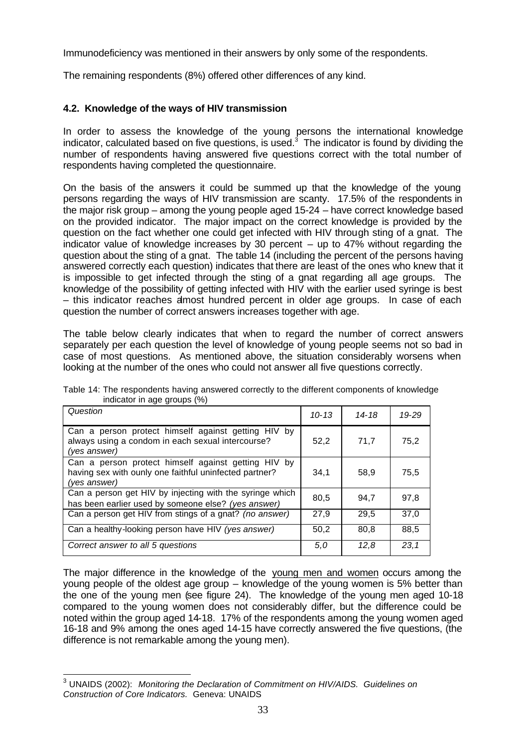Immunodeficiency was mentioned in their answers by only some of the respondents.

The remaining respondents (8%) offered other differences of any kind.

# **4.2. Knowledge of the ways of HIV transmission**

In order to assess the knowledge of the young persons the international knowledge indicator, calculated based on five questions, is used.<sup>3</sup> The indicator is found by dividing the number of respondents having answered five questions correct with the total number of respondents having completed the questionnaire.

On the basis of the answers it could be summed up that the knowledge of the young persons regarding the ways of HIV transmission are scanty. 17.5% of the respondents in the major risk group – among the young people aged 15-24 – have correct knowledge based on the provided indicator. The major impact on the correct knowledge is provided by the question on the fact whether one could get infected with HIV through sting of a gnat. The indicator value of knowledge increases by 30 percent – up to 47% without regarding the question about the sting of a gnat. The table 14 (including the percent of the persons having answered correctly each question) indicates that there are least of the ones who knew that it is impossible to get infected through the sting of a gnat regarding all age groups. The knowledge of the possibility of getting infected with HIV with the earlier used syringe is best – this indicator reaches almost hundred percent in older age groups. In case of each question the number of correct answers increases together with age.

The table below clearly indicates that when to regard the number of correct answers separately per each question the level of knowledge of young people seems not so bad in case of most questions. As mentioned above, the situation considerably worsens when looking at the number of the ones who could not answer all five questions correctly.

| Question                                                                                                                      | $10 - 13$ | 14-18 | 19-29 |
|-------------------------------------------------------------------------------------------------------------------------------|-----------|-------|-------|
| Can a person protect himself against getting HIV by<br>always using a condom in each sexual intercourse?<br>(ves answer)      | 52,2      | 71,7  | 75,2  |
| Can a person protect himself against getting HIV by<br>having sex with ounly one faithful uninfected partner?<br>(yes answer) | 34,1      | 58,9  | 75,5  |
| Can a person get HIV by injecting with the syringe which<br>has been earlier used by someone else? (yes answer)               | 80,5      | 94.7  | 97.8  |
| Can a person get HIV from stings of a gnat? (no answer)                                                                       | 27,9      | 29.5  | 37,0  |
| Can a healthy-looking person have HIV (yes answer)                                                                            | 50,2      | 80.8  | 88,5  |
| Correct answer to all 5 questions                                                                                             | 5,0       | 12,8  | 23,1  |

Table 14: The respondents having answered correctly to the different components of knowledge indicator in age groups (%)

The major difference in the knowledge of the young men and women occurs among the young people of the oldest age group – knowledge of the young women is 5% better than the one of the young men (see figure 24). The knowledge of the young men aged 10-18 compared to the young women does not considerably differ, but the difference could be noted within the group aged 14-18. 17% of the respondents among the young women aged 16-18 and 9% among the ones aged 14-15 have correctly answered the five questions, (the difference is not remarkable among the young men).

 3 UNAIDS (2002): *Monitoring the Declaration of Commitment on HIV/AIDS. Guidelines on Construction of Core Indicators.* Geneva: UNAIDS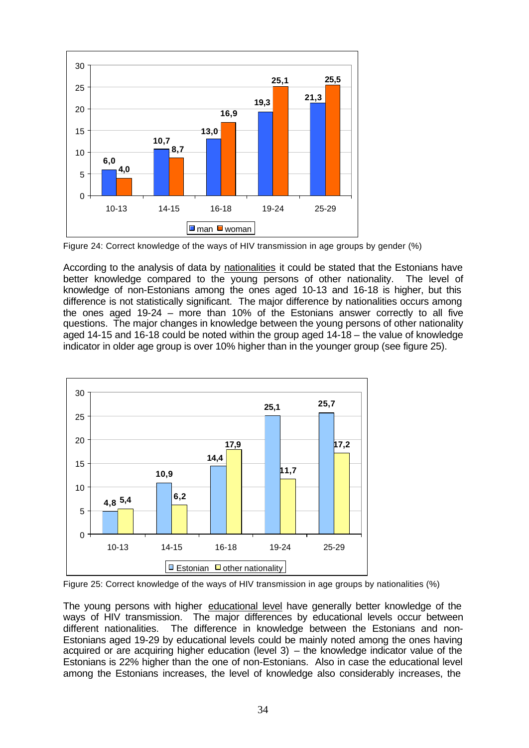

Figure 24: Correct knowledge of the ways of HIV transmission in age groups by gender (%)

According to the analysis of data by nationalities it could be stated that the Estonians have better knowledge compared to the young persons of other nationality. The level of knowledge of non-Estonians among the ones aged 10-13 and 16-18 is higher, but this difference is not statistically significant. The major difference by nationalities occurs among the ones aged 19-24 – more than 10% of the Estonians answer correctly to all five questions. The major changes in knowledge between the young persons of other nationality aged 14-15 and 16-18 could be noted within the group aged 14-18 – the value of knowledge indicator in older age group is over 10% higher than in the younger group (see figure 25).



Figure 25: Correct knowledge of the ways of HIV transmission in age groups by nationalities (%)

The young persons with higher educational level have generally better knowledge of the ways of HIV transmission. The major differences by educational levels occur between different nationalities. The difference in knowledge between the Estonians and non-Estonians aged 19-29 by educational levels could be mainly noted among the ones having acquired or are acquiring higher education (level  $3)$  – the knowledge indicator value of the Estonians is 22% higher than the one of non-Estonians. Also in case the educational level among the Estonians increases, the level of knowledge also considerably increases, the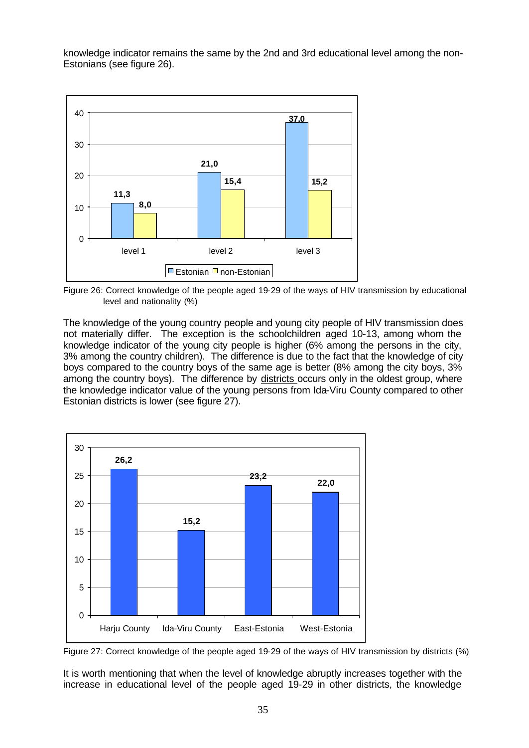knowledge indicator remains the same by the 2nd and 3rd educational level among the non-Estonians (see figure 26).



Figure 26: Correct knowledge of the people aged 19-29 of the ways of HIV transmission by educational level and nationality (%)

The knowledge of the young country people and young city people of HIV transmission does not materially differ. The exception is the schoolchildren aged 10-13, among whom the knowledge indicator of the young city people is higher (6% among the persons in the city, 3% among the country children). The difference is due to the fact that the knowledge of city boys compared to the country boys of the same age is better (8% among the city boys, 3% among the country boys). The difference by districts occurs only in the oldest group, where the knowledge indicator value of the young persons from Ida-Viru County compared to other Estonian districts is lower (see figure 27).



Figure 27: Correct knowledge of the people aged 19-29 of the ways of HIV transmission by districts (%)

It is worth mentioning that when the level of knowledge abruptly increases together with the increase in educational level of the people aged 19-29 in other districts, the knowledge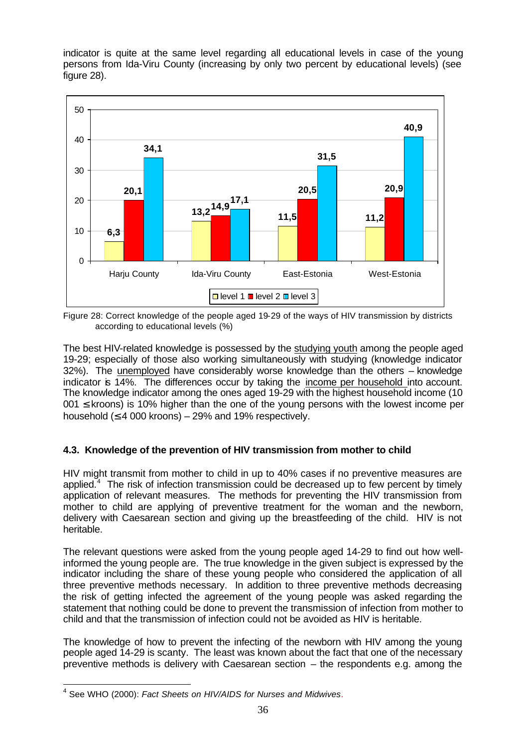indicator is quite at the same level regarding all educational levels in case of the young persons from Ida-Viru County (increasing by only two percent by educational levels) (see figure 28).



Figure 28: Correct knowledge of the people aged 19-29 of the ways of HIV transmission by districts according to educational levels (%)

The best HIV-related knowledge is possessed by the studying youth among the people aged 19-29; especially of those also working simultaneously with studying (knowledge indicator 32%). The unemployed have considerably worse knowledge than the others – knowledge indicator is 14%. The differences occur by taking the income per household into account. The knowledge indicator among the ones aged 19-29 with the highest household income (10  $001 \le$  kroons) is 10% higher than the one of the young persons with the lowest income per household  $(≤ 4 000 kroons) – 29%$  and 19% respectively.

# **4.3. Knowledge of the prevention of HIV transmission from mother to child**

HIV might transmit from mother to child in up to 40% cases if no preventive measures are applied. $4$  The risk of infection transmission could be decreased up to few percent by timely application of relevant measures. The methods for preventing the HIV transmission from mother to child are applying of preventive treatment for the woman and the newborn, delivery with Caesarean section and giving up the breastfeeding of the child. HIV is not heritable.

The relevant questions were asked from the young people aged 14-29 to find out how wellinformed the young people are. The true knowledge in the given subject is expressed by the indicator including the share of these young people who considered the application of all three preventive methods necessary. In addition to three preventive methods decreasing the risk of getting infected the agreement of the young people was asked regarding the statement that nothing could be done to prevent the transmission of infection from mother to child and that the transmission of infection could not be avoided as HIV is heritable.

The knowledge of how to prevent the infecting of the newborn with HIV among the young people aged 14-29 is scanty. The least was known about the fact that one of the necessary preventive methods is delivery with Caesarean section – the respondents e.g. among the

 4 See WHO (2000): *Fact Sheets on HIV/AIDS for Nurses and Midwives.*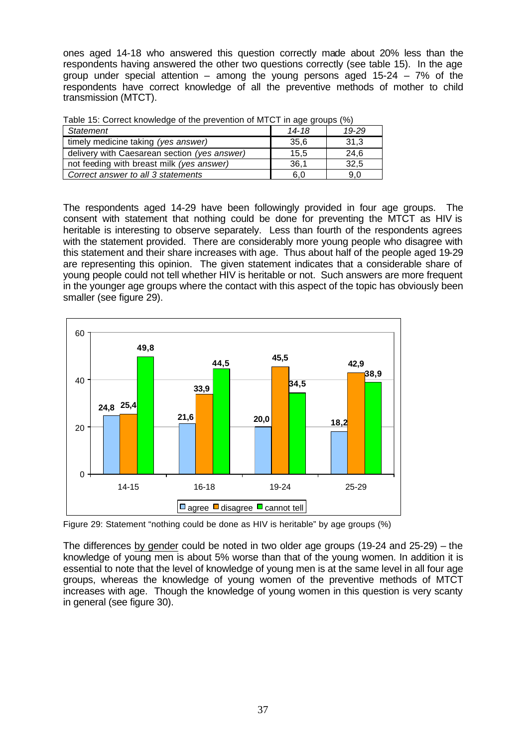ones aged 14-18 who answered this question correctly made about 20% less than the respondents having answered the other two questions correctly (see table 15). In the age group under special attention – among the young persons aged 15-24 – 7% of the respondents have correct knowledge of all the preventive methods of mother to child transmission (MTCT).

| <b>Table 10. Obtical Milowicage of the prevention of MTOT in age groups (70)</b> |       |       |  |
|----------------------------------------------------------------------------------|-------|-------|--|
| Statement                                                                        | 14-18 | 19-29 |  |
| timely medicine taking (yes answer)                                              | 35,6  | 31,3  |  |
| delivery with Caesarean section (yes answer)                                     | 15.5  | 24,6  |  |
| not feeding with breast milk (yes answer)                                        | 36.1  | 32.5  |  |
| Correct answer to all 3 statements                                               | 6.0   | 9.0   |  |

Table 15: Correct knowledge of the prevention of MTCT in age groups (%)

The respondents aged 14-29 have been followingly provided in four age groups. The consent with statement that nothing could be done for preventing the MTCT as HIV is heritable is interesting to observe separately. Less than fourth of the respondents agrees with the statement provided. There are considerably more young people who disagree with this statement and their share increases with age. Thus about half of the people aged 19-29 are representing this opinion. The given statement indicates that a considerable share of young people could not tell whether HIV is heritable or not. Such answers are more frequent in the younger age groups where the contact with this aspect of the topic has obviously been smaller (see figure 29).



Figure 29: Statement "nothing could be done as HIV is heritable" by age groups (%)

The differences by gender could be noted in two older age groups (19-24 and 25-29) – the knowledge of young men is about 5% worse than that of the young women. In addition it is essential to note that the level of knowledge of young men is at the same level in all four age groups, whereas the knowledge of young women of the preventive methods of MTCT increases with age. Though the knowledge of young women in this question is very scanty in general (see figure 30).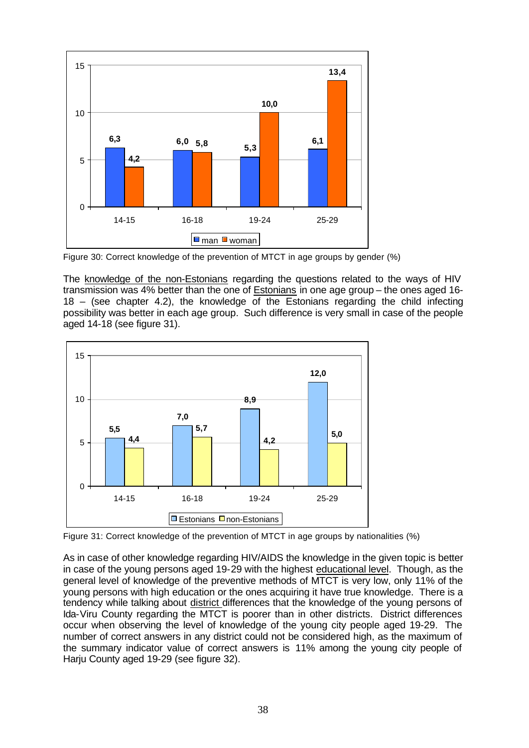

Figure 30: Correct knowledge of the prevention of MTCT in age groups by gender (%)

The knowledge of the non-Estonians regarding the questions related to the ways of HIV transmission was 4% better than the one of Estonians in one age group – the ones aged 16- 18 – (see chapter 4.2), the knowledge of the Estonians regarding the child infecting possibility was better in each age group. Such difference is very small in case of the people aged 14-18 (see figure 31).



Figure 31: Correct knowledge of the prevention of MTCT in age groups by nationalities (%)

As in case of other knowledge regarding HIV/AIDS the knowledge in the given topic is better in case of the young persons aged 19-29 with the highest educational level. Though, as the general level of knowledge of the preventive methods of MTCT is very low, only 11% of the young persons with high education or the ones acquiring it have true knowledge. There is a tendency while talking about district differences that the knowledge of the young persons of Ida-Viru County regarding the MTCT is poorer than in other districts. District differences occur when observing the level of knowledge of the young city people aged 19-29. The number of correct answers in any district could not be considered high, as the maximum of the summary indicator value of correct answers is 11% among the young city people of Harju County aged 19-29 (see figure 32).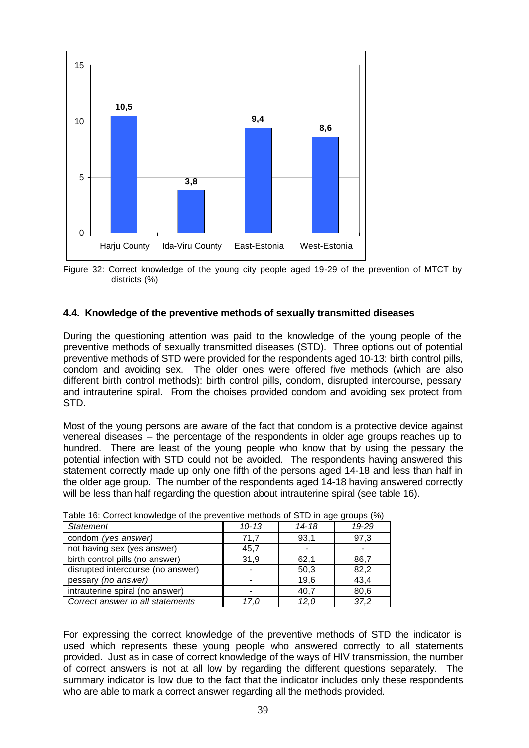

Figure 32: Correct knowledge of the young city people aged 19-29 of the prevention of MTCT by districts (%)

# **4.4. Knowledge of the preventive methods of sexually transmitted diseases**

During the questioning attention was paid to the knowledge of the young people of the preventive methods of sexually transmitted diseases (STD). Three options out of potential preventive methods of STD were provided for the respondents aged 10-13: birth control pills, condom and avoiding sex. The older ones were offered five methods (which are also different birth control methods): birth control pills, condom, disrupted intercourse, pessary and intrauterine spiral. From the choises provided condom and avoiding sex protect from STD.

Most of the young persons are aware of the fact that condom is a protective device against venereal diseases – the percentage of the respondents in older age groups reaches up to hundred. There are least of the young people who know that by using the pessary the potential infection with STD could not be avoided. The respondents having answered this statement correctly made up only one fifth of the persons aged 14-18 and less than half in the older age group. The number of the respondents aged 14-18 having answered correctly will be less than half regarding the question about intrauterine spiral (see table 16).

| <b>Statement</b>                  | $10 - 13$ | $14 - 18$ | 19-29 |
|-----------------------------------|-----------|-----------|-------|
| condom (yes answer)               | 71,7      | 93,1      | 97,3  |
| not having sex (yes answer)       | 45,7      |           |       |
| birth control pills (no answer)   | 31,9      | 62,1      | 86,7  |
| disrupted intercourse (no answer) |           | 50,3      | 82,2  |
| pessary (no answer)               |           | 19,6      | 43,4  |
| intrauterine spiral (no answer)   |           | 40,7      | 80,6  |
| Correct answer to all statements  | 17.0      | 12.0      | 37,2  |

Table 16: Correct knowledge of the preventive methods of STD in age groups (%)

For expressing the correct knowledge of the preventive methods of STD the indicator is used which represents these young people who answered correctly to all statements provided. Just as in case of correct knowledge of the ways of HIV transmission, the number of correct answers is not at all low by regarding the different questions separately. The summary indicator is low due to the fact that the indicator includes only these respondents who are able to mark a correct answer regarding all the methods provided.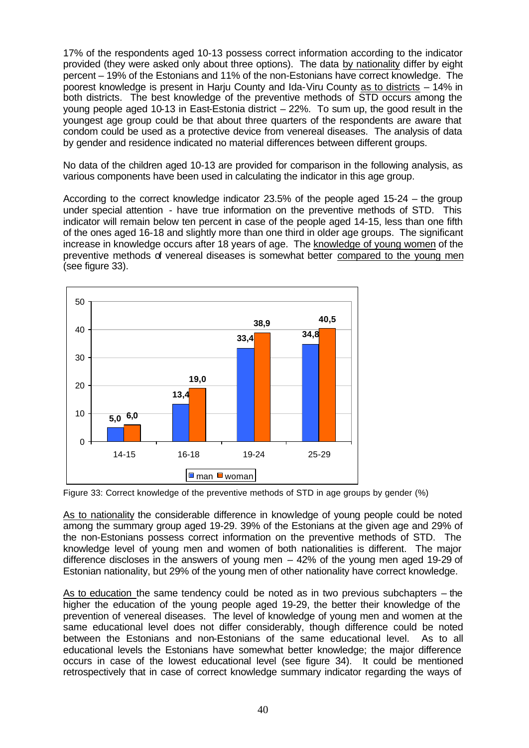17% of the respondents aged 10-13 possess correct information according to the indicator provided (they were asked only about three options). The data by nationality differ by eight percent – 19% of the Estonians and 11% of the non-Estonians have correct knowledge. The poorest knowledge is present in Harju County and Ida-Viru County as to districts – 14% in both districts. The best knowledge of the preventive methods of STD occurs among the young people aged 10-13 in East-Estonia district – 22%. To sum up, the good result in the youngest age group could be that about three quarters of the respondents are aware that condom could be used as a protective device from venereal diseases. The analysis of data by gender and residence indicated no material differences between different groups.

No data of the children aged 10-13 are provided for comparison in the following analysis, as various components have been used in calculating the indicator in this age group.

According to the correct knowledge indicator 23.5% of the people aged 15-24 – the group under special attention - have true information on the preventive methods of STD. This indicator will remain below ten percent in case of the people aged 14-15, less than one fifth of the ones aged 16-18 and slightly more than one third in older age groups. The significant increase in knowledge occurs after 18 years of age. The knowledge of young women of the preventive methods of venereal diseases is somewhat better compared to the young men (see figure 33).



Figure 33: Correct knowledge of the preventive methods of STD in age groups by gender (%)

As to nationality the considerable difference in knowledge of young people could be noted among the summary group aged 19-29. 39% of the Estonians at the given age and 29% of the non-Estonians possess correct information on the preventive methods of STD. The knowledge level of young men and women of both nationalities is different. The major difference discloses in the answers of young men – 42% of the young men aged 19-29 of Estonian nationality, but 29% of the young men of other nationality have correct knowledge.

As to education the same tendency could be noted as in two previous subchapters – the higher the education of the young people aged 19-29, the better their knowledge of the prevention of venereal diseases. The level of knowledge of young men and women at the same educational level does not differ considerably, though difference could be noted between the Estonians and non-Estonians of the same educational level. As to all educational levels the Estonians have somewhat better knowledge; the major difference occurs in case of the lowest educational level (see figure 34). It could be mentioned retrospectively that in case of correct knowledge summary indicator regarding the ways of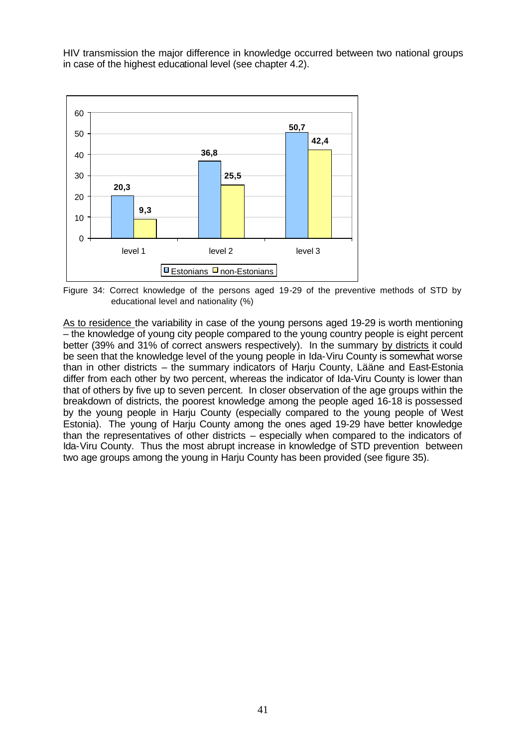HIV transmission the major difference in knowledge occurred between two national groups in case of the highest educational level (see chapter 4.2).



Figure 34: Correct knowledge of the persons aged 19-29 of the preventive methods of STD by educational level and nationality (%)

As to residence the variability in case of the young persons aged 19-29 is worth mentioning – the knowledge of young city people compared to the young country people is eight percent better (39% and 31% of correct answers respectively). In the summary by districts it could be seen that the knowledge level of the young people in Ida-Viru County is somewhat worse than in other districts – the summary indicators of Harju County, Lääne and East-Estonia differ from each other by two percent, whereas the indicator of Ida-Viru County is lower than that of others by five up to seven percent. In closer observation of the age groups within the breakdown of districts, the poorest knowledge among the people aged 16-18 is possessed by the young people in Harju County (especially compared to the young people of West Estonia). The young of Harju County among the ones aged 19-29 have better knowledge than the representatives of other districts – especially when compared to the indicators of Ida-Viru County. Thus the most abrupt increase in knowledge of STD prevention between two age groups among the young in Harju County has been provided (see figure 35).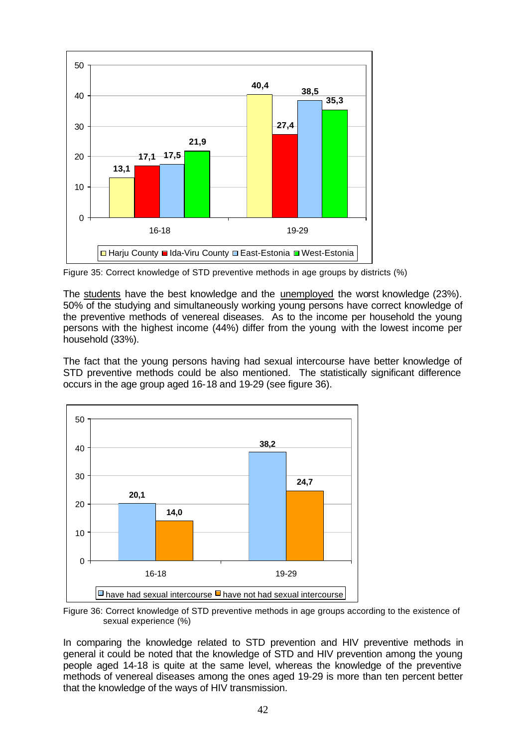

Figure 35: Correct knowledge of STD preventive methods in age groups by districts (%)

The students have the best knowledge and the unemployed the worst knowledge (23%). 50% of the studying and simultaneously working young persons have correct knowledge of the preventive methods of venereal diseases. As to the income per household the young persons with the highest income (44%) differ from the young with the lowest income per household (33%).

The fact that the young persons having had sexual intercourse have better knowledge of STD preventive methods could be also mentioned. The statistically significant difference occurs in the age group aged 16-18 and 19-29 (see figure 36).



Figure 36: Correct knowledge of STD preventive methods in age groups according to the existence of sexual experience (%)

In comparing the knowledge related to STD prevention and HIV preventive methods in general it could be noted that the knowledge of STD and HIV prevention among the young people aged 14-18 is quite at the same level, whereas the knowledge of the preventive methods of venereal diseases among the ones aged 19-29 is more than ten percent better that the knowledge of the ways of HIV transmission.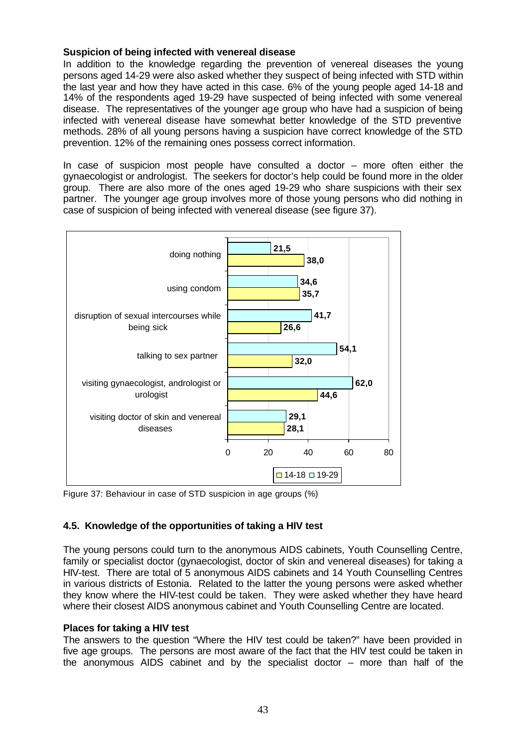# **Suspicion of being infected with venereal disease**

In addition to the knowledge regarding the prevention of venereal diseases the young persons aged 14-29 were also asked whether they suspect of being infected with STD within the last year and how they have acted in this case. 6% of the young people aged 14-18 and 14% of the respondents aged 19-29 have suspected of being infected with some venereal disease. The representatives of the younger age group who have had a suspicion of being infected with venereal disease have somewhat better knowledge of the STD preventive methods. 28% of all young persons having a suspicion have correct knowledge of the STD prevention. 12% of the remaining ones possess correct information.

In case of suspicion most people have consulted a doctor – more often either the gynaecologist or andrologist. The seekers for doctor's help could be found more in the older group. There are also more of the ones aged 19-29 who share suspicions with their sex partner. The younger age group involves more of those young persons who did nothing in case of suspicion of being infected with venereal disease (see figure 37).



Figure 37: Behaviour in case of STD suspicion in age groups (%)

# **4.5. Knowledge of the opportunities of taking a HIV test**

The young persons could turn to the anonymous AIDS cabinets, Youth Counselling Centre, family or specialist doctor (gynaecologist, doctor of skin and venereal diseases) for taking a HIV-test. There are total of 5 anonymous AIDS cabinets and 14 Youth Counselling Centres in various districts of Estonia. Related to the latter the young persons were asked whether they know where the HIV-test could be taken. They were asked whether they have heard where their closest AIDS anonymous cabinet and Youth Counselling Centre are located.

### **Places for taking a HIV test**

The answers to the question "Where the HIV test could be taken?" have been provided in five age groups. The persons are most aware of the fact that the HIV test could be taken in the anonymous AIDS cabinet and by the specialist doctor – more than half of the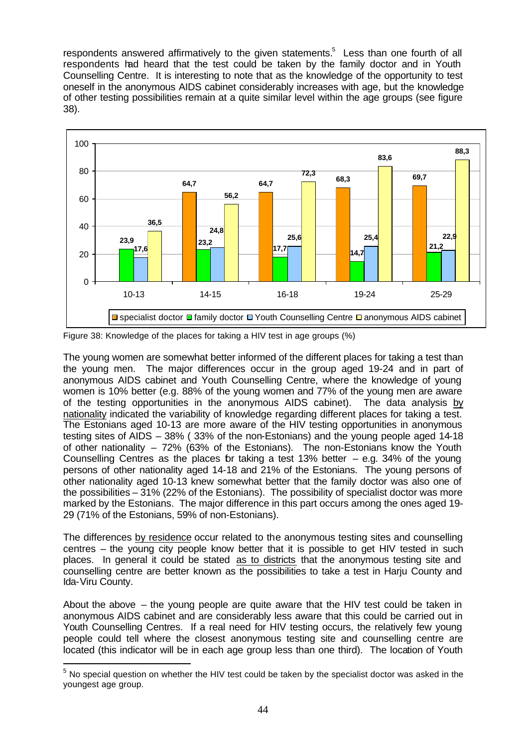respondents answered affirmatively to the given statements. $5$  Less than one fourth of all respondents had heard that the test could be taken by the family doctor and in Youth Counselling Centre. It is interesting to note that as the knowledge of the opportunity to test oneself in the anonymous AIDS cabinet considerably increases with age, but the knowledge of other testing possibilities remain at a quite similar level within the age groups (see figure 38).



Figure 38: Knowledge of the places for taking a HIV test in age groups (%)

The young women are somewhat better informed of the different places for taking a test than the young men. The major differences occur in the group aged 19-24 and in part of anonymous AIDS cabinet and Youth Counselling Centre, where the knowledge of young women is 10% better (e.g. 88% of the young women and 77% of the young men are aware of the testing opportunities in the anonymous AIDS cabinet). The data analysis by nationality indicated the variability of knowledge regarding different places for taking a test. The Estonians aged 10-13 are more aware of the HIV testing opportunities in anonymous testing sites of AIDS – 38% ( 33% of the non-Estonians) and the young people aged 14-18 of other nationality – 72% (63% of the Estonians). The non-Estonians know the Youth Counselling Centres as the places for taking a test 13% better  $-$  e.g. 34% of the young persons of other nationality aged 14-18 and 21% of the Estonians. The young persons of other nationality aged 10-13 knew somewhat better that the family doctor was also one of the possibilities – 31% (22% of the Estonians). The possibility of specialist doctor was more marked by the Estonians. The major difference in this part occurs among the ones aged 19- 29 (71% of the Estonians, 59% of non-Estonians).

The differences by residence occur related to the anonymous testing sites and counselling centres – the young city people know better that it is possible to get HIV tested in such places. In general it could be stated as to districts that the anonymous testing site and counselling centre are better known as the possibilities to take a test in Harju County and Ida-Viru County.

About the above – the young people are quite aware that the HIV test could be taken in anonymous AIDS cabinet and are considerably less aware that this could be carried out in Youth Counselling Centres. If a real need for HIV testing occurs, the relatively few young people could tell where the closest anonymous testing site and counselling centre are located (this indicator will be in each age group less than one third). The location of Youth

l

 $<sup>5</sup>$  No special question on whether the HIV test could be taken by the specialist doctor was asked in the</sup> youngest age group.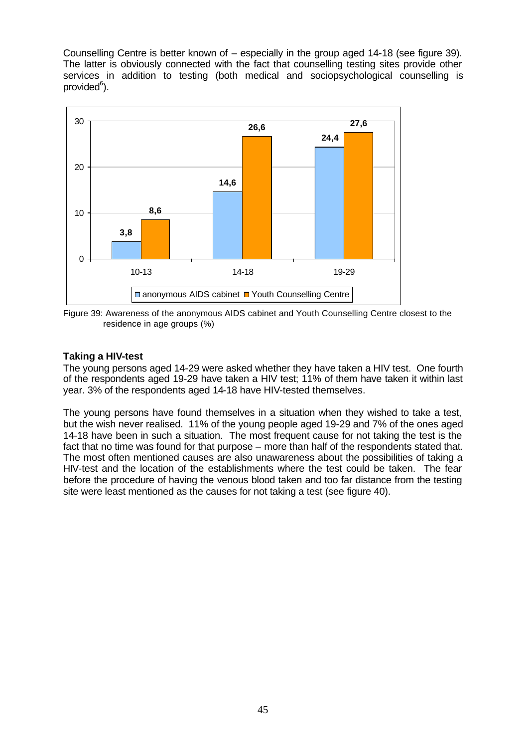Counselling Centre is better known of – especially in the group aged 14-18 (see figure 39). The latter is obviously connected with the fact that counselling testing sites provide other services in addition to testing (both medical and sociopsychological counselling is provided<sup>6</sup>).



Figure 39: Awareness of the anonymous AIDS cabinet and Youth Counselling Centre closest to the residence in age groups (%)

# **Taking a HIV-test**

The young persons aged 14-29 were asked whether they have taken a HIV test. One fourth of the respondents aged 19-29 have taken a HIV test; 11% of them have taken it within last year. 3% of the respondents aged 14-18 have HIV-tested themselves.

The young persons have found themselves in a situation when they wished to take a test, but the wish never realised. 11% of the young people aged 19-29 and 7% of the ones aged 14-18 have been in such a situation. The most frequent cause for not taking the test is the fact that no time was found for that purpose – more than half of the respondents stated that. The most often mentioned causes are also unawareness about the possibilities of taking a HIV-test and the location of the establishments where the test could be taken. The fear before the procedure of having the venous blood taken and too far distance from the testing site were least mentioned as the causes for not taking a test (see figure 40).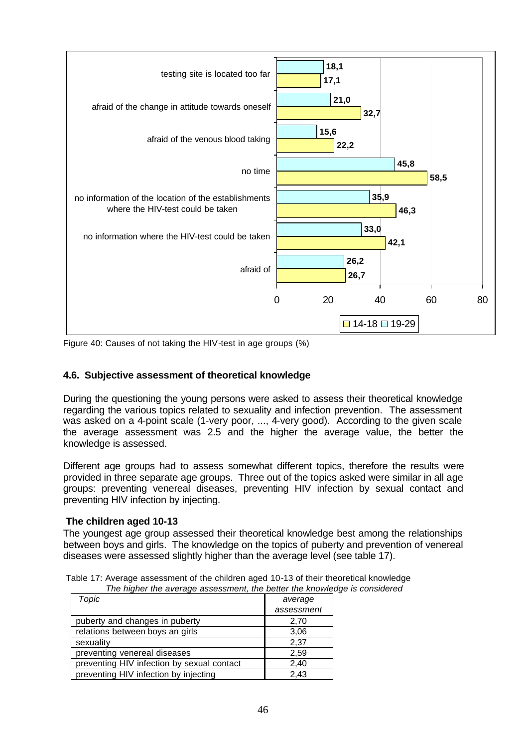

Figure 40: Causes of not taking the HIV-test in age groups (%)

### **4.6. Subjective assessment of theoretical knowledge**

During the questioning the young persons were asked to assess their theoretical knowledge regarding the various topics related to sexuality and infection prevention. The assessment was asked on a 4-point scale (1-very poor, ..., 4-very good). According to the given scale the average assessment was 2.5 and the higher the average value, the better the knowledge is assessed.

Different age groups had to assess somewhat different topics, therefore the results were provided in three separate age groups. Three out of the topics asked were similar in all age groups: preventing venereal diseases, preventing HIV infection by sexual contact and preventing HIV infection by injecting.

### **The children aged 10-13**

The youngest age group assessed their theoretical knowledge best among the relationships between boys and girls. The knowledge on the topics of puberty and prevention of venereal diseases were assessed slightly higher than the average level (see table 17).

| The higher the average assessment, the better the knowled |            |
|-----------------------------------------------------------|------------|
| Topic                                                     | average    |
|                                                           | assessment |
| puberty and changes in puberty                            | 2,70       |
| relations between boys an girls                           | 3,06       |
| sexuality                                                 | 2,37       |
| preventing venereal diseases                              | 2,59       |
| preventing HIV infection by sexual contact                | 2,40       |
| preventing HIV infection by injecting                     | 2,43       |

Table 17: Average assessment of the children aged 10-13 of their theoretical knowledge *The higher the average assessment, the better the knowledge is considered*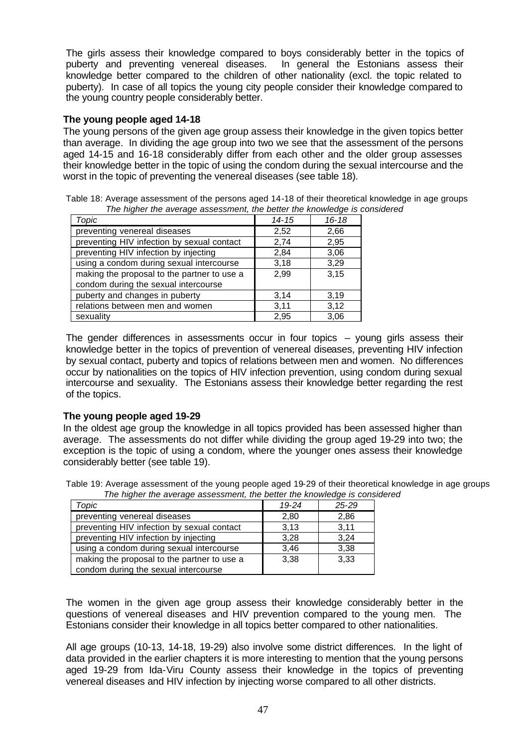The girls assess their knowledge compared to boys considerably better in the topics of puberty and preventing venereal diseases. In general the Estonians assess their knowledge better compared to the children of other nationality (excl. the topic related to puberty). In case of all topics the young city people consider their knowledge compared to the young country people considerably better.

# **The young people aged 14-18**

The young persons of the given age group assess their knowledge in the given topics better than average. In dividing the age group into two we see that the assessment of the persons aged 14-15 and 16-18 considerably differ from each other and the older group assesses their knowledge better in the topic of using the condom during the sexual intercourse and the worst in the topic of preventing the venereal diseases (see table 18).

Table 18: Average assessment of the persons aged 14-18 of their theoretical knowledge in age groups *The higher the average assessment, the better the knowledge is considered*

| Topic                                       | $14 - 15$ | $16 - 18$ |
|---------------------------------------------|-----------|-----------|
| preventing venereal diseases                | 2,52      | 2,66      |
| preventing HIV infection by sexual contact  | 2,74      | 2,95      |
| preventing HIV infection by injecting       | 2,84      | 3,06      |
| using a condom during sexual intercourse    | 3,18      | 3,29      |
| making the proposal to the partner to use a | 2,99      | 3,15      |
| condom during the sexual intercourse        |           |           |
| puberty and changes in puberty              | 3,14      | 3,19      |
| relations between men and women             | 3,11      | 3,12      |
| sexuality                                   | 2,95      | 3,06      |

The gender differences in assessments occur in four topics  $-$  young girls assess their knowledge better in the topics of prevention of venereal diseases, preventing HIV infection by sexual contact, puberty and topics of relations between men and women. No differences occur by nationalities on the topics of HIV infection prevention, using condom during sexual intercourse and sexuality. The Estonians assess their knowledge better regarding the rest of the topics.

# **The young people aged 19-29**

In the oldest age group the knowledge in all topics provided has been assessed higher than average. The assessments do not differ while dividing the group aged 19-29 into two; the exception is the topic of using a condom, where the younger ones assess their knowledge considerably better (see table 19).

Table 19: Average assessment of the young people aged 19-29 of their theoretical knowledge in age groups *The higher the average assessment, the better the knowledge is considered*

| Topic                                       | $19 - 24$ | $25 - 29$ |
|---------------------------------------------|-----------|-----------|
| preventing venereal diseases                | 2,80      | 2.86      |
| preventing HIV infection by sexual contact  | 3,13      | 3,11      |
| preventing HIV infection by injecting       | 3,28      | 3,24      |
| using a condom during sexual intercourse    | 3.46      | 3.38      |
| making the proposal to the partner to use a | 3,38      | 3,33      |
| condom during the sexual intercourse        |           |           |

The women in the given age group assess their knowledge considerably better in the questions of venereal diseases and HIV prevention compared to the young men. The Estonians consider their knowledge in all topics better compared to other nationalities.

All age groups (10-13, 14-18, 19-29) also involve some district differences. In the light of data provided in the earlier chapters it is more interesting to mention that the young persons aged 19-29 from Ida-Viru County assess their knowledge in the topics of preventing venereal diseases and HIV infection by injecting worse compared to all other districts.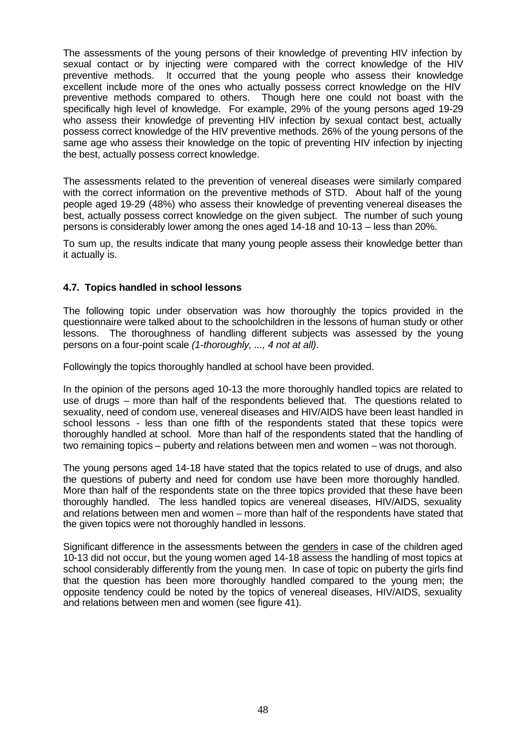The assessments of the young persons of their knowledge of preventing HIV infection by sexual contact or by injecting were compared with the correct knowledge of the HIV preventive methods. It occurred that the young people who assess their knowledge excellent include more of the ones who actually possess correct knowledge on the HIV preventive methods compared to others. Though here one could not boast with the specifically high level of knowledge. For example, 29% of the young persons aged 19-29 who assess their knowledge of preventing HIV infection by sexual contact best, actually possess correct knowledge of the HIV preventive methods. 26% of the young persons of the same age who assess their knowledge on the topic of preventing HIV infection by injecting the best, actually possess correct knowledge.

The assessments related to the prevention of venereal diseases were similarly compared with the correct information on the preventive methods of STD. About half of the young people aged 19-29 (48%) who assess their knowledge of preventing venereal diseases the best, actually possess correct knowledge on the given subject. The number of such young persons is considerably lower among the ones aged 14-18 and 10-13 – less than 20%.

To sum up, the results indicate that many young people assess their knowledge better than it actually is.

# **4.7. Topics handled in school lessons**

The following topic under observation was how thoroughly the topics provided in the questionnaire were talked about to the schoolchildren in the lessons of human study or other lessons. The thoroughness of handling different subjects was assessed by the young persons on a four-point scale *(1-thoroughly, ..., 4 not at all)*.

Followingly the topics thoroughly handled at school have been provided.

In the opinion of the persons aged 10-13 the more thoroughly handled topics are related to use of drugs – more than half of the respondents believed that. The questions related to sexuality, need of condom use, venereal diseases and HIV/AIDS have been least handled in school lessons - less than one fifth of the respondents stated that these topics were thoroughly handled at school. More than half of the respondents stated that the handling of two remaining topics – puberty and relations between men and women – was not thorough.

The young persons aged 14-18 have stated that the topics related to use of drugs, and also the questions of puberty and need for condom use have been more thoroughly handled. More than half of the respondents state on the three topics provided that these have been thoroughly handled. The less handled topics are venereal diseases, HIV/AIDS, sexuality and relations between men and women – more than half of the respondents have stated that the given topics were not thoroughly handled in lessons.

Significant difference in the assessments between the genders in case of the children aged 10-13 did not occur, but the young women aged 14-18 assess the handling of most topics at school considerably differently from the young men. In case of topic on puberty the girls find that the question has been more thoroughly handled compared to the young men; the opposite tendency could be noted by the topics of venereal diseases, HIV/AIDS, sexuality and relations between men and women (see figure 41).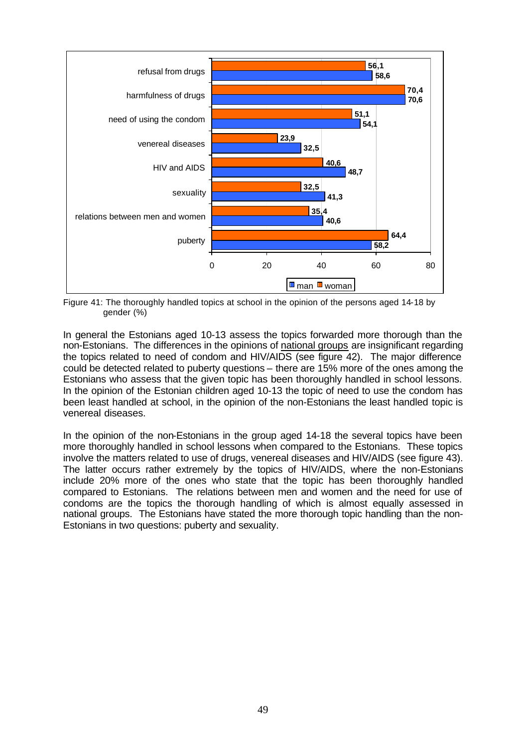

Figure 41: The thoroughly handled topics at school in the opinion of the persons aged 14-18 by gender (%)

In general the Estonians aged 10-13 assess the topics forwarded more thorough than the non-Estonians. The differences in the opinions of national groups are insignificant regarding the topics related to need of condom and HIV/AIDS (see figure 42). The major difference could be detected related to puberty questions – there are 15% more of the ones among the Estonians who assess that the given topic has been thoroughly handled in school lessons. In the opinion of the Estonian children aged 10-13 the topic of need to use the condom has been least handled at school, in the opinion of the non-Estonians the least handled topic is venereal diseases.

In the opinion of the non-Estonians in the group aged 14-18 the several topics have been more thoroughly handled in school lessons when compared to the Estonians. These topics involve the matters related to use of drugs, venereal diseases and HIV/AIDS (see figure 43). The latter occurs rather extremely by the topics of HIV/AIDS, where the non-Estonians include 20% more of the ones who state that the topic has been thoroughly handled compared to Estonians. The relations between men and women and the need for use of condoms are the topics the thorough handling of which is almost equally assessed in national groups. The Estonians have stated the more thorough topic handling than the non-Estonians in two questions: puberty and sexuality.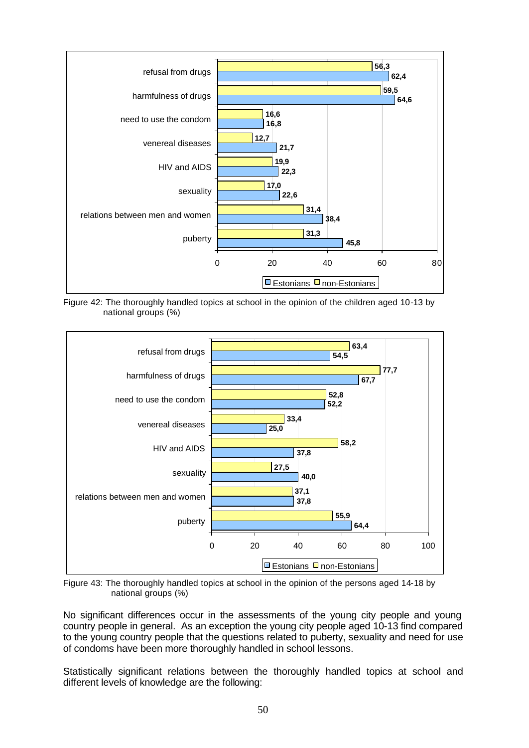

Figure 42: The thoroughly handled topics at school in the opinion of the children aged 10-13 by national groups (%)



Figure 43: The thoroughly handled topics at school in the opinion of the persons aged 14-18 by national groups (%)

No significant differences occur in the assessments of the young city people and young country people in general. As an exception the young city people aged 10-13 find compared to the young country people that the questions related to puberty, sexuality and need for use of condoms have been more thoroughly handled in school lessons.

Statistically significant relations between the thoroughly handled topics at school and different levels of knowledge are the following: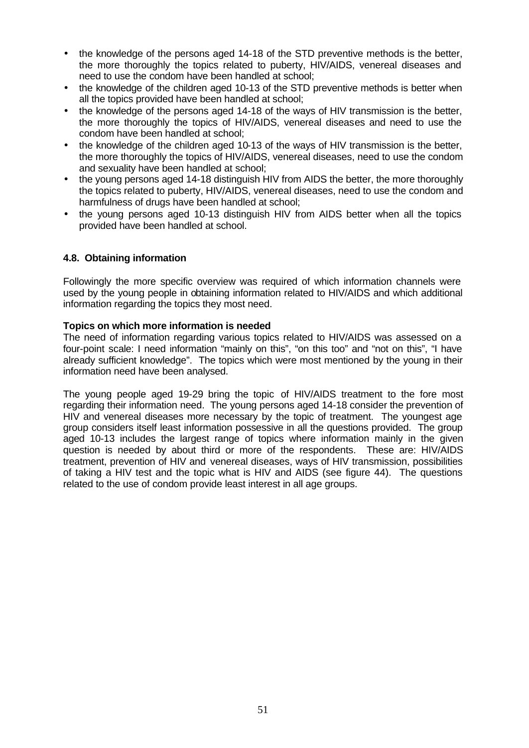- the knowledge of the persons aged 14-18 of the STD preventive methods is the better, the more thoroughly the topics related to puberty, HIV/AIDS, venereal diseases and need to use the condom have been handled at school;
- the knowledge of the children aged 10-13 of the STD preventive methods is better when all the topics provided have been handled at school;
- the knowledge of the persons aged 14-18 of the ways of HIV transmission is the better, the more thoroughly the topics of HIV/AIDS, venereal diseases and need to use the condom have been handled at school;
- the knowledge of the children aged 10-13 of the ways of HIV transmission is the better, the more thoroughly the topics of HIV/AIDS, venereal diseases, need to use the condom and sexuality have been handled at school;
- the young persons aged 14-18 distinguish HIV from AIDS the better, the more thoroughly the topics related to puberty, HIV/AIDS, venereal diseases, need to use the condom and harmfulness of drugs have been handled at school;
- the young persons aged 10-13 distinguish HIV from AIDS better when all the topics provided have been handled at school.

# **4.8. Obtaining information**

Followingly the more specific overview was required of which information channels were used by the young people in obtaining information related to HIV/AIDS and which additional information regarding the topics they most need.

### **Topics on which more information is needed**

The need of information regarding various topics related to HIV/AIDS was assessed on a four-point scale: I need information "mainly on this", "on this too" and "not on this", "I have already sufficient knowledge". The topics which were most mentioned by the young in their information need have been analysed.

The young people aged 19-29 bring the topic of HIV/AIDS treatment to the fore most regarding their information need. The young persons aged 14-18 consider the prevention of HIV and venereal diseases more necessary by the topic of treatment. The youngest age group considers itself least information possessive in all the questions provided. The group aged 10-13 includes the largest range of topics where information mainly in the given question is needed by about third or more of the respondents. These are: HIV/AIDS treatment, prevention of HIV and venereal diseases, ways of HIV transmission, possibilities of taking a HIV test and the topic what is HIV and AIDS (see figure 44). The questions related to the use of condom provide least interest in all age groups.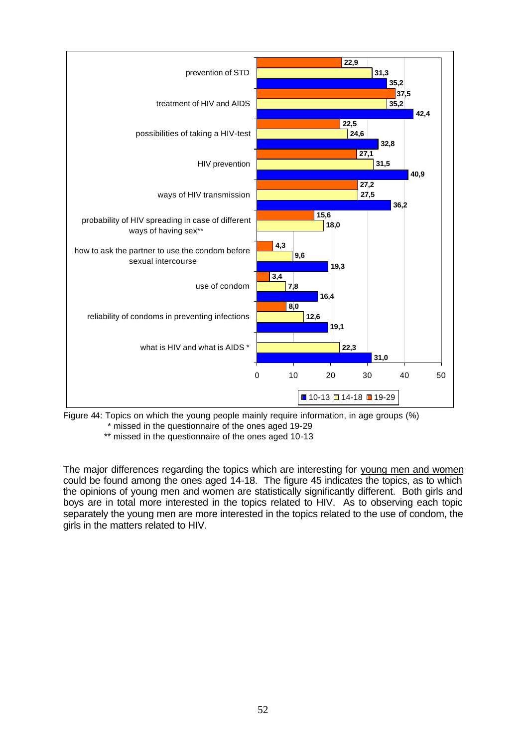

Figure 44: Topics on which the young people mainly require information, in age groups (%)

\* missed in the questionnaire of the ones aged 19-29

\*\* missed in the questionnaire of the ones aged 10-13

The major differences regarding the topics which are interesting for young men and women could be found among the ones aged 14-18. The figure 45 indicates the topics, as to which the opinions of young men and women are statistically significantly different. Both girls and boys are in total more interested in the topics related to HIV. As to observing each topic separately the young men are more interested in the topics related to the use of condom, the girls in the matters related to HIV.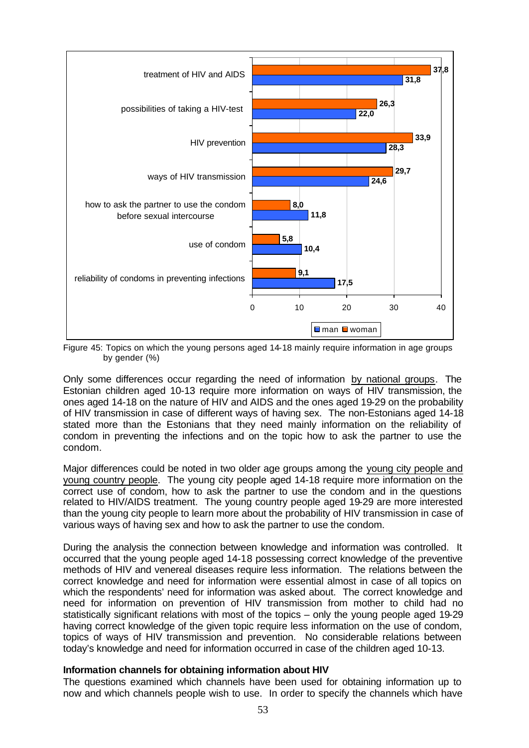

Figure 45: Topics on which the young persons aged 14-18 mainly require information in age groups by gender (%)

Only some differences occur regarding the need of information by national groups. The Estonian children aged 10-13 require more information on ways of HIV transmission, the ones aged 14-18 on the nature of HIV and AIDS and the ones aged 19-29 on the probability of HIV transmission in case of different ways of having sex. The non-Estonians aged 14-18 stated more than the Estonians that they need mainly information on the reliability of condom in preventing the infections and on the topic how to ask the partner to use the condom.

Major differences could be noted in two older age groups among the young city people and young country people. The young city people aged 14-18 require more information on the correct use of condom, how to ask the partner to use the condom and in the questions related to HIV/AIDS treatment. The young country people aged 19-29 are more interested than the young city people to learn more about the probability of HIV transmission in case of various ways of having sex and how to ask the partner to use the condom.

During the analysis the connection between knowledge and information was controlled. It occurred that the young people aged 14-18 possessing correct knowledge of the preventive methods of HIV and venereal diseases require less information. The relations between the correct knowledge and need for information were essential almost in case of all topics on which the respondents' need for information was asked about. The correct knowledge and need for information on prevention of HIV transmission from mother to child had no statistically significant relations with most of the topics – only the young people aged 19-29 having correct knowledge of the given topic require less information on the use of condom, topics of ways of HIV transmission and prevention. No considerable relations between today's knowledge and need for information occurred in case of the children aged 10-13.

#### **Information channels for obtaining information about HIV**

The questions examined which channels have been used for obtaining information up to now and which channels people wish to use. In order to specify the channels which have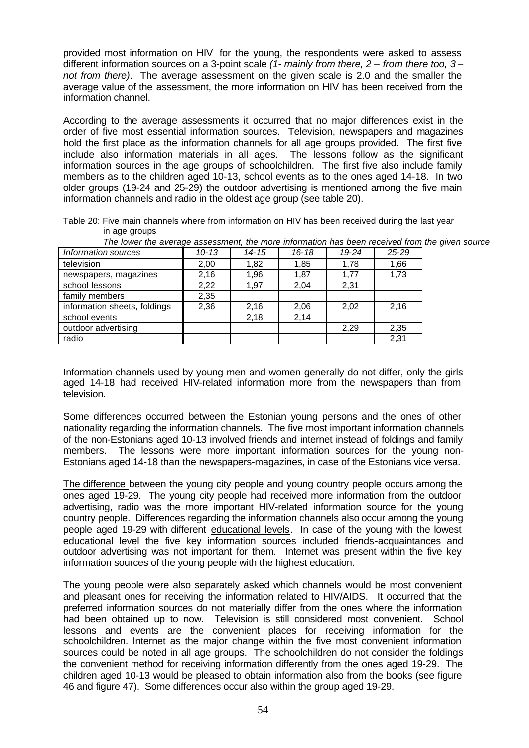provided most information on HIV for the young, the respondents were asked to assess different information sources on a 3-point scale *(1- mainly from there, 2 – from there too, 3 – not from there)*. The average assessment on the given scale is 2.0 and the smaller the average value of the assessment, the more information on HIV has been received from the information channel.

According to the average assessments it occurred that no major differences exist in the order of five most essential information sources. Television, newspapers and magazines hold the first place as the information channels for all age groups provided. The first five include also information materials in all ages. The lessons follow as the significant information sources in the age groups of schoolchildren. The first five also include family members as to the children aged 10-13, school events as to the ones aged 14-18. In two older groups (19-24 and 25-29) the outdoor advertising is mentioned among the five main information channels and radio in the oldest age group (see table 20).

Table 20: Five main channels where from information on HIV has been received during the last year in age groups

| The lower the average assessment, the more information has been received from the given source |           |       |       |       |           |  |
|------------------------------------------------------------------------------------------------|-----------|-------|-------|-------|-----------|--|
| Information sources                                                                            | $10 - 13$ | 14-15 | 16-18 | 19-24 | $25 - 29$ |  |
| television                                                                                     | 2,00      | 1.82  | 1.85  | 1,78  | 1,66      |  |
| newspapers, magazines                                                                          | 2,16      | 1,96  | 1,87  | 1,77  | 1,73      |  |
| school lessons                                                                                 | 2,22      | 1.97  | 2,04  | 2,31  |           |  |
| family members                                                                                 | 2,35      |       |       |       |           |  |
| information sheets, foldings                                                                   | 2,36      | 2,16  | 2,06  | 2,02  | 2,16      |  |
| school events                                                                                  |           | 2,18  | 2,14  |       |           |  |
| outdoor advertising                                                                            |           |       |       | 2,29  | 2,35      |  |
| radio                                                                                          |           |       |       |       | 2,31      |  |

Information channels used by young men and women generally do not differ, only the girls aged 14-18 had received HIV-related information more from the newspapers than from television.

Some differences occurred between the Estonian young persons and the ones of other nationality regarding the information channels. The five most important information channels of the non-Estonians aged 10-13 involved friends and internet instead of foldings and family members. The lessons were more important information sources for the young non-Estonians aged 14-18 than the newspapers-magazines, in case of the Estonians vice versa.

The difference between the young city people and young country people occurs among the ones aged 19-29. The young city people had received more information from the outdoor advertising, radio was the more important HIV-related information source for the young country people. Differences regarding the information channels also occur among the young people aged 19-29 with different educational levels. In case of the young with the lowest educational level the five key information sources included friends-acquaintances and outdoor advertising was not important for them. Internet was present within the five key information sources of the young people with the highest education.

The young people were also separately asked which channels would be most convenient and pleasant ones for receiving the information related to HIV/AIDS. It occurred that the preferred information sources do not materially differ from the ones where the information had been obtained up to now. Television is still considered most convenient. School lessons and events are the convenient places for receiving information for the schoolchildren. Internet as the major change within the five most convenient information sources could be noted in all age groups. The schoolchildren do not consider the foldings the convenient method for receiving information differently from the ones aged 19-29. The children aged 10-13 would be pleased to obtain information also from the books (see figure 46 and figure 47). Some differences occur also within the group aged 19-29.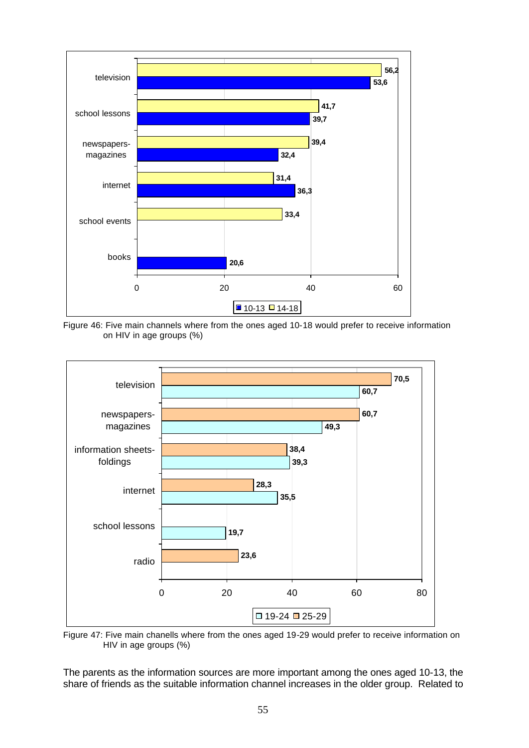

Figure 46: Five main channels where from the ones aged 10-18 would prefer to receive information on HIV in age groups (%)



Figure 47: Five main chanells where from the ones aged 19-29 would prefer to receive information on HIV in age groups (%)

The parents as the information sources are more important among the ones aged 10-13, the share of friends as the suitable information channel increases in the older group. Related to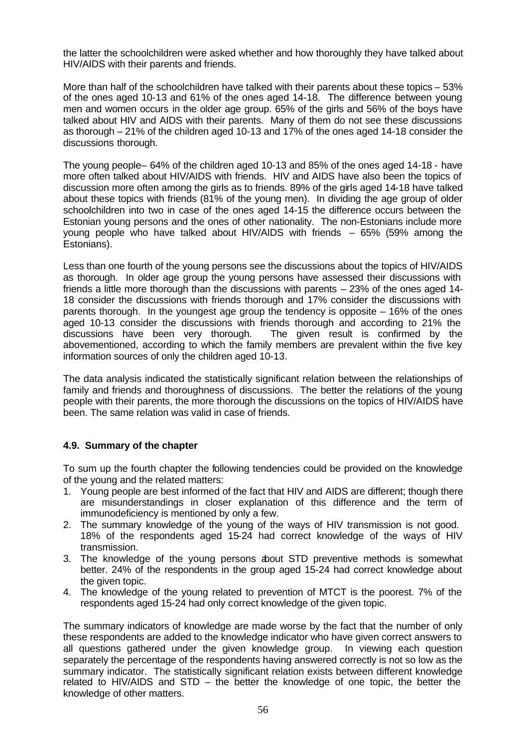the latter the schoolchildren were asked whether and how thoroughly they have talked about HIV/AIDS with their parents and friends.

More than half of the schoolchildren have talked with their parents about these topics – 53% of the ones aged 10-13 and 61% of the ones aged 14-18. The difference between young men and women occurs in the older age group. 65% of the girls and 56% of the boys have talked about HIV and AIDS with their parents. Many of them do not see these discussions as thorough – 21% of the children aged 10-13 and 17% of the ones aged 14-18 consider the discussions thorough.

The young people– 64% of the children aged 10-13 and 85% of the ones aged 14-18 - have more often talked about HIV/AIDS with friends. HIV and AIDS have also been the topics of discussion more often among the girls as to friends. 89% of the girls aged 14-18 have talked about these topics with friends (81% of the young men). In dividing the age group of older schoolchildren into two in case of the ones aged 14-15 the difference occurs between the Estonian young persons and the ones of other nationality. The non-Estonians include more young people who have talked about HIV/AIDS with friends – 65% (59% among the Estonians).

Less than one fourth of the young persons see the discussions about the topics of HIV/AIDS as thorough. In older age group the young persons have assessed their discussions with friends a little more thorough than the discussions with parents – 23% of the ones aged 14- 18 consider the discussions with friends thorough and 17% consider the discussions with parents thorough. In the youngest age group the tendency is opposite – 16% of the ones aged 10-13 consider the discussions with friends thorough and according to 21% the discussions have been very thorough. The given result is confirmed by the abovementioned, according to which the family members are prevalent within the five key information sources of only the children aged 10-13.

The data analysis indicated the statistically significant relation between the relationships of family and friends and thoroughness of discussions. The better the relations of the young people with their parents, the more thorough the discussions on the topics of HIV/AIDS have been. The same relation was valid in case of friends.

# **4.9. Summary of the chapter**

To sum up the fourth chapter the following tendencies could be provided on the knowledge of the young and the related matters:

- 1. Young people are best informed of the fact that HIV and AIDS are different; though there are misunderstandings in closer explanation of this difference and the term of immunodeficiency is mentioned by only a few.
- 2. The summary knowledge of the young of the ways of HIV transmission is not good. 18% of the respondents aged 15-24 had correct knowledge of the ways of HIV transmission.
- 3. The knowledge of the young persons about STD preventive methods is somewhat better. 24% of the respondents in the group aged 15-24 had correct knowledge about the given topic.
- 4. The knowledge of the young related to prevention of MTCT is the poorest. 7% of the respondents aged 15-24 had only correct knowledge of the given topic.

The summary indicators of knowledge are made worse by the fact that the number of only these respondents are added to the knowledge indicator who have given correct answers to all questions gathered under the given knowledge group. In viewing each question separately the percentage of the respondents having answered correctly is not so low as the summary indicator. The statistically significant relation exists between different knowledge related to HIV/AIDS and STD – the better the knowledge of one topic, the better the knowledge of other matters.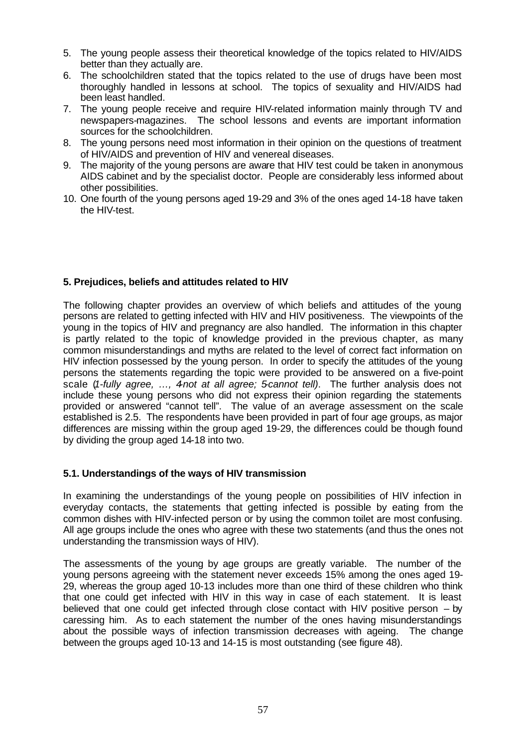- 5. The young people assess their theoretical knowledge of the topics related to HIV/AIDS better than they actually are.
- 6. The schoolchildren stated that the topics related to the use of drugs have been most thoroughly handled in lessons at school. The topics of sexuality and HIV/AIDS had been least handled.
- 7. The young people receive and require HIV-related information mainly through TV and newspapers-magazines. The school lessons and events are important information sources for the schoolchildren.
- 8. The young persons need most information in their opinion on the questions of treatment of HIV/AIDS and prevention of HIV and venereal diseases.
- 9. The majority of the young persons are aware that HIV test could be taken in anonymous AIDS cabinet and by the specialist doctor. People are considerably less informed about other possibilities.
- 10. One fourth of the young persons aged 19-29 and 3% of the ones aged 14-18 have taken the HIV-test.

# **5. Prejudices, beliefs and attitudes related to HIV**

The following chapter provides an overview of which beliefs and attitudes of the young persons are related to getting infected with HIV and HIV positiveness. The viewpoints of the young in the topics of HIV and pregnancy are also handled. The information in this chapter is partly related to the topic of knowledge provided in the previous chapter, as many common misunderstandings and myths are related to the level of correct fact information on HIV infection possessed by the young person. In order to specify the attitudes of the young persons the statements regarding the topic were provided to be answered on a five-point scale (*1-fully agree, …, 4-not at all agree; 5-cannot tell)*. The further analysis does not include these young persons who did not express their opinion regarding the statements provided or answered "cannot tell". The value of an average assessment on the scale established is 2.5. The respondents have been provided in part of four age groups, as major differences are missing within the group aged 19-29, the differences could be though found by dividing the group aged 14-18 into two.

### **5.1. Understandings of the ways of HIV transmission**

In examining the understandings of the young people on possibilities of HIV infection in everyday contacts, the statements that getting infected is possible by eating from the common dishes with HIV-infected person or by using the common toilet are most confusing. All age groups include the ones who agree with these two statements (and thus the ones not understanding the transmission ways of HIV).

The assessments of the young by age groups are greatly variable. The number of the young persons agreeing with the statement never exceeds 15% among the ones aged 19- 29, whereas the group aged 10-13 includes more than one third of these children who think that one could get infected with HIV in this way in case of each statement. It is least believed that one could get infected through close contact with HIV positive person – by caressing him. As to each statement the number of the ones having misunderstandings about the possible ways of infection transmission decreases with ageing. The change between the groups aged 10-13 and 14-15 is most outstanding (see figure 48).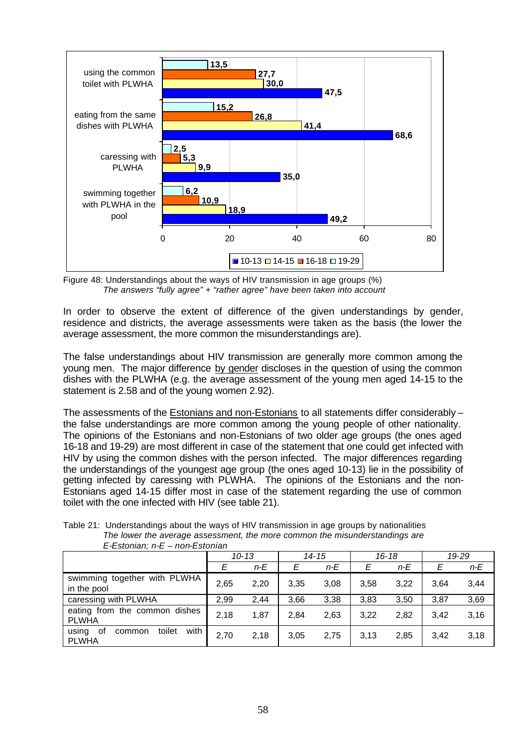

Figure 48: Understandings about the ways of HIV transmission in age groups (%) *The answers "fully agree" + "rather agree" have been taken into account*

In order to observe the extent of difference of the given understandings by gender, residence and districts, the average assessments were taken as the basis (the lower the average assessment, the more common the misunderstandings are).

The false understandings about HIV transmission are generally more common among the young men. The major difference by gender discloses in the question of using the common dishes with the PLWHA (e.g. the average assessment of the young men aged 14-15 to the statement is 2.58 and of the young women 2.92).

The assessments of the Estonians and non-Estonians to all statements differ considerably – the false understandings are more common among the young people of other nationality. The opinions of the Estonians and non-Estonians of two older age groups (the ones aged 16-18 and 19-29) are most different in case of the statement that one could get infected with HIV by using the common dishes with the person infected. The major differences regarding the understandings of the youngest age group (the ones aged 10-13) lie in the possibility of getting infected by caressing with PLWHA. The opinions of the Estonians and the non-Estonians aged 14-15 differ most in case of the statement regarding the use of common toilet with the one infected with HIV (see table 21).

| $L$ -Lotunan, $L-L$ - Horr Lotunan               |           |       |           |       |           |       |      |       |  |
|--------------------------------------------------|-----------|-------|-----------|-------|-----------|-------|------|-------|--|
|                                                  | $10 - 13$ |       | $14 - 15$ |       | $16 - 18$ |       |      | 19-29 |  |
|                                                  | E         | $n-E$ | Ε         | $n-E$ |           | $n-E$ | Е    | $n-E$ |  |
| swimming together with PLWHA<br>in the pool      | 2,65      | 2,20  | 3.35      | 3,08  | 3.58      | 3,22  | 3.64 | 3,44  |  |
| caressing with PLWHA                             | 2,99      | 2,44  | 3,66      | 3,38  | 3,83      | 3,50  | 3,87 | 3,69  |  |
| eating from the common dishes<br>PLWHA           | 2.18      | 1,87  | 2.84      | 2,63  | 3.22      | 2,82  | 3.42 | 3,16  |  |
| with<br>toilet<br>using<br>common<br>οt<br>PLWHA | 2,70      | 2.18  | 3.05      | 2.75  | 3.13      | 2,85  | 3.42 | 3,18  |  |

Table 21: Understandings about the ways of HIV transmission in age groups by nationalities *The lower the average assessment, the more common the misunderstandings are E-Estonian; n-E – non-Estonian*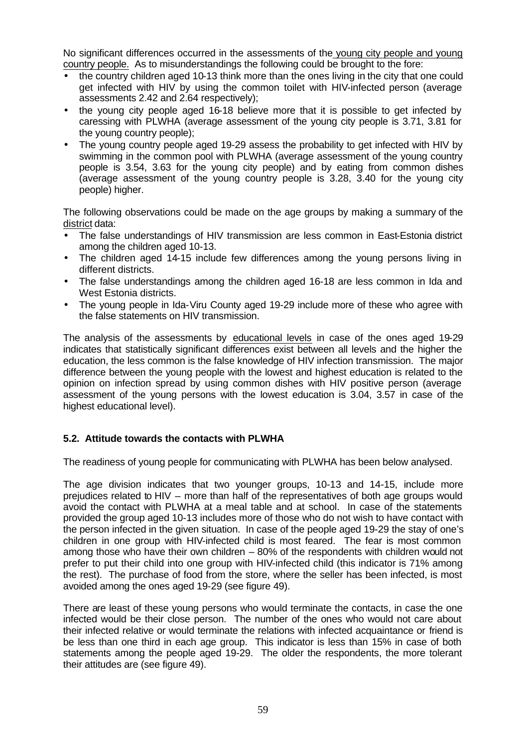No significant differences occurred in the assessments of the young city people and young country people. As to misunderstandings the following could be brought to the fore:

- the country children aged 10-13 think more than the ones living in the city that one could get infected with HIV by using the common toilet with HIV-infected person (average assessments 2.42 and 2.64 respectively);
- the young city people aged 16-18 believe more that it is possible to get infected by caressing with PLWHA (average assessment of the young city people is 3.71, 3.81 for the young country people);
- The young country people aged 19-29 assess the probability to get infected with HIV by swimming in the common pool with PLWHA (average assessment of the young country people is 3.54, 3.63 for the young city people) and by eating from common dishes (average assessment of the young country people is 3.28, 3.40 for the young city people) higher.

The following observations could be made on the age groups by making a summary of the district data:

- The false understandings of HIV transmission are less common in East-Estonia district among the children aged 10-13.
- The children aged 14-15 include few differences among the young persons living in different districts.
- The false understandings among the children aged 16-18 are less common in Ida and West Estonia districts.
- The young people in Ida-Viru County aged 19-29 include more of these who agree with the false statements on HIV transmission.

The analysis of the assessments by educational levels in case of the ones aged 19-29 indicates that statistically significant differences exist between all levels and the higher the education, the less common is the false knowledge of HIV infection transmission. The major difference between the young people with the lowest and highest education is related to the opinion on infection spread by using common dishes with HIV positive person (average assessment of the young persons with the lowest education is 3.04, 3.57 in case of the highest educational level).

# **5.2. Attitude towards the contacts with PLWHA**

The readiness of young people for communicating with PLWHA has been below analysed.

The age division indicates that two younger groups, 10-13 and 14-15, include more prejudices related to HIV – more than half of the representatives of both age groups would avoid the contact with PLWHA at a meal table and at school. In case of the statements provided the group aged 10-13 includes more of those who do not wish to have contact with the person infected in the given situation. In case of the people aged 19-29 the stay of one's children in one group with HIV-infected child is most feared. The fear is most common among those who have their own children – 80% of the respondents with children would not prefer to put their child into one group with HIV-infected child (this indicator is 71% among the rest). The purchase of food from the store, where the seller has been infected, is most avoided among the ones aged 19-29 (see figure 49).

There are least of these young persons who would terminate the contacts, in case the one infected would be their close person. The number of the ones who would not care about their infected relative or would terminate the relations with infected acquaintance or friend is be less than one third in each age group. This indicator is less than 15% in case of both statements among the people aged 19-29. The older the respondents, the more tolerant their attitudes are (see figure 49).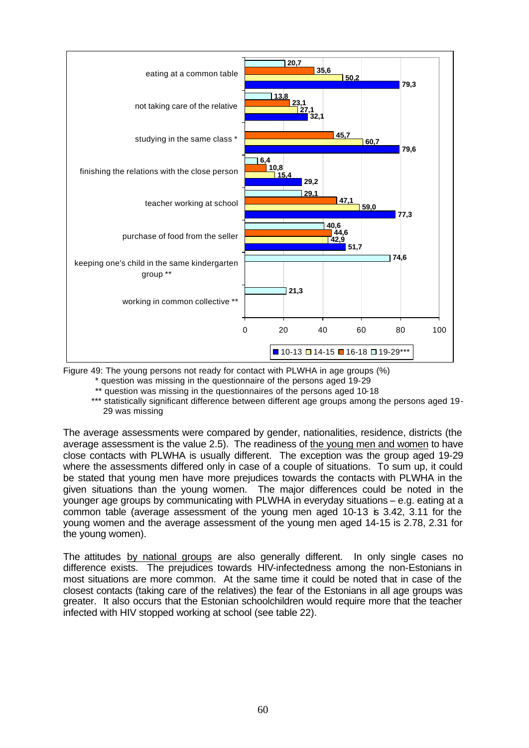

Figure 49: The young persons not ready for contact with PLWHA in age groups (%)

\* question was missing in the questionnaire of the persons aged 19-29

\*\* question was missing in the questionnaires of the persons aged 10-18

\*\*\* statistically significant difference between different age groups among the persons aged 19-29 was missing

The average assessments were compared by gender, nationalities, residence, districts (the average assessment is the value 2.5). The readiness of the young men and women to have close contacts with PLWHA is usually different. The exception was the group aged 19-29 where the assessments differed only in case of a couple of situations. To sum up, it could be stated that young men have more prejudices towards the contacts with PLWHA in the given situations than the young women. The major differences could be noted in the younger age groups by communicating with PLWHA in everyday situations – e.g. eating at a common table (average assessment of the young men aged 10-13 is 3.42, 3.11 for the young women and the average assessment of the young men aged 14-15 is 2.78, 2.31 for the young women).

The attitudes by national groups are also generally different. In only single cases no difference exists. The prejudices towards HIV-infectedness among the non-Estonians in most situations are more common. At the same time it could be noted that in case of the closest contacts (taking care of the relatives) the fear of the Estonians in all age groups was greater. It also occurs that the Estonian schoolchildren would require more that the teacher infected with HIV stopped working at school (see table 22).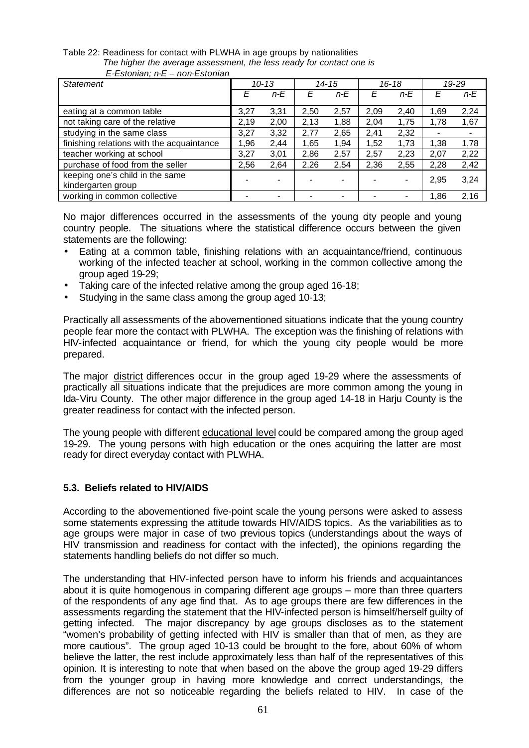| C-CSWIIGH, IFC - HOIFCSWIIGH              |           |                |           |       |           |       |      |       |
|-------------------------------------------|-----------|----------------|-----------|-------|-----------|-------|------|-------|
| <b>Statement</b>                          | $10 - 13$ |                | $14 - 15$ |       | $16 - 18$ |       |      | 19-29 |
|                                           | E         | $n-E$          | F         | $n-E$ | F         | $n-E$ | F    | $n-E$ |
| eating at a common table                  | 3,27      | 3,31           | 2,50      | 2,57  | 2,09      | 2,40  | 1,69 | 2,24  |
| not taking care of the relative           | 2,19      | 2,00           | 2,13      | 1,88  | 2,04      | 1,75  | 1,78 | 1,67  |
| studying in the same class                | 3,27      | 3,32           | 2,77      | 2,65  | 2,41      | 2,32  |      |       |
| finishing relations with the acquaintance | 1,96      | 2,44           | 1.65      | 1,94  | 1,52      | 1,73  | 1,38 | 1,78  |
| teacher working at school                 | 3,27      | 3,01           | 2,86      | 2,57  | 2,57      | 2,23  | 2,07 | 2,22  |
| purchase of food from the seller          | 2,56      | 2,64           | 2,26      | 2,54  | 2,36      | 2,55  | 2,28 | 2,42  |
| keeping one's child in the same           |           | $\blacksquare$ |           | -     |           |       | 2,95 | 3,24  |
| kindergarten group                        |           |                |           |       |           |       |      |       |
| working in common collective              |           |                |           |       |           |       | 1.86 | 2,16  |

Table 22: Readiness for contact with PLWHA in age groups by nationalities *The higher the average assessment, the less ready for contact one is E-Estonian; n-E – non-Estonian*

No major differences occurred in the assessments of the young gity people and young country people. The situations where the statistical difference occurs between the given statements are the following:

- Eating at a common table, finishing relations with an acquaintance/friend, continuous working of the infected teacher at school, working in the common collective among the group aged 19-29;
- Taking care of the infected relative among the group aged 16-18;
- Studying in the same class among the group aged 10-13;

Practically all assessments of the abovementioned situations indicate that the young country people fear more the contact with PLWHA. The exception was the finishing of relations with HIV-infected acquaintance or friend, for which the young city people would be more prepared.

The major district differences occur in the group aged 19-29 where the assessments of practically all situations indicate that the prejudices are more common among the young in Ida-Viru County. The other major difference in the group aged 14-18 in Harju County is the greater readiness for contact with the infected person.

The young people with different educational level could be compared among the group aged 19-29. The young persons with high education or the ones acquiring the latter are most ready for direct everyday contact with PLWHA.

# **5.3. Beliefs related to HIV/AIDS**

According to the abovementioned five-point scale the young persons were asked to assess some statements expressing the attitude towards HIV/AIDS topics. As the variabilities as to age groups were major in case of two previous topics (understandings about the ways of HIV transmission and readiness for contact with the infected), the opinions regarding the statements handling beliefs do not differ so much.

The understanding that HIV-infected person have to inform his friends and acquaintances about it is quite homogenous in comparing different age groups – more than three quarters of the respondents of any age find that. As to age groups there are few differences in the assessments regarding the statement that the HIV-infected person is himself/herself guilty of getting infected. The major discrepancy by age groups discloses as to the statement "women's probability of getting infected with HIV is smaller than that of men, as they are more cautious". The group aged 10-13 could be brought to the fore, about 60% of whom believe the latter, the rest include approximately less than half of the representatives of this opinion. It is interesting to note that when based on the above the group aged 19-29 differs from the younger group in having more knowledge and correct understandings, the differences are not so noticeable regarding the beliefs related to HIV. In case of the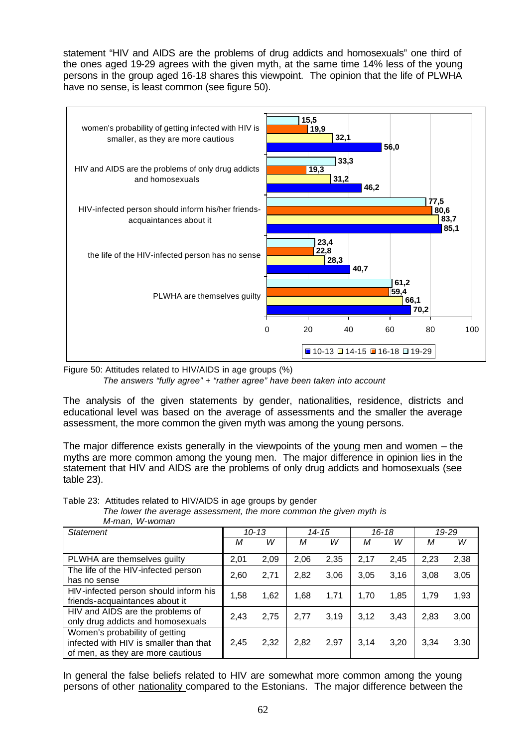statement "HIV and AIDS are the problems of drug addicts and homosexuals" one third of the ones aged 19-29 agrees with the given myth, at the same time 14% less of the young persons in the group aged 16-18 shares this viewpoint. The opinion that the life of PLWHA have no sense, is least common (see figure 50).



Figure 50: Attitudes related to HIV/AIDS in age groups (%)

*The answers "fully agree" + "rather agree" have been taken into account*

The analysis of the given statements by gender, nationalities, residence, districts and educational level was based on the average of assessments and the smaller the average assessment, the more common the given myth was among the young persons.

The major difference exists generally in the viewpoints of the young men and women – the myths are more common among the young men. The major difference in opinion lies in the statement that HIV and AIDS are the problems of only drug addicts and homosexuals (see table 23).

Table 23: Attitudes related to HIV/AIDS in age groups by gender

*The lower the average assessment, the more common the given myth is M-man, W-woman* 

| <b>Statement</b>                                                                                              |      | $10 - 13$ | 14-15 |      | $16 - 18$ |      | 19-29 |      |
|---------------------------------------------------------------------------------------------------------------|------|-----------|-------|------|-----------|------|-------|------|
|                                                                                                               | М    | w         | М     | w    | М         | W    | М     | w    |
| PLWHA are themselves guilty                                                                                   | 2,01 | 2,09      | 2,06  | 2,35 | 2,17      | 2,45 | 2,23  | 2,38 |
| The life of the HIV-infected person<br>has no sense                                                           | 2,60 | 2,71      | 2,82  | 3,06 | 3,05      | 3,16 | 3,08  | 3,05 |
| HIV-infected person should inform his<br>friends-acquaintances about it                                       | 1,58 | 1,62      | 1,68  | 1,71 | 1,70      | 1,85 | 1,79  | 1,93 |
| HIV and AIDS are the problems of<br>only drug addicts and homosexuals                                         | 2,43 | 2,75      | 2,77  | 3.19 | 3.12      | 3.43 | 2,83  | 3,00 |
| Women's probability of getting<br>infected with HIV is smaller than that<br>of men, as they are more cautious | 2,45 | 2,32      | 2,82  | 2,97 | 3.14      | 3,20 | 3.34  | 3,30 |

In general the false beliefs related to HIV are somewhat more common among the young persons of other nationality compared to the Estonians. The major difference between the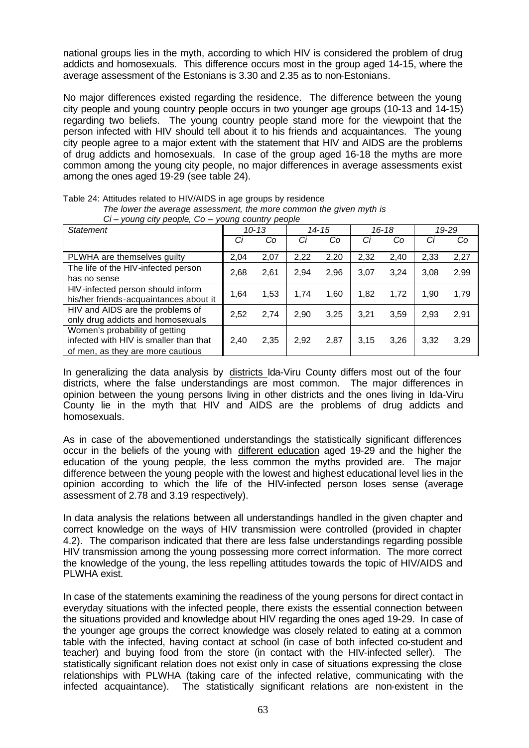national groups lies in the myth, according to which HIV is considered the problem of drug addicts and homosexuals. This difference occurs most in the group aged 14-15, where the average assessment of the Estonians is 3.30 and 2.35 as to non-Estonians.

No major differences existed regarding the residence. The difference between the young city people and young country people occurs in two younger age groups (10-13 and 14-15) regarding two beliefs. The young country people stand more for the viewpoint that the person infected with HIV should tell about it to his friends and acquaintances. The young city people agree to a major extent with the statement that HIV and AIDS are the problems of drug addicts and homosexuals. In case of the group aged 16-18 the myths are more common among the young city people, no major differences in average assessments exist among the ones aged 19-29 (see table 24).

| $Ci - young city people, Co - young country people$ |      |           |       |      |           |      |       |      |  |
|-----------------------------------------------------|------|-----------|-------|------|-----------|------|-------|------|--|
| <b>Statement</b>                                    |      | $10 - 13$ | 14-15 |      | $16 - 18$ |      | 19-29 |      |  |
|                                                     | Сi   | Co        | Сi    | Co   | Сi        | Co   | Сi    | Co   |  |
| PLWHA are themselves guilty                         | 2,04 | 2,07      | 2,22  | 2,20 | 2,32      | 2,40 | 2,33  | 2,27 |  |
| The life of the HIV-infected person                 | 2,68 | 2,61      | 2,94  | 2,96 | 3.07      | 3,24 | 3,08  | 2,99 |  |
| has no sense                                        |      |           |       |      |           |      |       |      |  |
| HIV-infected person should inform                   | 1.64 | 1,53      | 1.74  | 1.60 | 1,82      | 1,72 | 1.90  | 1,79 |  |
| his/her friends-acquaintances about it              |      |           |       |      |           |      |       |      |  |
| HIV and AIDS are the problems of                    | 2,52 | 2,74      | 2,90  | 3.25 | 3.21      | 3,59 | 2,93  | 2,91 |  |
| only drug addicts and homosexuals                   |      |           |       |      |           |      |       |      |  |
| Women's probability of getting                      |      |           |       |      |           |      |       |      |  |
| infected with HIV is smaller than that              | 2,40 | 2,35      | 2,92  | 2,87 | 3.15      | 3,26 | 3,32  | 3,29 |  |
| of men, as they are more cautious                   |      |           |       |      |           |      |       |      |  |

*The lower the average assessment, the more common the given myth is*

Table 24: Attitudes related to HIV/AIDS in age groups by residence

In generalizing the data analysis by districts Ida-Viru County differs most out of the four districts, where the false understandings are most common. The major differences in opinion between the young persons living in other districts and the ones living in Ida-Viru County lie in the myth that HIV and AIDS are the problems of drug addicts and homosexuals.

As in case of the abovementioned understandings the statistically significant differences occur in the beliefs of the young with different education aged 19-29 and the higher the education of the young people, the less common the myths provided are. The major difference between the young people with the lowest and highest educational level lies in the opinion according to which the life of the HIV-infected person loses sense (average assessment of 2.78 and 3.19 respectively).

In data analysis the relations between all understandings handled in the given chapter and correct knowledge on the ways of HIV transmission were controlled (provided in chapter 4.2). The comparison indicated that there are less false understandings regarding possible HIV transmission among the young possessing more correct information. The more correct the knowledge of the young, the less repelling attitudes towards the topic of HIV/AIDS and PLWHA exist.

In case of the statements examining the readiness of the young persons for direct contact in everyday situations with the infected people, there exists the essential connection between the situations provided and knowledge about HIV regarding the ones aged 19-29. In case of the younger age groups the correct knowledge was closely related to eating at a common table with the infected, having contact at school (in case of both infected co-student and teacher) and buying food from the store (in contact with the HIV-infected seller). The statistically significant relation does not exist only in case of situations expressing the close relationships with PLWHA (taking care of the infected relative, communicating with the infected acquaintance). The statistically significant relations are non-existent in the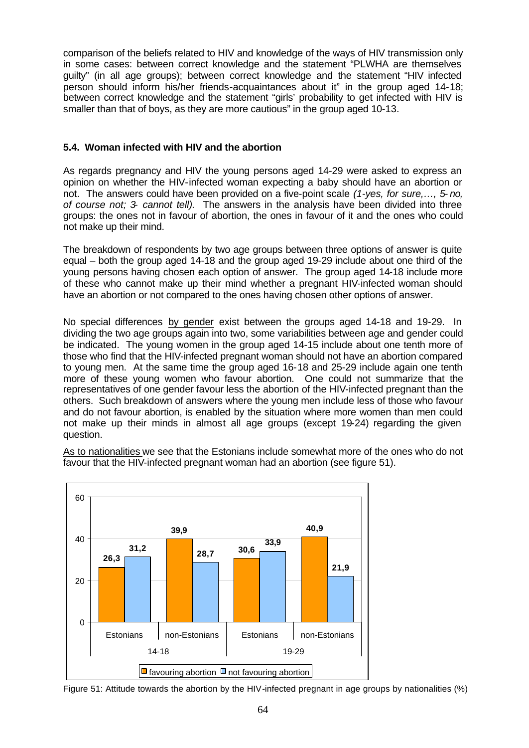comparison of the beliefs related to HIV and knowledge of the ways of HIV transmission only in some cases: between correct knowledge and the statement "PLWHA are themselves guilty" (in all age groups); between correct knowledge and the statement "HIV infected person should inform his/her friends-acquaintances about it" in the group aged 14-18; between correct knowledge and the statement "girls' probability to get infected with HIV is smaller than that of boys, as they are more cautious" in the group aged 10-13.

# **5.4. Woman infected with HIV and the abortion**

As regards pregnancy and HIV the young persons aged 14-29 were asked to express an opinion on whether the HIV-infected woman expecting a baby should have an abortion or not. The answers could have been provided on a five-point scale *(1-yes, for sure,…, 5- no, of course not; 3- cannot tell).* The answers in the analysis have been divided into three groups: the ones not in favour of abortion, the ones in favour of it and the ones who could not make up their mind.

The breakdown of respondents by two age groups between three options of answer is quite equal – both the group aged 14-18 and the group aged 19-29 include about one third of the young persons having chosen each option of answer. The group aged 14-18 include more of these who cannot make up their mind whether a pregnant HIV-infected woman should have an abortion or not compared to the ones having chosen other options of answer.

No special differences by gender exist between the groups aged 14-18 and 19-29. In dividing the two age groups again into two, some variabilities between age and gender could be indicated. The young women in the group aged 14-15 include about one tenth more of those who find that the HIV-infected pregnant woman should not have an abortion compared to young men. At the same time the group aged 16-18 and 25-29 include again one tenth more of these young women who favour abortion. One could not summarize that the representatives of one gender favour less the abortion of the HIV-infected pregnant than the others. Such breakdown of answers where the young men include less of those who favour and do not favour abortion, is enabled by the situation where more women than men could not make up their minds in almost all age groups (except 19-24) regarding the given question.

As to nationalities we see that the Estonians include somewhat more of the ones who do not favour that the HIV-infected pregnant woman had an abortion (see figure 51).



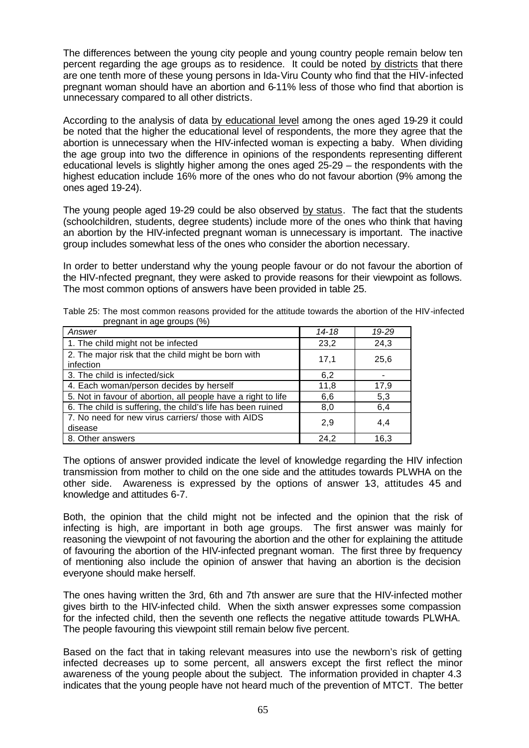The differences between the young city people and young country people remain below ten percent regarding the age groups as to residence. It could be noted by districts that there are one tenth more of these young persons in Ida-Viru County who find that the HIV-infected pregnant woman should have an abortion and 6-11% less of those who find that abortion is unnecessary compared to all other districts.

According to the analysis of data by educational level among the ones aged 19-29 it could be noted that the higher the educational level of respondents, the more they agree that the abortion is unnecessary when the HIV-infected woman is expecting a baby. When dividing the age group into two the difference in opinions of the respondents representing different educational levels is slightly higher among the ones aged 25-29 – the respondents with the highest education include 16% more of the ones who do not favour abortion (9% among the ones aged 19-24).

The young people aged 19-29 could be also observed by status. The fact that the students (schoolchildren, students, degree students) include more of the ones who think that having an abortion by the HIV-infected pregnant woman is unnecessary is important. The inactive group includes somewhat less of the ones who consider the abortion necessary.

In order to better understand why the young people favour or do not favour the abortion of the HIV-nfected pregnant, they were asked to provide reasons for their viewpoint as follows. The most common options of answers have been provided in table 25.

| Answer                                                           | 14-18 | 19-29 |
|------------------------------------------------------------------|-------|-------|
| 1. The child might not be infected                               | 23,2  | 24,3  |
| 2. The major risk that the child might be born with<br>infection | 17,1  | 25,6  |
| 3. The child is infected/sick                                    | 6,2   |       |
| 4. Each woman/person decides by herself                          | 11,8  | 17,9  |
| 5. Not in favour of abortion, all people have a right to life    | 6,6   | 5,3   |
| 6. The child is suffering, the child's life has been ruined      | 8,0   | 6,4   |
| 7. No need for new virus carriers/ those with AIDS<br>disease    | 2,9   | 4.4   |
| 8. Other answers                                                 | 24.2  | 16.3  |

| Table 25: The most common reasons provided for the attitude towards the abortion of the HIV-infected |  |  |
|------------------------------------------------------------------------------------------------------|--|--|
| pregnant in age groups (%)                                                                           |  |  |

The options of answer provided indicate the level of knowledge regarding the HIV infection transmission from mother to child on the one side and the attitudes towards PLWHA on the other side. Awareness is expressed by the options of answer 1-3, attitudes 4-5 and knowledge and attitudes 6-7.

Both, the opinion that the child might not be infected and the opinion that the risk of infecting is high, are important in both age groups. The first answer was mainly for reasoning the viewpoint of not favouring the abortion and the other for explaining the attitude of favouring the abortion of the HIV-infected pregnant woman. The first three by frequency of mentioning also include the opinion of answer that having an abortion is the decision everyone should make herself.

The ones having written the 3rd, 6th and 7th answer are sure that the HIV-infected mother gives birth to the HIV-infected child. When the sixth answer expresses some compassion for the infected child, then the seventh one reflects the negative attitude towards PLWHA. The people favouring this viewpoint still remain below five percent.

Based on the fact that in taking relevant measures into use the newborn's risk of getting infected decreases up to some percent, all answers except the first reflect the minor awareness of the young people about the subject. The information provided in chapter 4.3 indicates that the young people have not heard much of the prevention of MTCT. The better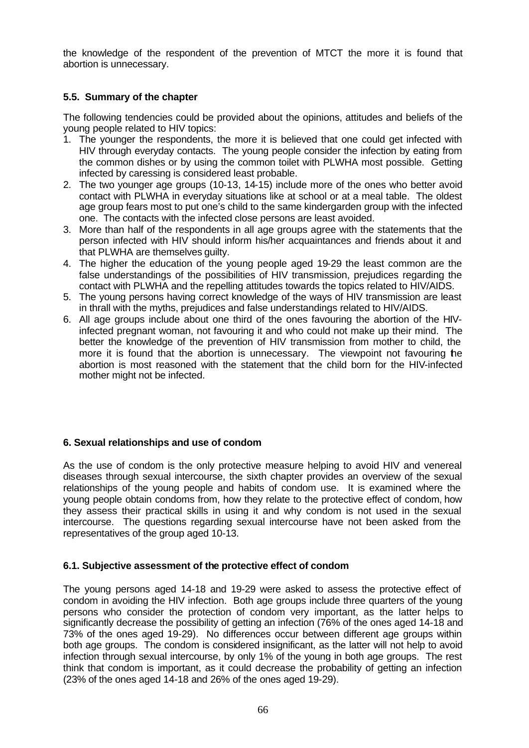the knowledge of the respondent of the prevention of MTCT the more it is found that abortion is unnecessary.

# **5.5. Summary of the chapter**

The following tendencies could be provided about the opinions, attitudes and beliefs of the young people related to HIV topics:

- 1. The younger the respondents, the more it is believed that one could get infected with HIV through everyday contacts. The young people consider the infection by eating from the common dishes or by using the common toilet with PLWHA most possible. Getting infected by caressing is considered least probable.
- 2. The two younger age groups (10-13, 14-15) include more of the ones who better avoid contact with PLWHA in everyday situations like at school or at a meal table. The oldest age group fears most to put one's child to the same kindergarden group with the infected one. The contacts with the infected close persons are least avoided.
- 3. More than half of the respondents in all age groups agree with the statements that the person infected with HIV should inform his/her acquaintances and friends about it and that PLWHA are themselves guilty.
- 4. The higher the education of the young people aged 19-29 the least common are the false understandings of the possibilities of HIV transmission, prejudices regarding the contact with PLWHA and the repelling attitudes towards the topics related to HIV/AIDS.
- 5. The young persons having correct knowledge of the ways of HIV transmission are least in thrall with the myths, prejudices and false understandings related to HIV/AIDS.
- 6. All age groups include about one third of the ones favouring the abortion of the HIVinfected pregnant woman, not favouring it and who could not make up their mind. The better the knowledge of the prevention of HIV transmission from mother to child, the more it is found that the abortion is unnecessary. The viewpoint not favouring he abortion is most reasoned with the statement that the child born for the HIV-infected mother might not be infected.

### **6. Sexual relationships and use of condom**

As the use of condom is the only protective measure helping to avoid HIV and venereal diseases through sexual intercourse, the sixth chapter provides an overview of the sexual relationships of the young people and habits of condom use. It is examined where the young people obtain condoms from, how they relate to the protective effect of condom, how they assess their practical skills in using it and why condom is not used in the sexual intercourse. The questions regarding sexual intercourse have not been asked from the representatives of the group aged 10-13.

### **6.1. Subjective assessment of the protective effect of condom**

The young persons aged 14-18 and 19-29 were asked to assess the protective effect of condom in avoiding the HIV infection. Both age groups include three quarters of the young persons who consider the protection of condom very important, as the latter helps to significantly decrease the possibility of getting an infection (76% of the ones aged 14-18 and 73% of the ones aged 19-29). No differences occur between different age groups within both age groups. The condom is considered insignificant, as the latter will not help to avoid infection through sexual intercourse, by only 1% of the young in both age groups. The rest think that condom is important, as it could decrease the probability of getting an infection (23% of the ones aged 14-18 and 26% of the ones aged 19-29).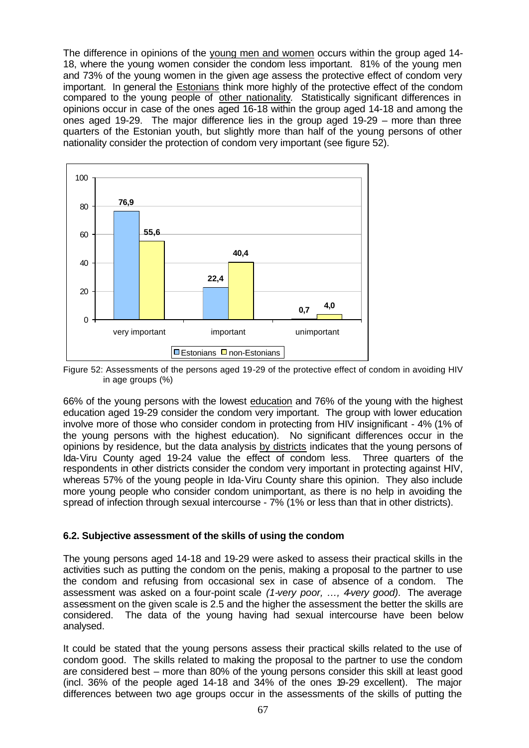The difference in opinions of the young men and women occurs within the group aged 14-18, where the young women consider the condom less important. 81% of the young men and 73% of the young women in the given age assess the protective effect of condom very important. In general the Estonians think more highly of the protective effect of the condom compared to the young people of other nationality. Statistically significant differences in opinions occur in case of the ones aged 16-18 within the group aged 14-18 and among the ones aged 19-29. The major difference lies in the group aged 19-29 – more than three quarters of the Estonian youth, but slightly more than half of the young persons of other nationality consider the protection of condom very important (see figure 52).



Figure 52: Assessments of the persons aged 19-29 of the protective effect of condom in avoiding HIV in age groups (%)

66% of the young persons with the lowest education and 76% of the young with the highest education aged 19-29 consider the condom very important. The group with lower education involve more of those who consider condom in protecting from HIV insignificant - 4% (1% of the young persons with the highest education). No significant differences occur in the opinions by residence, but the data analysis by districts indicates that the young persons of Ida-Viru County aged 19-24 value the effect of condom less. Three quarters of the respondents in other districts consider the condom very important in protecting against HIV, whereas 57% of the young people in Ida-Viru County share this opinion. They also include more young people who consider condom unimportant, as there is no help in avoiding the spread of infection through sexual intercourse - 7% (1% or less than that in other districts).

### **6.2. Subjective assessment of the skills of using the condom**

The young persons aged 14-18 and 19-29 were asked to assess their practical skills in the activities such as putting the condom on the penis, making a proposal to the partner to use the condom and refusing from occasional sex in case of absence of a condom. The assessment was asked on a four-point scale *(1-very poor, …, 4-very good)*. The average assessment on the given scale is 2.5 and the higher the assessment the better the skills are considered. The data of the young having had sexual intercourse have been below analysed.

It could be stated that the young persons assess their practical skills related to the use of condom good. The skills related to making the proposal to the partner to use the condom are considered best – more than 80% of the young persons consider this skill at least good (incl. 36% of the people aged 14-18 and 34% of the ones 19-29 excellent). The major differences between two age groups occur in the assessments of the skills of putting the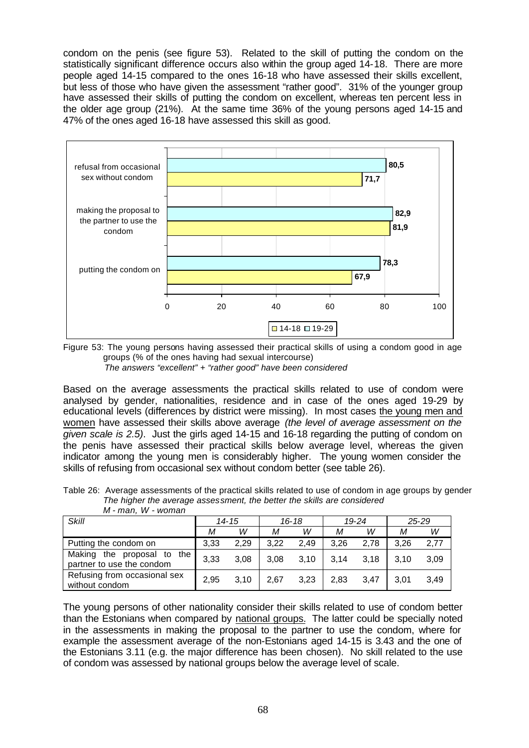condom on the penis (see figure 53). Related to the skill of putting the condom on the statistically significant difference occurs also within the group aged 14-18. There are more people aged 14-15 compared to the ones 16-18 who have assessed their skills excellent, but less of those who have given the assessment "rather good". 31% of the younger group have assessed their skills of putting the condom on excellent, whereas ten percent less in the older age group (21%). At the same time 36% of the young persons aged 14-15 and 47% of the ones aged 16-18 have assessed this skill as good.



Figure 53: The young persons having assessed their practical skills of using a condom good in age groups (% of the ones having had sexual intercourse)  *The answers "excellent" + "rather good" have been considered*

Based on the average assessments the practical skills related to use of condom were analysed by gender, nationalities, residence and in case of the ones aged 19-29 by educational levels (differences by district were missing). In most cases the young men and women have assessed their skills above average *(the level of average assessment on the given scale is 2.5)*. Just the girls aged 14-15 and 16-18 regarding the putting of condom on the penis have assessed their practical skills below average level, whereas the given indicator among the young men is considerably higher. The young women consider the skills of refusing from occasional sex without condom better (see table 26).

Table 26: Average assessments of the practical skills related to use of condom in age groups by gender *The higher the average assessment, the better the skills are considered M - man, W - woman*

| <b>Skill</b>                                            | $14 - 15$ |      | $16 - 18$ |      | 19-24 |      |      | $25 - 29$ |
|---------------------------------------------------------|-----------|------|-----------|------|-------|------|------|-----------|
|                                                         | М         | W    | М         | W    | М     | W    | М    | w         |
| Putting the condom on                                   | 3.33      | 2.29 | 3.22      | 2.49 | 3.26  | 2.78 | 3.26 | 2.77      |
| Making the proposal to the<br>partner to use the condom | 3,33      | 3.08 | 3.08      | 3.10 | 3.14  | 3.18 | 3.10 | 3.09      |
| Refusing from occasional sex<br>without condom          | 2,95      | 3.10 | 2.67      | 3,23 | 2.83  | 3.47 | 3.01 | 3.49      |

The young persons of other nationality consider their skills related to use of condom better than the Estonians when compared by national groups. The latter could be specially noted in the assessments in making the proposal to the partner to use the condom, where for example the assessment average of the non-Estonians aged 14-15 is 3.43 and the one of the Estonians 3.11 (e.g. the major difference has been chosen). No skill related to the use of condom was assessed by national groups below the average level of scale.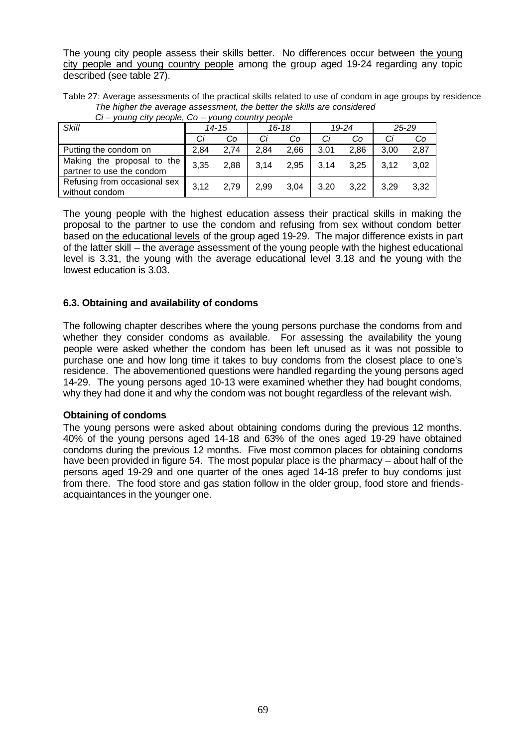The young city people assess their skills better. No differences occur between the young city people and young country people among the group aged 19-24 regarding any topic described (see table 27).

Table 27: Average assessments of the practical skills related to use of condom in age groups by residence *The higher the average assessment, the better the skills are considered Ci – young city people, Co – young country people*

| ັ<br>young only poopio, oo<br><b>Vally VOUTHTY PUUPIU</b> |       |      |           |      |           |      |           |      |
|-----------------------------------------------------------|-------|------|-----------|------|-----------|------|-----------|------|
| <b>Skill</b>                                              | 14-15 |      | $16 - 18$ |      | $19 - 24$ |      | $25 - 29$ |      |
|                                                           | Сi    | Co   | Ci        | Co   | Сi        | Co   | Сi        | Co   |
| Putting the condom on                                     | 2.84  | 2.74 | 2.84      | 2,66 | 3.01      | 2.86 | 3.00      | 2,87 |
| Making the proposal to the<br>partner to use the condom   | 3,35  | 2.88 | 3.14      | 2,95 | 3.14      | 3,25 | 3.12      | 3.02 |
| Refusing from occasional sex<br>without condom            | 3,12  | 2.79 | 2.99      | 3.04 | 3.20      | 3.22 | 3.29      | 3.32 |

The young people with the highest education assess their practical skills in making the proposal to the partner to use the condom and refusing from sex without condom better based on the educational levels of the group aged 19-29. The major difference exists in part of the latter skill – the average assessment of the young people with the highest educational level is 3.31, the young with the average educational level 3.18 and the young with the lowest education is 3.03.

# **6.3. Obtaining and availability of condoms**

The following chapter describes where the young persons purchase the condoms from and whether they consider condoms as available. For assessing the availability the young people were asked whether the condom has been left unused as it was not possible to purchase one and how long time it takes to buy condoms from the closest place to one's residence. The abovementioned questions were handled regarding the young persons aged 14-29. The young persons aged 10-13 were examined whether they had bought condoms, why they had done it and why the condom was not bought regardless of the relevant wish.

### **Obtaining of condoms**

The young persons were asked about obtaining condoms during the previous 12 months. 40% of the young persons aged 14-18 and 63% of the ones aged 19-29 have obtained condoms during the previous 12 months. Five most common places for obtaining condoms have been provided in figure 54. The most popular place is the pharmacy – about half of the persons aged 19-29 and one quarter of the ones aged 14-18 prefer to buy condoms just from there. The food store and gas station follow in the older group, food store and friendsacquaintances in the younger one.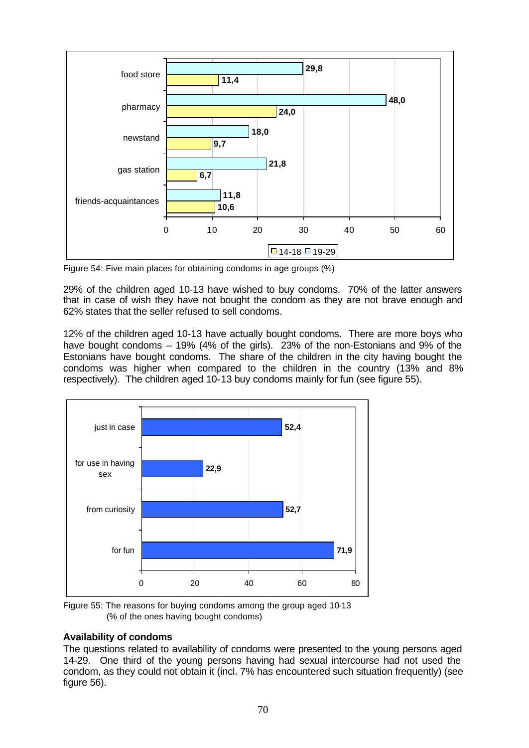

Figure 54: Five main places for obtaining condoms in age groups (%)

29% of the children aged 10-13 have wished to buy condoms. 70% of the latter answers that in case of wish they have not bought the condom as they are not brave enough and 62% states that the seller refused to sell condoms.

12% of the children aged 10-13 have actually bought condoms. There are more boys who have bought condoms  $-$  19% (4% of the girls). 23% of the non-Estonians and 9% of the Estonians have bought condoms. The share of the children in the city having bought the condoms was higher when compared to the children in the country (13% and 8% respectively). The children aged 10-13 buy condoms mainly for fun (see figure 55).



Figure 55: The reasons for buying condoms among the group aged 10-13 (% of the ones having bought condoms)

### **Availability of condoms**

The questions related to availability of condoms were presented to the young persons aged 14-29. One third of the young persons having had sexual intercourse had not used the condom, as they could not obtain it (incl. 7% has encountered such situation frequently) (see figure 56).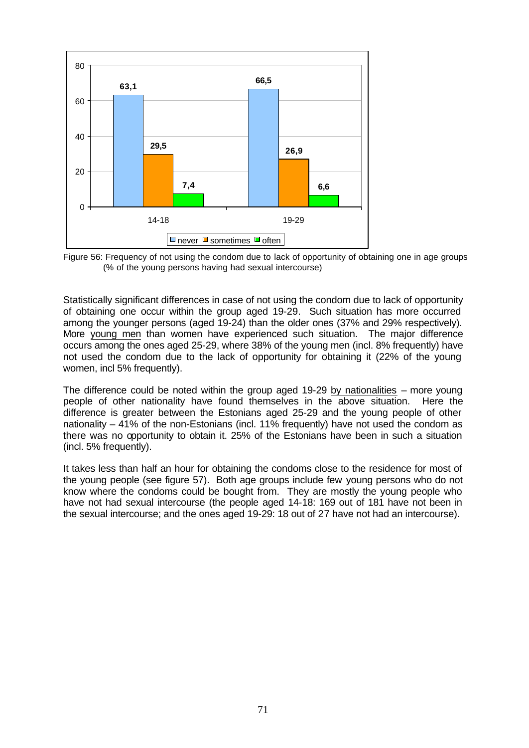

Figure 56: Frequency of not using the condom due to lack of opportunity of obtaining one in age groups (% of the young persons having had sexual intercourse)

Statistically significant differences in case of not using the condom due to lack of opportunity of obtaining one occur within the group aged 19-29. Such situation has more occurred among the younger persons (aged 19-24) than the older ones (37% and 29% respectively). More young men than women have experienced such situation. The major difference occurs among the ones aged 25-29, where 38% of the young men (incl. 8% frequently) have not used the condom due to the lack of opportunity for obtaining it (22% of the young women, incl 5% frequently).

The difference could be noted within the group aged 19-29 by nationalities  $-$  more young people of other nationality have found themselves in the above situation. Here the difference is greater between the Estonians aged 25-29 and the young people of other nationality – 41% of the non-Estonians (incl. 11% frequently) have not used the condom as there was no opportunity to obtain it. 25% of the Estonians have been in such a situation (incl. 5% frequently).

It takes less than half an hour for obtaining the condoms close to the residence for most of the young people (see figure 57). Both age groups include few young persons who do not know where the condoms could be bought from. They are mostly the young people who have not had sexual intercourse (the people aged 14-18: 169 out of 181 have not been in the sexual intercourse; and the ones aged 19-29: 18 out of 27 have not had an intercourse).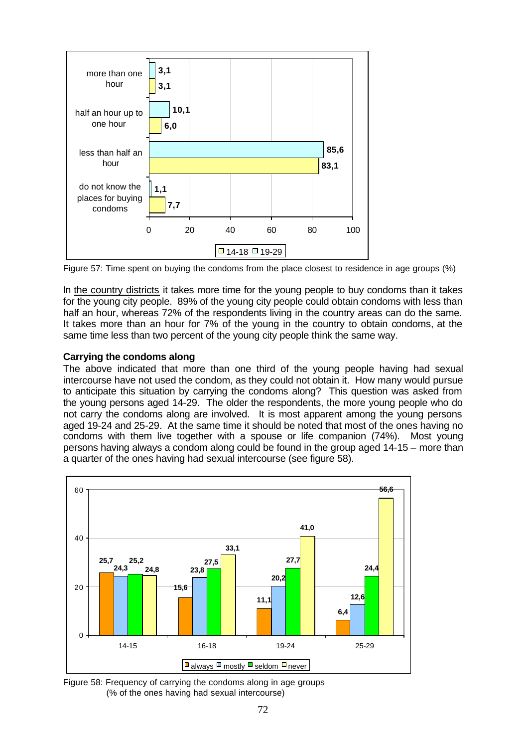

Figure 57: Time spent on buying the condoms from the place closest to residence in age groups (%)

In the country districts it takes more time for the young people to buy condoms than it takes for the young city people. 89% of the young city people could obtain condoms with less than half an hour, whereas 72% of the respondents living in the country areas can do the same. It takes more than an hour for 7% of the young in the country to obtain condoms, at the same time less than two percent of the young city people think the same way.

# **Carrying the condoms along**

The above indicated that more than one third of the young people having had sexual intercourse have not used the condom, as they could not obtain it. How many would pursue to anticipate this situation by carrying the condoms along? This question was asked from the young persons aged 14-29. The older the respondents, the more young people who do not carry the condoms along are involved. It is most apparent among the young persons aged 19-24 and 25-29. At the same time it should be noted that most of the ones having no condoms with them live together with a spouse or life companion (74%). Most young persons having always a condom along could be found in the group aged 14-15 – more than a quarter of the ones having had sexual intercourse (see figure 58).



Figure 58: Frequency of carrying the condoms along in age groups (% of the ones having had sexual intercourse)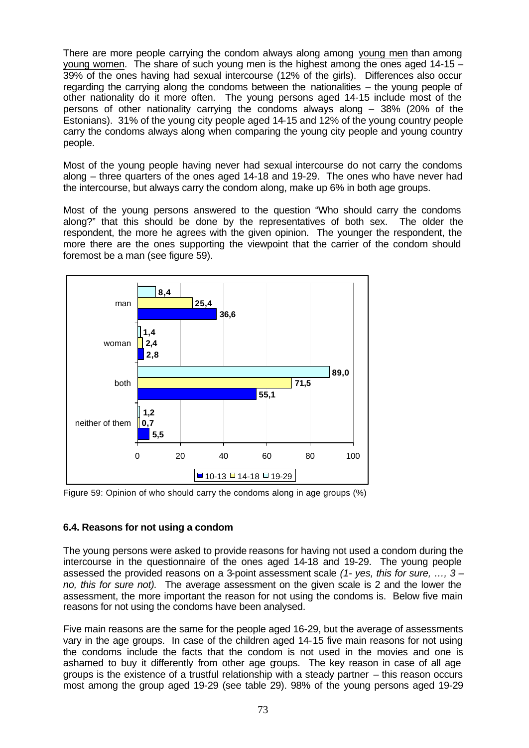There are more people carrying the condom always along among young men than among young women. The share of such young men is the highest among the ones aged  $14-15-$ 39% of the ones having had sexual intercourse (12% of the girls). Differences also occur regarding the carrying along the condoms between the nationalities – the young people of other nationality do it more often. The young persons aged 14-15 include most of the persons of other nationality carrying the condoms always along – 38% (20% of the Estonians). 31% of the young city people aged 14-15 and 12% of the young country people carry the condoms always along when comparing the young city people and young country people.

Most of the young people having never had sexual intercourse do not carry the condoms along – three quarters of the ones aged 14-18 and 19-29. The ones who have never had the intercourse, but always carry the condom along, make up 6% in both age groups.

Most of the young persons answered to the question "Who should carry the condoms along?" that this should be done by the representatives of both sex. The older the respondent, the more he agrees with the given opinion. The younger the respondent, the more there are the ones supporting the viewpoint that the carrier of the condom should foremost be a man (see figure 59).



Figure 59: Opinion of who should carry the condoms along in age groups (%)

### **6.4. Reasons for not using a condom**

The young persons were asked to provide reasons for having not used a condom during the intercourse in the questionnaire of the ones aged 14-18 and 19-29. The young people assessed the provided reasons on a 3-point assessment scale *(1- yes, this for sure, …, 3 – no, this for sure not).* The average assessment on the given scale is 2 and the lower the assessment, the more important the reason for not using the condoms is. Below five main reasons for not using the condoms have been analysed.

Five main reasons are the same for the people aged 16-29, but the average of assessments vary in the age groups. In case of the children aged 14-15 five main reasons for not using the condoms include the facts that the condom is not used in the movies and one is ashamed to buy it differently from other age goups. The key reason in case of all age groups is the existence of a trustful relationship with a steady partner – this reason occurs most among the group aged 19-29 (see table 29). 98% of the young persons aged 19-29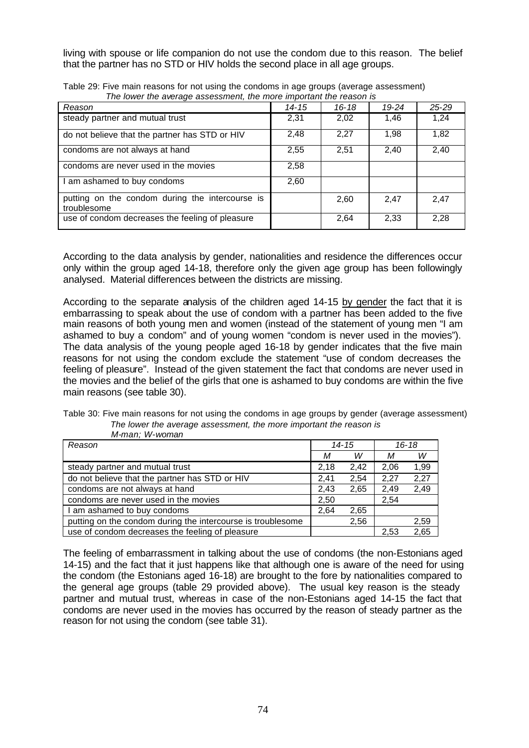living with spouse or life companion do not use the condom due to this reason. The belief that the partner has no STD or HIV holds the second place in all age groups.

| Reason                                                         | 14-15 | $16 - 18$ | $19 - 24$ | $25 - 29$ |
|----------------------------------------------------------------|-------|-----------|-----------|-----------|
| steady partner and mutual trust                                | 2,31  | 2,02      | 1,46      | 1,24      |
| do not believe that the partner has STD or HIV                 | 2,48  | 2,27      | 1,98      | 1,82      |
| condoms are not always at hand                                 | 2,55  | 2,51      | 2,40      | 2,40      |
| condoms are never used in the movies                           | 2,58  |           |           |           |
| I am ashamed to buy condoms                                    | 2,60  |           |           |           |
| putting on the condom during the intercourse is<br>troublesome |       | 2,60      | 2,47      | 2,47      |
| use of condom decreases the feeling of pleasure                |       | 2,64      | 2,33      | 2,28      |

Table 29: Five main reasons for not using the condoms in age groups (average assessment) *The lower the average assessment, the more important the reason is*

According to the data analysis by gender, nationalities and residence the differences occur only within the group aged 14-18, therefore only the given age group has been followingly analysed. Material differences between the districts are missing.

According to the separate analysis of the children aged 14-15 by gender the fact that it is embarrassing to speak about the use of condom with a partner has been added to the five main reasons of both young men and women (instead of the statement of young men "I am ashamed to buy a condom" and of young women "condom is never used in the movies"). The data analysis of the young people aged 16-18 by gender indicates that the five main reasons for not using the condom exclude the statement "use of condom decreases the feeling of pleasure". Instead of the given statement the fact that condoms are never used in the movies and the belief of the girls that one is ashamed to buy condoms are within the five main reasons (see table 30).

| Table 30: Five main reasons for not using the condoms in age groups by gender (average assessment) |
|----------------------------------------------------------------------------------------------------|
| The lower the average assessment, the more important the reason is                                 |
| M-man: W-woman                                                                                     |

| Reason                                                      | $14 - 15$ |      | $16 - 18$ |      |
|-------------------------------------------------------------|-----------|------|-----------|------|
|                                                             | М         | w    | М         | w    |
| steady partner and mutual trust                             | 2,18      | 2,42 | 2,06      | 1,99 |
| do not believe that the partner has STD or HIV              | 2.41      | 2.54 | 2,27      | 2,27 |
| condoms are not always at hand                              | 2.43      | 2,65 | 2,49      | 2,49 |
| condoms are never used in the movies                        | 2,50      |      | 2,54      |      |
| I am ashamed to buy condoms                                 | 2.64      | 2.65 |           |      |
| putting on the condom during the intercourse is troublesome |           | 2,56 |           | 2,59 |
| use of condom decreases the feeling of pleasure             |           |      | 2,53      | 2.65 |

The feeling of embarrassment in talking about the use of condoms (the non-Estonians aged 14-15) and the fact that it just happens like that although one is aware of the need for using the condom (the Estonians aged 16-18) are brought to the fore by nationalities compared to the general age groups (table 29 provided above). The usual key reason is the steady partner and mutual trust, whereas in case of the non-Estonians aged 14-15 the fact that condoms are never used in the movies has occurred by the reason of steady partner as the reason for not using the condom (see table 31).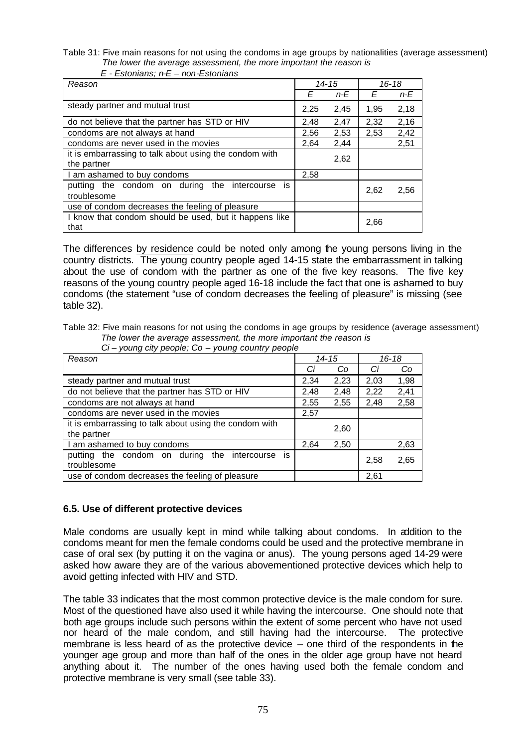Table 31: Five main reasons for not using the condoms in age groups by nationalities (average assessment)  *The lower the average assessment, the more important the reason is*

| Reason                                                                |      | 14-15 | $16 - 18$ |      |
|-----------------------------------------------------------------------|------|-------|-----------|------|
|                                                                       | E    | n-E   | E         | n-E  |
| steady partner and mutual trust                                       | 2,25 | 2,45  | 1.95      | 2,18 |
| do not believe that the partner has STD or HIV                        | 2,48 | 2,47  | 2,32      | 2,16 |
| condoms are not always at hand                                        | 2,56 | 2,53  | 2,53      | 2,42 |
| condoms are never used in the movies                                  | 2,64 | 2,44  |           | 2,51 |
| it is embarrassing to talk about using the condom with<br>the partner |      | 2,62  |           |      |
| I am ashamed to buy condoms                                           | 2,58 |       |           |      |
| putting the condom on during the intercourse<br>İS<br>troublesome     |      |       | 2,62      | 2,56 |
| use of condom decreases the feeling of pleasure                       |      |       |           |      |
| I know that condom should be used, but it happens like<br>that        |      |       | 2,66      |      |

 *E - Estonians; n-E – non-Estonians* 

The differences by residence could be noted only among the young persons living in the country districts. The young country people aged 14-15 state the embarrassment in talking about the use of condom with the partner as one of the five key reasons. The five key reasons of the young country people aged 16-18 include the fact that one is ashamed to buy condoms (the statement "use of condom decreases the feeling of pleasure" is missing (see table 32).

Table 32: Five main reasons for not using the condoms in age groups by residence (average assessment) *The lower the average assessment, the more important the reason is Ci – young city people; Co – young country people*

| ◡<br>young city people, our young country people                      |      |           |      |           |  |
|-----------------------------------------------------------------------|------|-----------|------|-----------|--|
| Reason                                                                |      | $14 - 15$ |      | $16 - 18$ |  |
|                                                                       | Сi   | Co        | Сi   | Co        |  |
| steady partner and mutual trust                                       | 2,34 | 2,23      | 2,03 | 1,98      |  |
| do not believe that the partner has STD or HIV                        | 2,48 | 2,48      | 2,22 | 2,41      |  |
| condoms are not always at hand                                        | 2,55 | 2,55      | 2,48 | 2,58      |  |
| condoms are never used in the movies                                  | 2,57 |           |      |           |  |
| it is embarrassing to talk about using the condom with<br>the partner |      | 2,60      |      |           |  |
| I am ashamed to buy condoms                                           | 2,64 | 2,50      |      | 2,63      |  |
| is<br>the condom on during the intercourse<br>putting<br>troublesome  |      |           | 2,58 | 2,65      |  |
| use of condom decreases the feeling of pleasure                       |      |           | 2,61 |           |  |

### **6.5. Use of different protective devices**

Male condoms are usually kept in mind while talking about condoms. In addition to the condoms meant for men the female condoms could be used and the protective membrane in case of oral sex (by putting it on the vagina or anus). The young persons aged 14-29 were asked how aware they are of the various abovementioned protective devices which help to avoid getting infected with HIV and STD.

The table 33 indicates that the most common protective device is the male condom for sure. Most of the questioned have also used it while having the intercourse. One should note that both age groups include such persons within the extent of some percent who have not used nor heard of the male condom, and still having had the intercourse. The protective membrane is less heard of as the protective device  $-$  one third of the respondents in the younger age group and more than half of the ones in the older age group have not heard anything about it. The number of the ones having used both the female condom and protective membrane is very small (see table 33).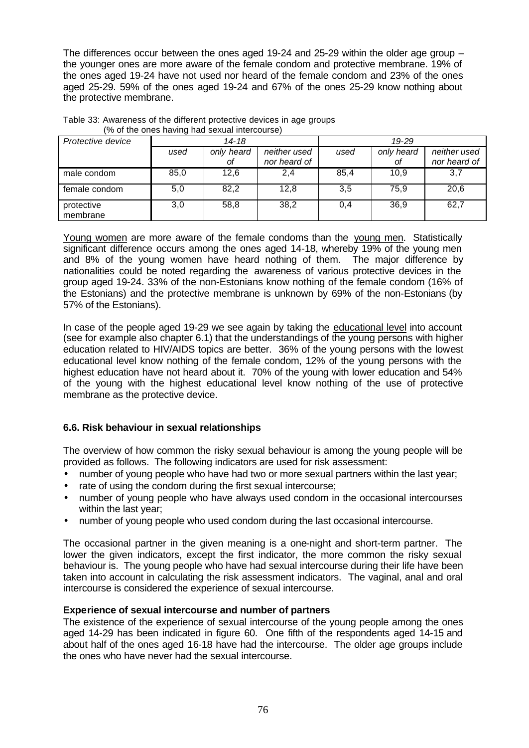The differences occur between the ones aged 19-24 and 25-29 within the older age group – the younger ones are more aware of the female condom and protective membrane. 19% of the ones aged 19-24 have not used nor heard of the female condom and 23% of the ones aged 25-29. 59% of the ones aged 19-24 and 67% of the ones 25-29 know nothing about the protective membrane.

| Protective device      |      | 14-18      |              |      | 19-29      |              |  |
|------------------------|------|------------|--------------|------|------------|--------------|--|
|                        | used | only heard | neither used | used | only heard | neither used |  |
|                        |      | Οf         | nor heard of |      | οf         | nor heard of |  |
| male condom            | 85,0 | 12.6       | 2,4          | 85,4 | 10,9       | 3,7          |  |
| female condom          | 5,0  | 82,2       | 12,8         | 3,5  | 75,9       | 20,6         |  |
| protective<br>membrane | 3,0  | 58,8       | 38,2         | 0,4  | 36,9       | 62,7         |  |

| Table 33: Awareness of the different protective devices in age groups |                                               |  |  |
|-----------------------------------------------------------------------|-----------------------------------------------|--|--|
|                                                                       | (% of the ones having had sexual intercourse) |  |  |

Young women are more aware of the female condoms than the young men. Statistically significant difference occurs among the ones aged 14-18, whereby 19% of the young men and 8% of the young women have heard nothing of them. The major difference by nationalities could be noted regarding the awareness of various protective devices in the group aged 19-24. 33% of the non-Estonians know nothing of the female condom (16% of the Estonians) and the protective membrane is unknown by 69% of the non-Estonians (by 57% of the Estonians).

In case of the people aged 19-29 we see again by taking the educational level into account (see for example also chapter 6.1) that the understandings of the young persons with higher education related to HIV/AIDS topics are better. 36% of the young persons with the lowest educational level know nothing of the female condom, 12% of the young persons with the highest education have not heard about it. 70% of the young with lower education and 54% of the young with the highest educational level know nothing of the use of protective membrane as the protective device.

# **6.6. Risk behaviour in sexual relationships**

The overview of how common the risky sexual behaviour is among the young people will be provided as follows. The following indicators are used for risk assessment:

- number of young people who have had two or more sexual partners within the last year;
- rate of using the condom during the first sexual intercourse;
- number of young people who have always used condom in the occasional intercourses within the last year;
- number of young people who used condom during the last occasional intercourse.

The occasional partner in the given meaning is a one-night and short-term partner. The lower the given indicators, except the first indicator, the more common the risky sexual behaviour is. The young people who have had sexual intercourse during their life have been taken into account in calculating the risk assessment indicators. The vaginal, anal and oral intercourse is considered the experience of sexual intercourse.

# **Experience of sexual intercourse and number of partners**

The existence of the experience of sexual intercourse of the young people among the ones aged 14-29 has been indicated in figure 60. One fifth of the respondents aged 14-15 and about half of the ones aged 16-18 have had the intercourse. The older age groups include the ones who have never had the sexual intercourse.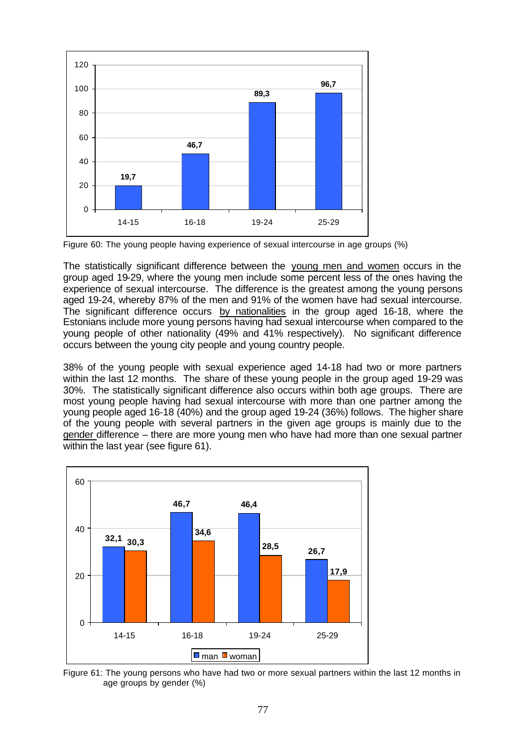

Figure 60: The young people having experience of sexual intercourse in age groups (%)

The statistically significant difference between the young men and women occurs in the group aged 19-29, where the young men include some percent less of the ones having the experience of sexual intercourse. The difference is the greatest among the young persons aged 19-24, whereby 87% of the men and 91% of the women have had sexual intercourse. The significant difference occurs by nationalities in the group aged 16-18, where the Estonians include more young persons having had sexual intercourse when compared to the young people of other nationality (49% and 41% respectively). No significant difference occurs between the young city people and young country people.

38% of the young people with sexual experience aged 14-18 had two or more partners within the last 12 months. The share of these young people in the group aged 19-29 was 30%. The statistically significant difference also occurs within both age groups. There are most young people having had sexual intercourse with more than one partner among the young people aged 16-18 (40%) and the group aged 19-24 (36%) follows. The higher share of the young people with several partners in the given age groups is mainly due to the gender difference – there are more young men who have had more than one sexual partner within the last year (see figure 61).



Figure 61: The young persons who have had two or more sexual partners within the last 12 months in age groups by gender (%)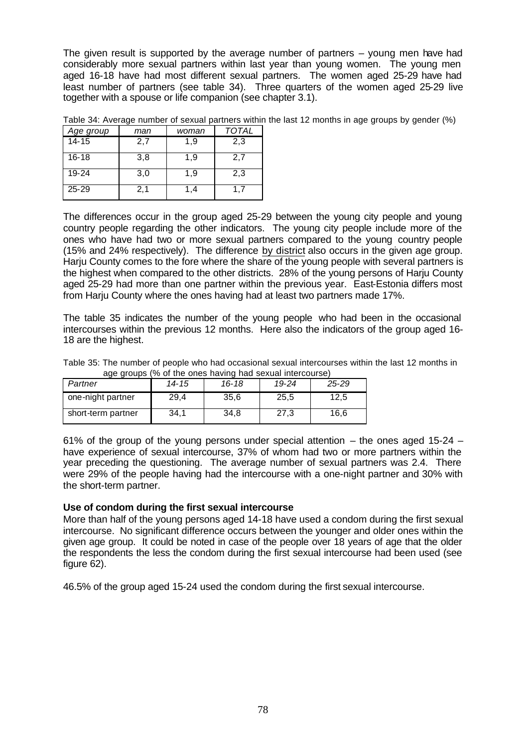The given result is supported by the average number of partners – young men have had considerably more sexual partners within last year than young women. The young men aged 16-18 have had most different sexual partners. The women aged 25-29 have had least number of partners (see table 34). Three quarters of the women aged 25-29 live together with a spouse or life companion (see chapter 3.1).

| Age group | man | woman | TOTAL |
|-----------|-----|-------|-------|
| $14 - 15$ | 2,7 | 1,9   | 2,3   |
| 16-18     | 3,8 | 1,9   | 2,7   |
| 19-24     | 3,0 | 1.9   | 2,3   |
| $25 - 29$ | 2,1 | 1,4   | 1.7   |

Table 34: Average number of sexual partners within the last 12 months in age groups by gender (%)

The differences occur in the group aged 25-29 between the young city people and young country people regarding the other indicators. The young city people include more of the ones who have had two or more sexual partners compared to the young country people (15% and 24% respectively). The difference by district also occurs in the given age group. Harju County comes to the fore where the share of the young people with several partners is the highest when compared to the other districts. 28% of the young persons of Harju County aged 25-29 had more than one partner within the previous year. East-Estonia differs most from Harju County where the ones having had at least two partners made 17%.

The table 35 indicates the number of the young people who had been in the occasional intercourses within the previous 12 months. Here also the indicators of the group aged 16- 18 are the highest.

Table 35: The number of people who had occasional sexual intercourses within the last 12 months in age groups (% of the ones having had sexual intercourse)

| Partner            | 14-15 | $16 - 18$ | 19-24 | $25 - 29$ |
|--------------------|-------|-----------|-------|-----------|
| one-night partner  | 29.4  | 35.6      | 25,5  | 12.5      |
| short-term partner | 34.1  | 34.8      | 27,3  | 16.6      |

61% of the group of the young persons under special attention  $-$  the ones aged 15-24  $$ have experience of sexual intercourse, 37% of whom had two or more partners within the year preceding the questioning. The average number of sexual partners was 2.4. There were 29% of the people having had the intercourse with a one-night partner and 30% with the short-term partner.

#### **Use of condom during the first sexual intercourse**

More than half of the young persons aged 14-18 have used a condom during the first sexual intercourse. No significant difference occurs between the younger and older ones within the given age group. It could be noted in case of the people over 18 years of age that the older the respondents the less the condom during the first sexual intercourse had been used (see figure 62).

46.5% of the group aged 15-24 used the condom during the first sexual intercourse.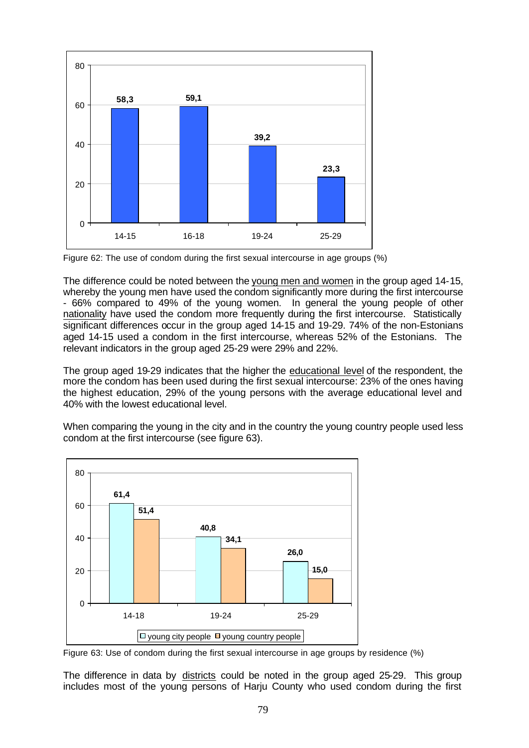

Figure 62: The use of condom during the first sexual intercourse in age groups (%)

The difference could be noted between the young men and women in the group aged 14-15, whereby the young men have used the condom significantly more during the first intercourse - 66% compared to 49% of the young women. In general the young people of other nationality have used the condom more frequently during the first intercourse. Statistically significant differences occur in the group aged 14-15 and 19-29. 74% of the non-Estonians aged 14-15 used a condom in the first intercourse, whereas 52% of the Estonians. The relevant indicators in the group aged 25-29 were 29% and 22%.

The group aged 19-29 indicates that the higher the educational level of the respondent, the more the condom has been used during the first sexual intercourse: 23% of the ones having the highest education, 29% of the young persons with the average educational level and 40% with the lowest educational level.

When comparing the young in the city and in the country the young country people used less condom at the first intercourse (see figure 63).



Figure 63: Use of condom during the first sexual intercourse in age groups by residence (%)

The difference in data by districts could be noted in the group aged 25-29. This group includes most of the young persons of Harju County who used condom during the first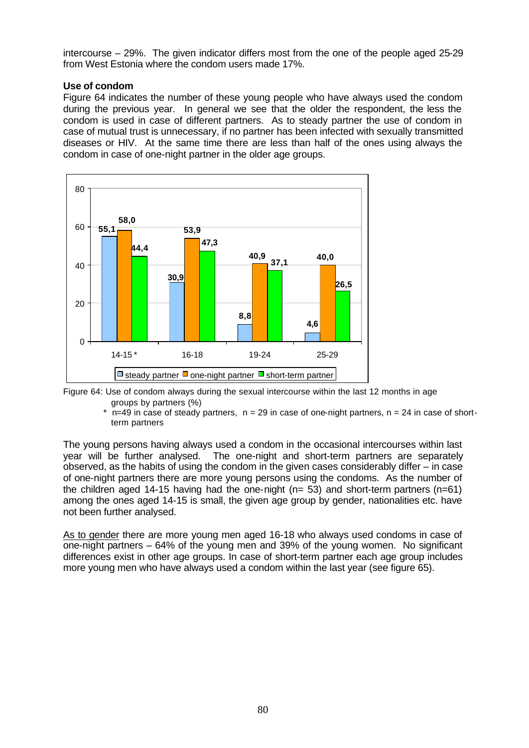intercourse – 29%. The given indicator differs most from the one of the people aged 25-29 from West Estonia where the condom users made 17%.

#### **Use of condom**

Figure 64 indicates the number of these young people who have always used the condom during the previous year. In general we see that the older the respondent, the less the condom is used in case of different partners. As to steady partner the use of condom in case of mutual trust is unnecessary, if no partner has been infected with sexually transmitted diseases or HIV. At the same time there are less than half of the ones using always the condom in case of one-night partner in the older age groups.



Figure 64: Use of condom always during the sexual intercourse within the last 12 months in age groups by partners (%)

 $*$  n=49 in case of steady partners,  $n = 29$  in case of one-night partners,  $n = 24$  in case of shortterm partners

The young persons having always used a condom in the occasional intercourses within last year will be further analysed. The one-night and short-term partners are separately observed, as the habits of using the condom in the given cases considerably differ – in case of one-night partners there are more young persons using the condoms. As the number of the children aged 14-15 having had the one-night ( $n= 53$ ) and short-term partners ( $n=61$ ) among the ones aged 14-15 is small, the given age group by gender, nationalities etc. have not been further analysed.

As to gender there are more young men aged 16-18 who always used condoms in case of one-night partners – 64% of the young men and 39% of the young women. No significant differences exist in other age groups. In case of short-term partner each age group includes more young men who have always used a condom within the last year (see figure 65).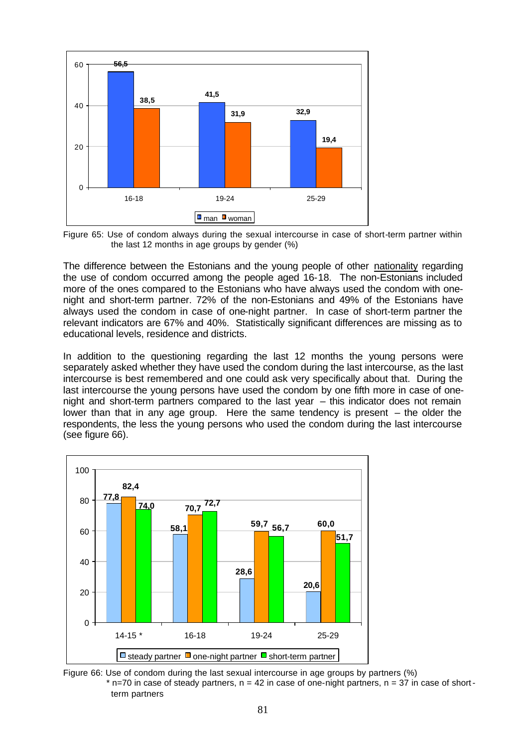

Figure 65: Use of condom always during the sexual intercourse in case of short-term partner within the last 12 months in age groups by gender (%)

The difference between the Estonians and the young people of other nationality regarding the use of condom occurred among the people aged 16-18. The non-Estonians included more of the ones compared to the Estonians who have always used the condom with onenight and short-term partner. 72% of the non-Estonians and 49% of the Estonians have always used the condom in case of one-night partner. In case of short-term partner the relevant indicators are 67% and 40%. Statistically significant differences are missing as to educational levels, residence and districts.

In addition to the questioning regarding the last 12 months the young persons were separately asked whether they have used the condom during the last intercourse, as the last intercourse is best remembered and one could ask very specifically about that. During the last intercourse the young persons have used the condom by one fifth more in case of onenight and short-term partners compared to the last year – this indicator does not remain lower than that in any age group. Here the same tendency is present – the older the respondents, the less the young persons who used the condom during the last intercourse (see figure 66).



Figure 66: Use of condom during the last sexual intercourse in age groups by partners (%)  $*$  n=70 in case of steady partners,  $n = 42$  in case of one-night partners,  $n = 37$  in case of shortterm partners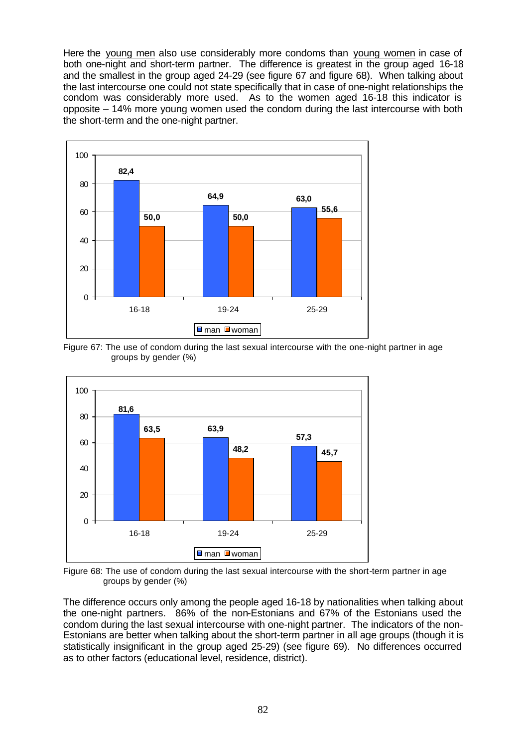Here the young men also use considerably more condoms than young women in case of both one-night and short-term partner. The difference is greatest in the group aged 16-18 and the smallest in the group aged 24-29 (see figure 67 and figure 68). When talking about the last intercourse one could not state specifically that in case of one-night relationships the condom was considerably more used. As to the women aged 16-18 this indicator is opposite – 14% more young women used the condom during the last intercourse with both the short-term and the one-night partner.



Figure 67: The use of condom during the last sexual intercourse with the one-night partner in age groups by gender (%)



Figure 68: The use of condom during the last sexual intercourse with the short-term partner in age groups by gender (%)

The difference occurs only among the people aged 16-18 by nationalities when talking about the one-night partners. 86% of the non-Estonians and 67% of the Estonians used the condom during the last sexual intercourse with one-night partner. The indicators of the non-Estonians are better when talking about the short-term partner in all age groups (though it is statistically insignificant in the group aged 25-29) (see figure 69). No differences occurred as to other factors (educational level, residence, district).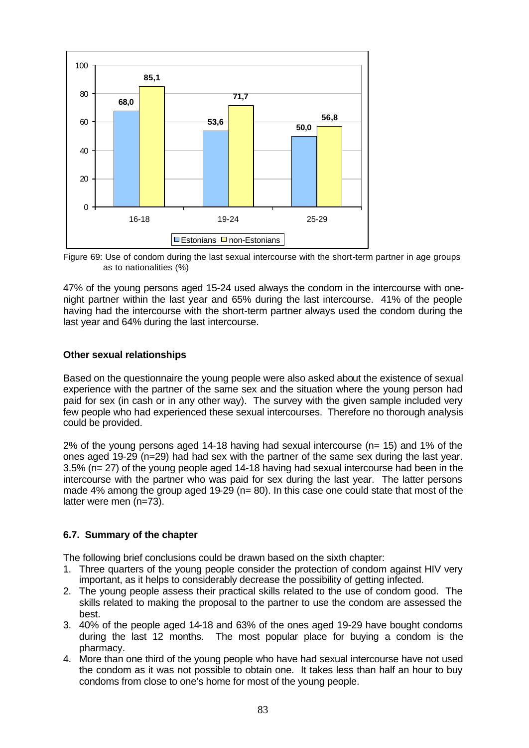

Figure 69: Use of condom during the last sexual intercourse with the short-term partner in age groups as to nationalities (%)

47% of the young persons aged 15-24 used always the condom in the intercourse with onenight partner within the last year and 65% during the last intercourse. 41% of the people having had the intercourse with the short-term partner always used the condom during the last year and 64% during the last intercourse.

## **Other sexual relationships**

Based on the questionnaire the young people were also asked about the existence of sexual experience with the partner of the same sex and the situation where the young person had paid for sex (in cash or in any other way). The survey with the given sample included very few people who had experienced these sexual intercourses. Therefore no thorough analysis could be provided.

 $2\%$  of the young persons aged 14-18 having had sexual intercourse ( $n= 15$ ) and 1% of the ones aged 19-29 (n=29) had had sex with the partner of the same sex during the last year. 3.5% (n= 27) of the young people aged 14-18 having had sexual intercourse had been in the intercourse with the partner who was paid for sex during the last year. The latter persons made 4% among the group aged 19-29 ( $n= 80$ ). In this case one could state that most of the latter were men (n=73).

# **6.7. Summary of the chapter**

The following brief conclusions could be drawn based on the sixth chapter:

- 1. Three quarters of the young people consider the protection of condom against HIV very important, as it helps to considerably decrease the possibility of getting infected.
- 2. The young people assess their practical skills related to the use of condom good. The skills related to making the proposal to the partner to use the condom are assessed the best.
- 3. 40% of the people aged 14-18 and 63% of the ones aged 19-29 have bought condoms during the last 12 months. The most popular place for buying a condom is the pharmacy.
- 4. More than one third of the young people who have had sexual intercourse have not used the condom as it was not possible to obtain one. It takes less than half an hour to buy condoms from close to one's home for most of the young people.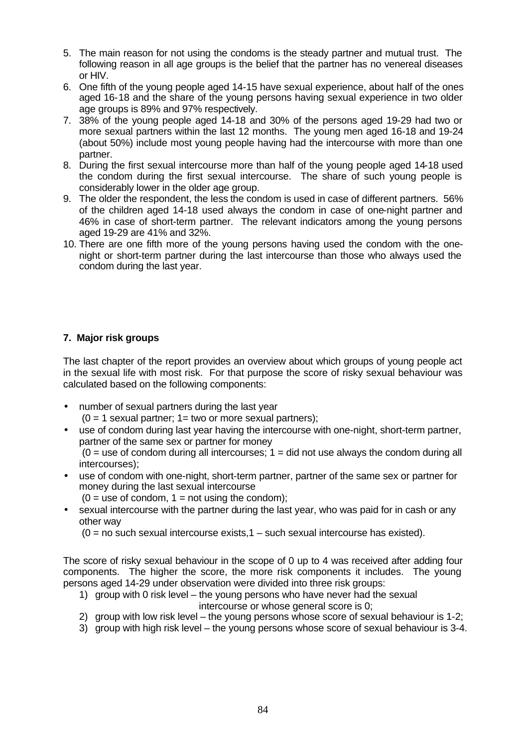- 5. The main reason for not using the condoms is the steady partner and mutual trust. The following reason in all age groups is the belief that the partner has no venereal diseases or HIV.
- 6. One fifth of the young people aged 14-15 have sexual experience, about half of the ones aged 16-18 and the share of the young persons having sexual experience in two older age groups is 89% and 97% respectively.
- 7. 38% of the young people aged 14-18 and 30% of the persons aged 19-29 had two or more sexual partners within the last 12 months. The young men aged 16-18 and 19-24 (about 50%) include most young people having had the intercourse with more than one partner.
- 8. During the first sexual intercourse more than half of the young people aged 14-18 used the condom during the first sexual intercourse. The share of such young people is considerably lower in the older age group.
- 9. The older the respondent, the less the condom is used in case of different partners. 56% of the children aged 14-18 used always the condom in case of one-night partner and 46% in case of short-term partner. The relevant indicators among the young persons aged 19-29 are 41% and 32%.
- 10. There are one fifth more of the young persons having used the condom with the onenight or short-term partner during the last intercourse than those who always used the condom during the last year.

# **7. Major risk groups**

The last chapter of the report provides an overview about which groups of young people act in the sexual life with most risk. For that purpose the score of risky sexual behaviour was calculated based on the following components:

- number of sexual partners during the last year
	- $(0 = 1$  sexual partner;  $1 =$  two or more sexual partners);
- use of condom during last year having the intercourse with one-night, short-term partner, partner of the same sex or partner for money  $(0 =$  use of condom during all intercourses;  $1 =$  did not use always the condom during all

intercourses);

- use of condom with one-night, short-term partner, partner of the same sex or partner for money during the last sexual intercourse
	- $(0 = use of codom, 1 = not using the condom);$
- sexual intercourse with the partner during the last year, who was paid for in cash or any other way
	- $(0 = no$  such sexual intercourse exists,  $1 -$  such sexual intercourse has existed).

The score of risky sexual behaviour in the scope of 0 up to 4 was received after adding four components. The higher the score, the more risk components it includes. The young persons aged 14-29 under observation were divided into three risk groups:

- 1) group with 0 risk level the young persons who have never had the sexual intercourse or whose general score is 0;
- 2) group with low risk level the young persons whose score of sexual behaviour is 1-2;
- 3) group with high risk level the young persons whose score of sexual behaviour is 3-4.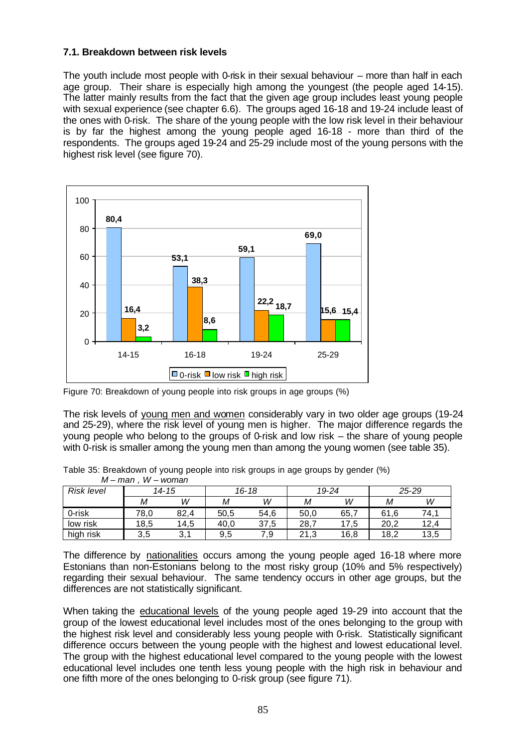### **7.1. Breakdown between risk levels**

The youth include most people with 0-risk in their sexual behaviour – more than half in each age group. Their share is especially high among the youngest (the people aged 14-15). The latter mainly results from the fact that the given age group includes least young people with sexual experience (see chapter 6.6). The groups aged 16-18 and 19-24 include least of the ones with 0-risk. The share of the young people with the low risk level in their behaviour is by far the highest among the young people aged 16-18 - more than third of the respondents. The groups aged 19-24 and 25-29 include most of the young persons with the highest risk level (see figure 70).



Figure 70: Breakdown of young people into risk groups in age groups (%)

The risk levels of young men and women considerably vary in two older age groups (19-24 and 25-29), where the risk level of young men is higher. The major difference regards the young people who belong to the groups of 0-risk and low risk – the share of young people with 0-risk is smaller among the young men than among the young women (see table 35).

Table 35: Breakdown of young people into risk groups in age groups by gender (%) *M – man , W – woman* 

| .                 | .    | ,,,,,,,,, |      |           |      |       |      |           |
|-------------------|------|-----------|------|-----------|------|-------|------|-----------|
| <b>Risk level</b> |      | 14-15     |      | $16 - 18$ |      | 19-24 |      | $25 - 29$ |
|                   | М    | W         | Μ    | W         | М    | W     | М    | W         |
| 0-risk            | 78,0 | 82,4      | 50,5 | 54,6      | 50,0 | 65,7  | 61,6 | 74.1      |
| low risk          | 18,5 | 14,5      | 40.0 | 37,5      | 28,  | 17,5  | 20.2 | 12,4      |
| high risk         | 3,5  | ູບ.       | 9,5  | 7.9       | 21,3 | 16,8  | 18,2 | 13,5      |

The difference by nationalities occurs among the young people aged 16-18 where more Estonians than non-Estonians belong to the most risky group (10% and 5% respectively) regarding their sexual behaviour. The same tendency occurs in other age groups, but the differences are not statistically significant.

When taking the educational levels of the young people aged 19-29 into account that the group of the lowest educational level includes most of the ones belonging to the group with the highest risk level and considerably less young people with 0-risk. Statistically significant difference occurs between the young people with the highest and lowest educational level. The group with the highest educational level compared to the young people with the lowest educational level includes one tenth less young people with the high risk in behaviour and one fifth more of the ones belonging to 0-risk group (see figure 71).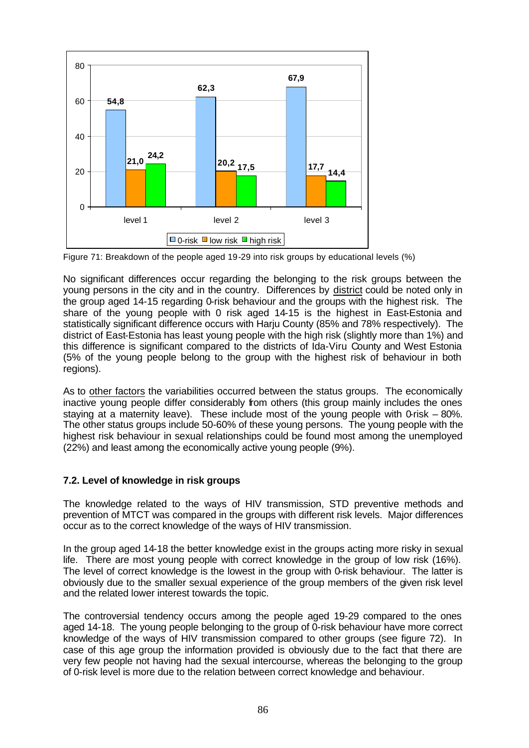

Figure 71: Breakdown of the people aged 19-29 into risk groups by educational levels (%)

No significant differences occur regarding the belonging to the risk groups between the young persons in the city and in the country. Differences by district could be noted only in the group aged 14-15 regarding 0-risk behaviour and the groups with the highest risk. The share of the young people with 0 risk aged 14-15 is the highest in East-Estonia and statistically significant difference occurs with Harju County (85% and 78% respectively). The district of East-Estonia has least young people with the high risk (slightly more than 1%) and this difference is significant compared to the districts of Ida-Viru County and West Estonia (5% of the young people belong to the group with the highest risk of behaviour in both regions).

As to other factors the variabilities occurred between the status groups. The economically inactive young people differ considerably from others (this group mainly includes the ones staying at a maternity leave). These include most of the young people with 0-risk  $-80\%$ . The other status groups include 50-60% of these young persons. The young people with the highest risk behaviour in sexual relationships could be found most among the unemployed (22%) and least among the economically active young people (9%).

# **7.2. Level of knowledge in risk groups**

The knowledge related to the ways of HIV transmission, STD preventive methods and prevention of MTCT was compared in the groups with different risk levels. Major differences occur as to the correct knowledge of the ways of HIV transmission.

In the group aged 14-18 the better knowledge exist in the groups acting more risky in sexual life. There are most young people with correct knowledge in the group of low risk (16%). The level of correct knowledge is the lowest in the group with 0-risk behaviour. The latter is obviously due to the smaller sexual experience of the group members of the given risk level and the related lower interest towards the topic.

The controversial tendency occurs among the people aged 19-29 compared to the ones aged 14-18. The young people belonging to the group of 0-risk behaviour have more correct knowledge of the ways of HIV transmission compared to other groups (see figure 72). In case of this age group the information provided is obviously due to the fact that there are very few people not having had the sexual intercourse, whereas the belonging to the group of 0-risk level is more due to the relation between correct knowledge and behaviour.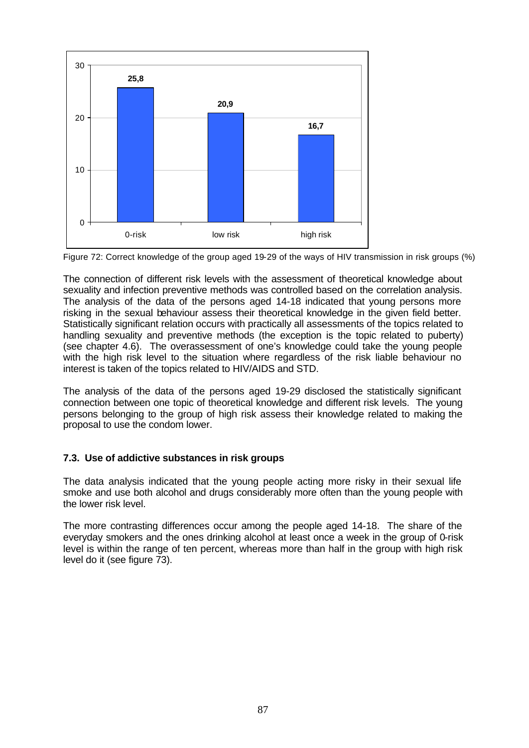

Figure 72: Correct knowledge of the group aged 19-29 of the ways of HIV transmission in risk groups (%)

The connection of different risk levels with the assessment of theoretical knowledge about sexuality and infection preventive methods was controlled based on the correlation analysis. The analysis of the data of the persons aged 14-18 indicated that young persons more risking in the sexual behaviour assess their theoretical knowledge in the given field better. Statistically significant relation occurs with practically all assessments of the topics related to handling sexuality and preventive methods (the exception is the topic related to puberty) (see chapter 4.6). The overassessment of one's knowledge could take the young people with the high risk level to the situation where regardless of the risk liable behaviour no interest is taken of the topics related to HIV/AIDS and STD.

The analysis of the data of the persons aged 19-29 disclosed the statistically significant connection between one topic of theoretical knowledge and different risk levels. The young persons belonging to the group of high risk assess their knowledge related to making the proposal to use the condom lower.

# **7.3. Use of addictive substances in risk groups**

The data analysis indicated that the young people acting more risky in their sexual life smoke and use both alcohol and drugs considerably more often than the young people with the lower risk level.

The more contrasting differences occur among the people aged 14-18. The share of the everyday smokers and the ones drinking alcohol at least once a week in the group of 0-risk level is within the range of ten percent, whereas more than half in the group with high risk level do it (see figure 73).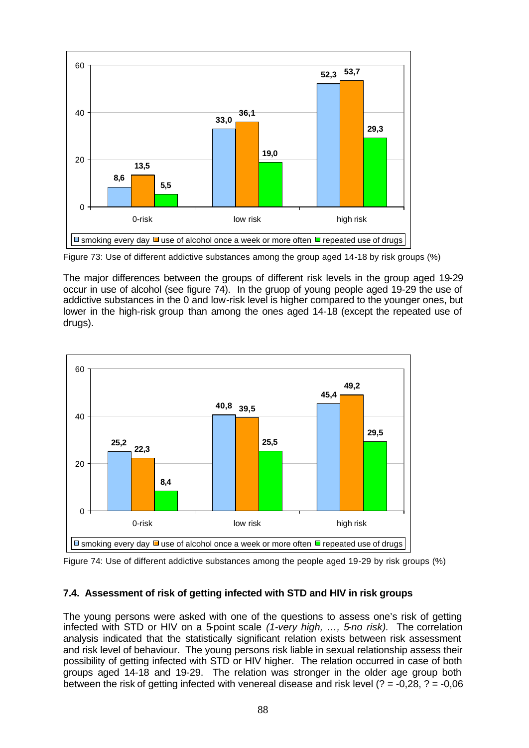

Figure 73: Use of different addictive substances among the group aged 14-18 by risk groups (%)

The major differences between the groups of different risk levels in the group aged 19-29 occur in use of alcohol (see figure 74). In the gruop of young people aged 19-29 the use of addictive substances in the 0 and low-risk level is higher compared to the younger ones, but lower in the high-risk group than among the ones aged 14-18 (except the repeated use of drugs).



Figure 74: Use of different addictive substances among the people aged 19-29 by risk groups (%)

# **7.4. Assessment of risk of getting infected with STD and HIV in risk groups**

The young persons were asked with one of the questions to assess one's risk of getting infected with STD or HIV on a 5-point scale *(1-very high, …, 5-no risk).* The correlation analysis indicated that the statistically significant relation exists between risk assessment and risk level of behaviour. The young persons risk liable in sexual relationship assess their possibility of getting infected with STD or HIV higher. The relation occurred in case of both groups aged 14-18 and 19-29. The relation was stronger in the older age group both between the risk of getting infected with venereal disease and risk level  $(2 = -0.28, ? = -0.06)$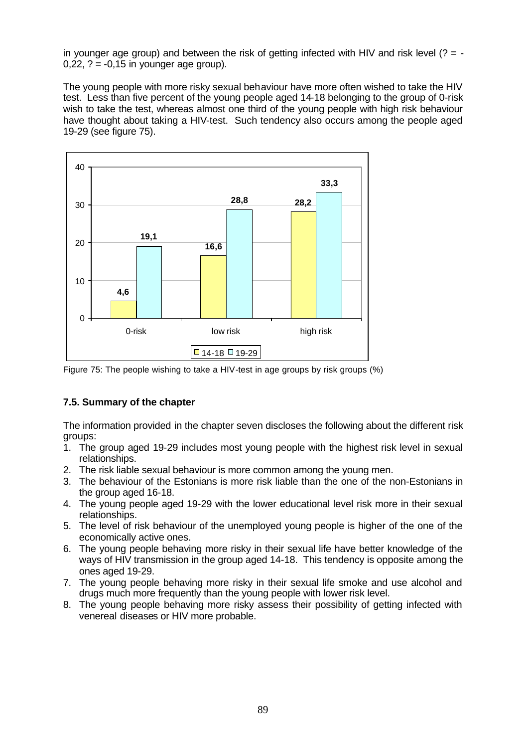in younger age group) and between the risk of getting infected with HIV and risk level  $(? = 0.22$ ,  $? = -0.15$  in younger age group).

The young people with more risky sexual behaviour have more often wished to take the HIV test. Less than five percent of the young people aged 14-18 belonging to the group of 0-risk wish to take the test, whereas almost one third of the young people with high risk behaviour have thought about taking a HIV-test. Such tendency also occurs among the people aged 19-29 (see figure 75).



Figure 75: The people wishing to take a HIV-test in age groups by risk groups (%)

# **7.5. Summary of the chapter**

The information provided in the chapter seven discloses the following about the different risk groups:

- 1. The group aged 19-29 includes most young people with the highest risk level in sexual relationships.
- 2. The risk liable sexual behaviour is more common among the young men.
- 3. The behaviour of the Estonians is more risk liable than the one of the non-Estonians in the group aged 16-18.
- 4. The young people aged 19-29 with the lower educational level risk more in their sexual relationships.
- 5. The level of risk behaviour of the unemployed young people is higher of the one of the economically active ones.
- 6. The young people behaving more risky in their sexual life have better knowledge of the ways of HIV transmission in the group aged 14-18. This tendency is opposite among the ones aged 19-29.
- 7. The young people behaving more risky in their sexual life smoke and use alcohol and drugs much more frequently than the young people with lower risk level.
- 8. The young people behaving more risky assess their possibility of getting infected with venereal diseases or HIV more probable.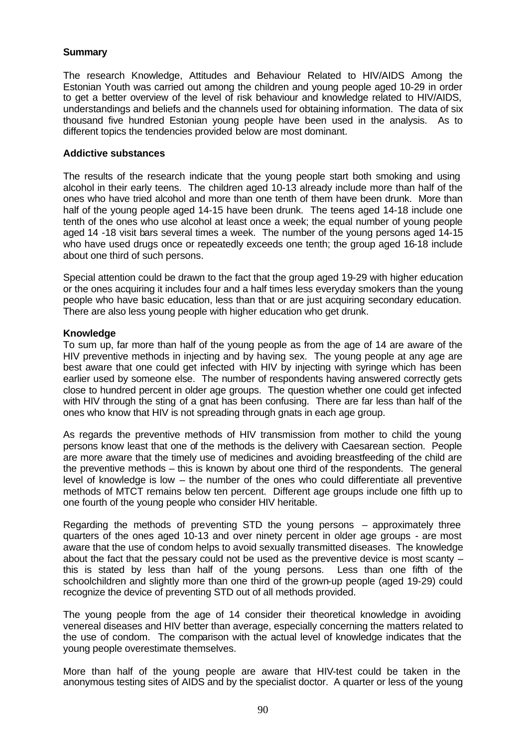## **Summary**

The research Knowledge, Attitudes and Behaviour Related to HIV/AIDS Among the Estonian Youth was carried out among the children and young people aged 10-29 in order to get a better overview of the level of risk behaviour and knowledge related to HIV/AIDS, understandings and beliefs and the channels used for obtaining information. The data of six thousand five hundred Estonian young people have been used in the analysis. As to different topics the tendencies provided below are most dominant.

#### **Addictive substances**

The results of the research indicate that the young people start both smoking and using alcohol in their early teens. The children aged 10-13 already include more than half of the ones who have tried alcohol and more than one tenth of them have been drunk. More than half of the young people aged 14-15 have been drunk. The teens aged 14-18 include one tenth of the ones who use alcohol at least once a week; the equal number of young people aged 14 -18 visit bars several times a week. The number of the young persons aged 14-15 who have used drugs once or repeatedly exceeds one tenth; the group aged 16-18 include about one third of such persons.

Special attention could be drawn to the fact that the group aged 19-29 with higher education or the ones acquiring it includes four and a half times less everyday smokers than the young people who have basic education, less than that or are just acquiring secondary education. There are also less young people with higher education who get drunk.

### **Knowledge**

To sum up, far more than half of the young people as from the age of 14 are aware of the HIV preventive methods in injecting and by having sex. The young people at any age are best aware that one could get infected with HIV by injecting with syringe which has been earlier used by someone else. The number of respondents having answered correctly gets close to hundred percent in older age groups. The question whether one could get infected with HIV through the sting of a gnat has been confusing. There are far less than half of the ones who know that HIV is not spreading through gnats in each age group.

As regards the preventive methods of HIV transmission from mother to child the young persons know least that one of the methods is the delivery with Caesarean section. People are more aware that the timely use of medicines and avoiding breastfeeding of the child are the preventive methods – this is known by about one third of the respondents. The general level of knowledge is low – the number of the ones who could differentiate all preventive methods of MTCT remains below ten percent. Different age groups include one fifth up to one fourth of the young people who consider HIV heritable.

Regarding the methods of preventing STD the young persons – approximately three quarters of the ones aged 10-13 and over ninety percent in older age groups - are most aware that the use of condom helps to avoid sexually transmitted diseases. The knowledge about the fact that the pessary could not be used as the preventive device is most scanty – this is stated by less than half of the young persons. Less than one fifth of the schoolchildren and slightly more than one third of the grown-up people (aged 19-29) could recognize the device of preventing STD out of all methods provided.

The young people from the age of 14 consider their theoretical knowledge in avoiding venereal diseases and HIV better than average, especially concerning the matters related to the use of condom. The comparison with the actual level of knowledge indicates that the young people overestimate themselves.

More than half of the young people are aware that HIV-test could be taken in the anonymous testing sites of AIDS and by the specialist doctor. A quarter or less of the young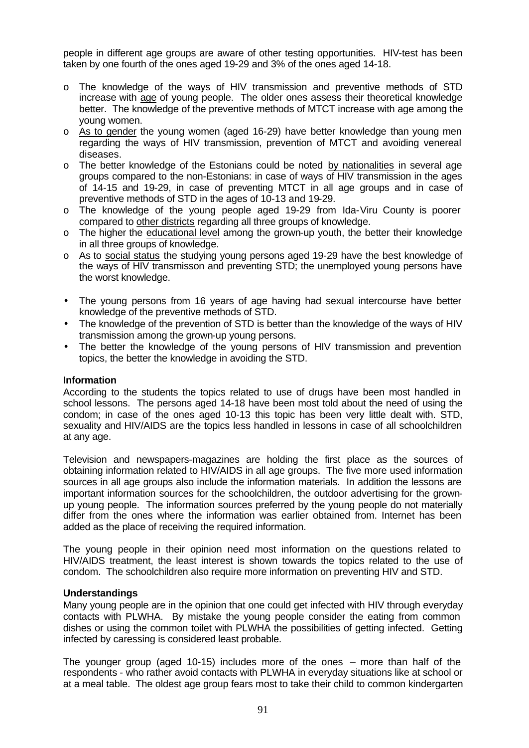people in different age groups are aware of other testing opportunities. HIV-test has been taken by one fourth of the ones aged 19-29 and 3% of the ones aged 14-18.

- o The knowledge of the ways of HIV transmission and preventive methods of STD increase with age of young people. The older ones assess their theoretical knowledge better. The knowledge of the preventive methods of MTCT increase with age among the young women.
- o As to gender the young women (aged 16-29) have better knowledge than young men regarding the ways of HIV transmission, prevention of MTCT and avoiding venereal diseases.
- o The better knowledge of the Estonians could be noted by nationalities in several age groups compared to the non-Estonians: in case of ways of HIV transmission in the ages of 14-15 and 19-29, in case of preventing MTCT in all age groups and in case of preventive methods of STD in the ages of 10-13 and 19-29.
- o The knowledge of the young people aged 19-29 from Ida-Viru County is poorer compared to other districts regarding all three groups of knowledge.
- $\circ$  The higher the educational level among the grown-up youth, the better their knowledge in all three groups of knowledge.
- o As to social status the studying young persons aged 19-29 have the best knowledge of the ways of HIV transmisson and preventing STD; the unemployed young persons have the worst knowledge.
- The young persons from 16 years of age having had sexual intercourse have better knowledge of the preventive methods of STD.
- The knowledge of the prevention of STD is better than the knowledge of the ways of HIV transmission among the grown-up young persons.
- The better the knowledge of the young persons of HIV transmission and prevention topics, the better the knowledge in avoiding the STD.

#### **Information**

According to the students the topics related to use of drugs have been most handled in school lessons. The persons aged 14-18 have been most told about the need of using the condom; in case of the ones aged 10-13 this topic has been very little dealt with. STD, sexuality and HIV/AIDS are the topics less handled in lessons in case of all schoolchildren at any age.

Television and newspapers-magazines are holding the first place as the sources of obtaining information related to HIV/AIDS in all age groups. The five more used information sources in all age groups also include the information materials. In addition the lessons are important information sources for the schoolchildren, the outdoor advertising for the grownup young people. The information sources preferred by the young people do not materially differ from the ones where the information was earlier obtained from. Internet has been added as the place of receiving the required information.

The young people in their opinion need most information on the questions related to HIV/AIDS treatment, the least interest is shown towards the topics related to the use of condom. The schoolchildren also require more information on preventing HIV and STD.

#### **Understandings**

Many young people are in the opinion that one could get infected with HIV through everyday contacts with PLWHA. By mistake the young people consider the eating from common dishes or using the common toilet with PLWHA the possibilities of getting infected. Getting infected by caressing is considered least probable.

The younger group (aged 10-15) includes more of the ones – more than half of the respondents - who rather avoid contacts with PLWHA in everyday situations like at school or at a meal table. The oldest age group fears most to take their child to common kindergarten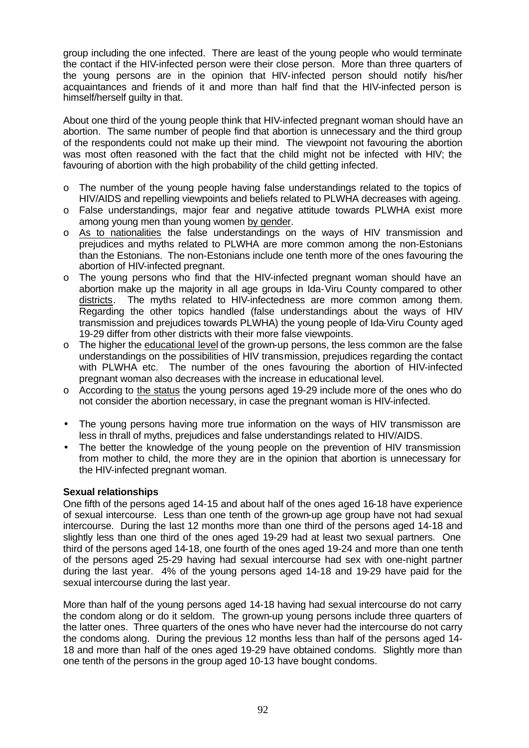group including the one infected. There are least of the young people who would terminate the contact if the HIV-infected person were their close person. More than three quarters of the young persons are in the opinion that HIV-infected person should notify his/her acquaintances and friends of it and more than half find that the HIV-infected person is himself/herself guilty in that.

About one third of the young people think that HIV-infected pregnant woman should have an abortion. The same number of people find that abortion is unnecessary and the third group of the respondents could not make up their mind. The viewpoint not favouring the abortion was most often reasoned with the fact that the child might not be infected with HIV; the favouring of abortion with the high probability of the child getting infected.

- o The number of the young people having false understandings related to the topics of HIV/AIDS and repelling viewpoints and beliefs related to PLWHA decreases with ageing.
- o False understandings, major fear and negative attitude towards PLWHA exist more among young men than young women by gender.
- o As to nationalities the false understandings on the ways of HIV transmission and prejudices and myths related to PLWHA are more common among the non-Estonians than the Estonians. The non-Estonians include one tenth more of the ones favouring the abortion of HIV-infected pregnant.
- o The young persons who find that the HIV-infected pregnant woman should have an abortion make up the majority in all age groups in Ida-Viru County compared to other districts. The myths related to HIV-infectedness are more common among them. Regarding the other topics handled (false understandings about the ways of HIV transmission and prejudices towards PLWHA) the young people of Ida-Viru County aged 19-29 differ from other districts with their more false viewpoints.
- o The higher the educational level of the grown-up persons, the less common are the false understandings on the possibilities of HIV transmission, prejudices regarding the contact with PLWHA etc. The number of the ones favouring the abortion of HIV-infected pregnant woman also decreases with the increase in educational level.
- o According to the status the young persons aged 19-29 include more of the ones who do not consider the abortion necessary, in case the pregnant woman is HIV-infected.
- The young persons having more true information on the ways of HIV transmisson are less in thrall of myths, prejudices and false understandings related to HIV/AIDS.
- The better the knowledge of the young people on the prevention of HIV transmission from mother to child, the more they are in the opinion that abortion is unnecessary for the HIV-infected pregnant woman.

### **Sexual relationships**

One fifth of the persons aged 14-15 and about half of the ones aged 16-18 have experience of sexual intercourse. Less than one tenth of the grown-up age group have not had sexual intercourse. During the last 12 months more than one third of the persons aged 14-18 and slightly less than one third of the ones aged 19-29 had at least two sexual partners. One third of the persons aged 14-18, one fourth of the ones aged 19-24 and more than one tenth of the persons aged 25-29 having had sexual intercourse had sex with one-night partner during the last year. 4% of the young persons aged 14-18 and 19-29 have paid for the sexual intercourse during the last year.

More than half of the young persons aged 14-18 having had sexual intercourse do not carry the condom along or do it seldom. The grown-up young persons include three quarters of the latter ones. Three quarters of the ones who have never had the intercourse do not carry the condoms along. During the previous 12 months less than half of the persons aged 14- 18 and more than half of the ones aged 19-29 have obtained condoms. Slightly more than one tenth of the persons in the group aged 10-13 have bought condoms.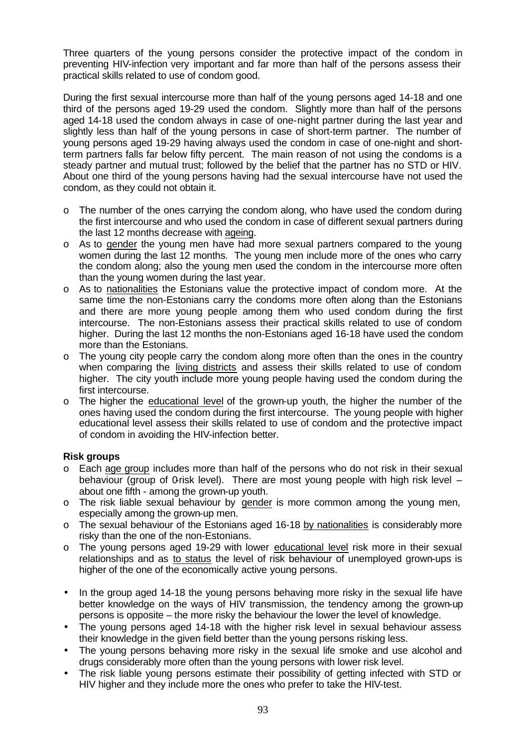Three quarters of the young persons consider the protective impact of the condom in preventing HIV-infection very important and far more than half of the persons assess their practical skills related to use of condom good.

During the first sexual intercourse more than half of the young persons aged 14-18 and one third of the persons aged 19-29 used the condom. Slightly more than half of the persons aged 14-18 used the condom always in case of one-night partner during the last year and slightly less than half of the young persons in case of short-term partner. The number of young persons aged 19-29 having always used the condom in case of one-night and shortterm partners falls far below fifty percent. The main reason of not using the condoms is a steady partner and mutual trust; followed by the belief that the partner has no STD or HIV. About one third of the young persons having had the sexual intercourse have not used the condom, as they could not obtain it.

- $\circ$  The number of the ones carrying the condom along, who have used the condom during the first intercourse and who used the condom in case of different sexual partners during the last 12 months decrease with ageing.
- o As to gender the young men have had more sexual partners compared to the young women during the last 12 months. The young men include more of the ones who carry the condom along; also the young men used the condom in the intercourse more often than the young women during the last year.
- o As to nationalities the Estonians value the protective impact of condom more. At the same time the non-Estonians carry the condoms more often along than the Estonians and there are more young people among them who used condom during the first intercourse. The non-Estonians assess their practical skills related to use of condom higher. During the last 12 months the non-Estonians aged 16-18 have used the condom more than the Estonians.
- o The young city people carry the condom along more often than the ones in the country when comparing the living districts and assess their skills related to use of condom higher. The city youth include more young people having used the condom during the first intercourse.
- o The higher the educational level of the grown-up youth, the higher the number of the ones having used the condom during the first intercourse. The young people with higher educational level assess their skills related to use of condom and the protective impact of condom in avoiding the HIV-infection better.

### **Risk groups**

- $\circ$  Each age group includes more than half of the persons who do not risk in their sexual behaviour (group of 0-risk level). There are most young people with high risk level  $$ about one fifth - among the grown-up youth.
- o The risk liable sexual behaviour by gender is more common among the young men, especially among the grown-up men.
- o The sexual behaviour of the Estonians aged 16-18 by nationalities is considerably more risky than the one of the non-Estonians.
- o The young persons aged 19-29 with lower educational level risk more in their sexual relationships and as to status the level of risk behaviour of unemployed grown-ups is higher of the one of the economically active young persons.
- In the group aged 14-18 the young persons behaving more risky in the sexual life have better knowledge on the ways of HIV transmission, the tendency among the grown-up persons is opposite – the more risky the behaviour the lower the level of knowledge.
- The young persons aged 14-18 with the higher risk level in sexual behaviour assess their knowledge in the given field better than the young persons risking less.
- The young persons behaving more risky in the sexual life smoke and use alcohol and drugs considerably more often than the young persons with lower risk level.
- The risk liable young persons estimate their possibility of getting infected with STD or HIV higher and they include more the ones who prefer to take the HIV-test.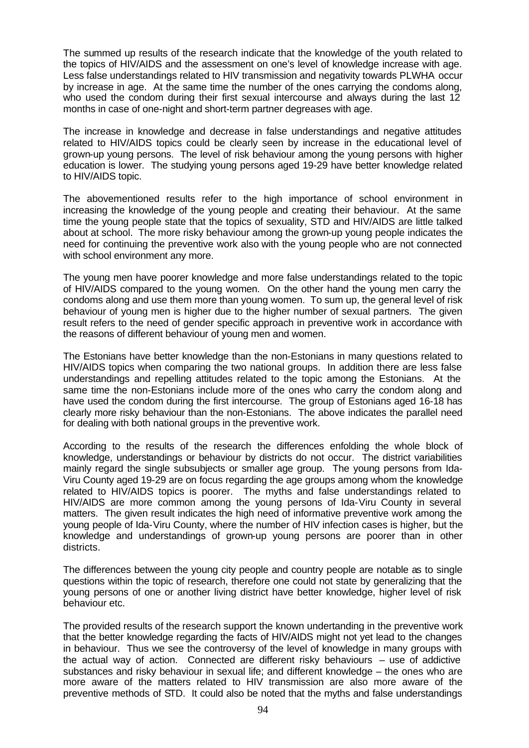The summed up results of the research indicate that the knowledge of the youth related to the topics of HIV/AIDS and the assessment on one's level of knowledge increase with age. Less false understandings related to HIV transmission and negativity towards PLWHA occur by increase in age. At the same time the number of the ones carrying the condoms along, who used the condom during their first sexual intercourse and always during the last 12 months in case of one-night and short-term partner degreases with age.

The increase in knowledge and decrease in false understandings and negative attitudes related to HIV/AIDS topics could be clearly seen by increase in the educational level of grown-up young persons. The level of risk behaviour among the young persons with higher education is lower. The studying young persons aged 19-29 have better knowledge related to HIV/AIDS topic.

The abovementioned results refer to the high importance of school environment in increasing the knowledge of the young people and creating their behaviour. At the same time the young people state that the topics of sexuality, STD and HIV/AIDS are little talked about at school. The more risky behaviour among the grown-up young people indicates the need for continuing the preventive work also with the young people who are not connected with school environment any more.

The young men have poorer knowledge and more false understandings related to the topic of HIV/AIDS compared to the young women. On the other hand the young men carry the condoms along and use them more than young women. To sum up, the general level of risk behaviour of young men is higher due to the higher number of sexual partners. The given result refers to the need of gender specific approach in preventive work in accordance with the reasons of different behaviour of young men and women.

The Estonians have better knowledge than the non-Estonians in many questions related to HIV/AIDS topics when comparing the two national groups. In addition there are less false understandings and repelling attitudes related to the topic among the Estonians. At the same time the non-Estonians include more of the ones who carry the condom along and have used the condom during the first intercourse. The group of Estonians aged 16-18 has clearly more risky behaviour than the non-Estonians. The above indicates the parallel need for dealing with both national groups in the preventive work.

According to the results of the research the differences enfolding the whole block of knowledge, understandings or behaviour by districts do not occur. The district variabilities mainly regard the single subsubjects or smaller age group. The young persons from Ida-Viru County aged 19-29 are on focus regarding the age groups among whom the knowledge related to HIV/AIDS topics is poorer. The myths and false understandings related to HIV/AIDS are more common among the young persons of Ida-Viru County in several matters. The given result indicates the high need of informative preventive work among the young people of Ida-Viru County, where the number of HIV infection cases is higher, but the knowledge and understandings of grown-up young persons are poorer than in other districts.

The differences between the young city people and country people are notable as to single questions within the topic of research, therefore one could not state by generalizing that the young persons of one or another living district have better knowledge, higher level of risk behaviour etc.

The provided results of the research support the known undertanding in the preventive work that the better knowledge regarding the facts of HIV/AIDS might not yet lead to the changes in behaviour. Thus we see the controversy of the level of knowledge in many groups with the actual way of action. Connected are different risky behaviours – use of addictive substances and risky behaviour in sexual life; and different knowledge – the ones who are more aware of the matters related to HIV transmission are also more aware of the preventive methods of STD. It could also be noted that the myths and false understandings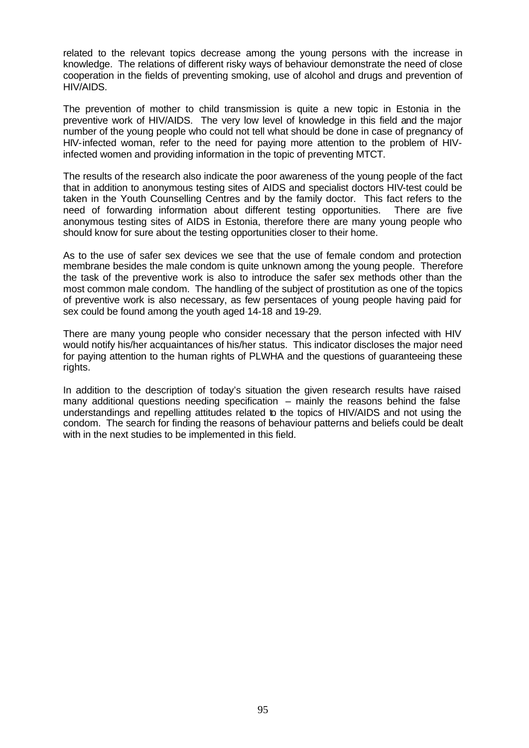related to the relevant topics decrease among the young persons with the increase in knowledge. The relations of different risky ways of behaviour demonstrate the need of close cooperation in the fields of preventing smoking, use of alcohol and drugs and prevention of HIV/AIDS.

The prevention of mother to child transmission is quite a new topic in Estonia in the preventive work of HIV/AIDS. The very low level of knowledge in this field and the major number of the young people who could not tell what should be done in case of pregnancy of HIV-infected woman, refer to the need for paying more attention to the problem of HIVinfected women and providing information in the topic of preventing MTCT.

The results of the research also indicate the poor awareness of the young people of the fact that in addition to anonymous testing sites of AIDS and specialist doctors HIV-test could be taken in the Youth Counselling Centres and by the family doctor. This fact refers to the need of forwarding information about different testing opportunities. There are five anonymous testing sites of AIDS in Estonia, therefore there are many young people who should know for sure about the testing opportunities closer to their home.

As to the use of safer sex devices we see that the use of female condom and protection membrane besides the male condom is quite unknown among the young people. Therefore the task of the preventive work is also to introduce the safer sex methods other than the most common male condom. The handling of the subject of prostitution as one of the topics of preventive work is also necessary, as few persentaces of young people having paid for sex could be found among the youth aged 14-18 and 19-29.

There are many young people who consider necessary that the person infected with HIV would notify his/her acquaintances of his/her status. This indicator discloses the major need for paying attention to the human rights of PLWHA and the questions of guaranteeing these rights.

In addition to the description of today's situation the given research results have raised many additional questions needing specification – mainly the reasons behind the false understandings and repelling attitudes related to the topics of HIV/AIDS and not using the condom. The search for finding the reasons of behaviour patterns and beliefs could be dealt with in the next studies to be implemented in this field.